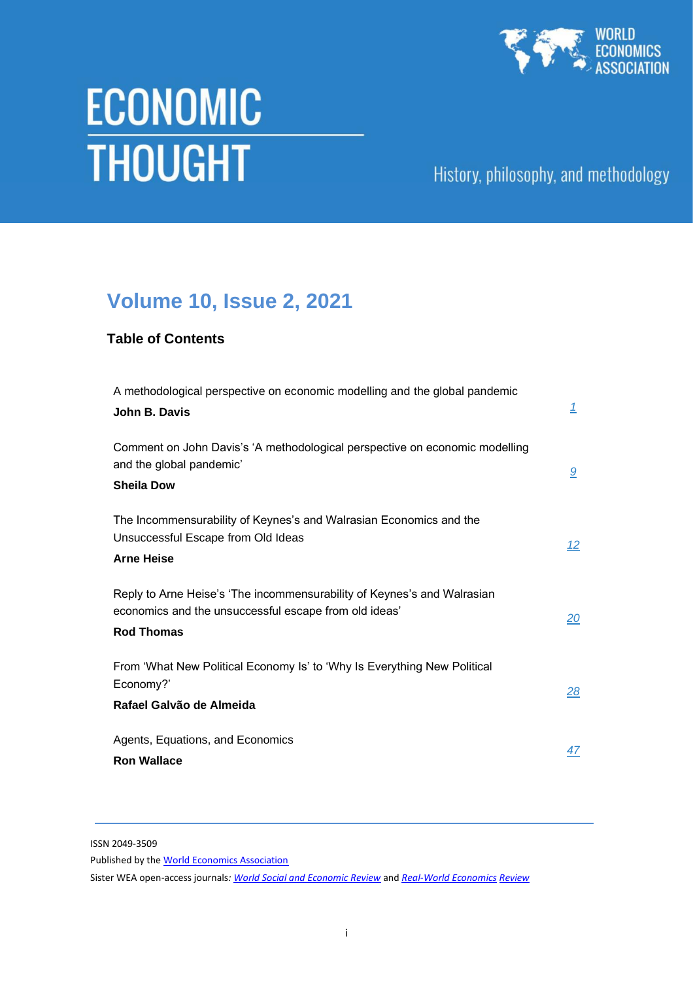

# **THOUGHT**

# History, philosophy, and methodology

# **Volume 10, Issue 2, 2021**

## **Table of Contents**

| A methodological perspective on economic modelling and the global pandemic<br>John B. Davis                                                           | $\mathbf{1}$ |
|-------------------------------------------------------------------------------------------------------------------------------------------------------|--------------|
| Comment on John Davis's 'A methodological perspective on economic modelling<br>and the global pandemic'<br><b>Sheila Dow</b>                          | 9            |
| The Incommensurability of Keynes's and Walrasian Economics and the<br>Unsuccessful Escape from Old Ideas<br><b>Arne Heise</b>                         | <u>12</u>    |
| Reply to Arne Heise's 'The incommensurability of Keynes's and Walrasian<br>economics and the unsuccessful escape from old ideas'<br><b>Rod Thomas</b> | 20           |
| From 'What New Political Economy Is' to 'Why Is Everything New Political<br>Economy?'<br>Rafael Galvão de Almeida                                     | 28           |
| Agents, Equations, and Economics<br><b>Ron Wallace</b>                                                                                                | 47           |

ISSN 2049-3509

Published by th[e World Economics Association](http://www.worldeconomicsassociation.org/)

Sister WEA open-access journals*[: World Social and Economic Review](http://wer.worldeconomicsassociation.org/)* and *[Real-World Economics](http://www.paecon.net/PAEReview/) [Review](http://www.paecon.net/PAEReview/)*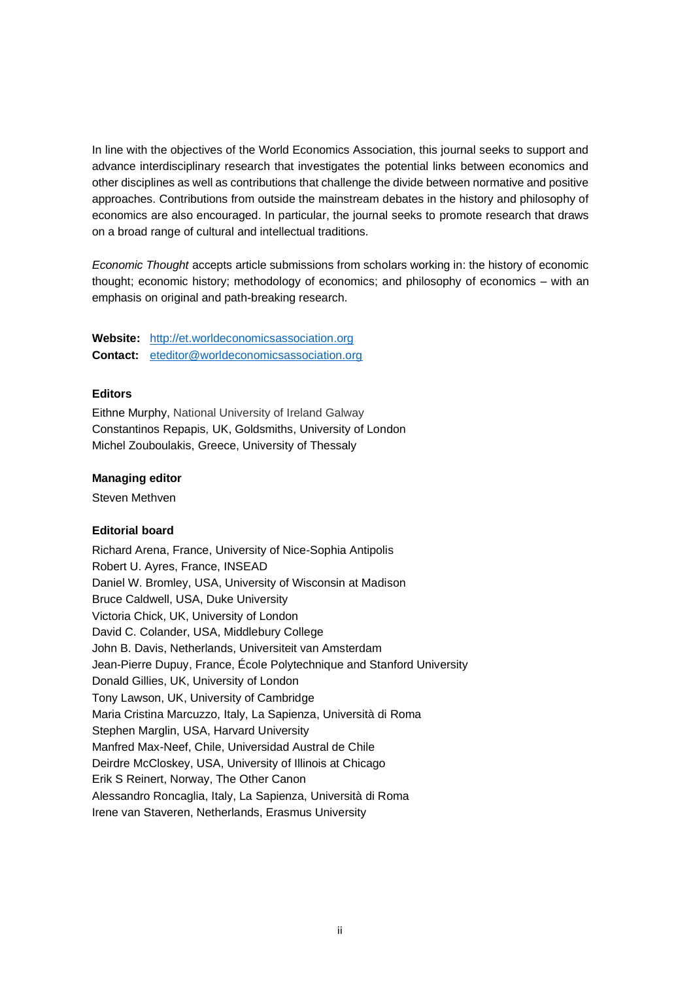In line with the objectives of the World Economics Association, this journal seeks to support and advance interdisciplinary research that investigates the potential links between economics and other disciplines as well as contributions that challenge the divide between normative and positive approaches. Contributions from outside the mainstream debates in the history and philosophy of economics are also encouraged. In particular, the journal seeks to promote research that draws on a broad range of cultural and intellectual traditions.

*Economic Thought* accepts article submissions from scholars working in: the history of economic thought; economic history; methodology of economics; and philosophy of economics – with an emphasis on original and path-breaking research.

**Website:** [http://et.worldeconomicsassociation.org](http://et.worldeconomicsassociation.org/) **Contact:** [eteditor@worldeconomicsassociation.org](mailto:eteditor@worldeconomicsassociation.org)

## **Editors**

Eithne Murphy, National University of Ireland Galway Constantinos Repapis, UK, Goldsmiths, University of London Michel Zouboulakis, Greece, University of Thessaly

## **Managing editor**

Steven Methven

## **Editorial board**

Richard Arena, France, University of Nice-Sophia Antipolis Robert U. Ayres, France, INSEAD Daniel W. Bromley, USA, University of Wisconsin at Madison Bruce Caldwell, USA, Duke University Victoria Chick, UK, University of London David C. Colander, USA, Middlebury College John B. Davis, Netherlands, Universiteit van Amsterdam Jean-Pierre Dupuy, France, École Polytechnique and Stanford University Donald Gillies, UK, University of London Tony Lawson, UK, University of Cambridge Maria Cristina Marcuzzo, Italy, La Sapienza, Università di Roma Stephen Marglin, USA, Harvard University Manfred Max-Neef, Chile, Universidad Austral de Chile Deirdre McCloskey, USA, University of Illinois at Chicago Erik S Reinert, Norway, The Other Canon Alessandro Roncaglia, Italy, La Sapienza, Università di Roma Irene van Staveren, Netherlands, Erasmus University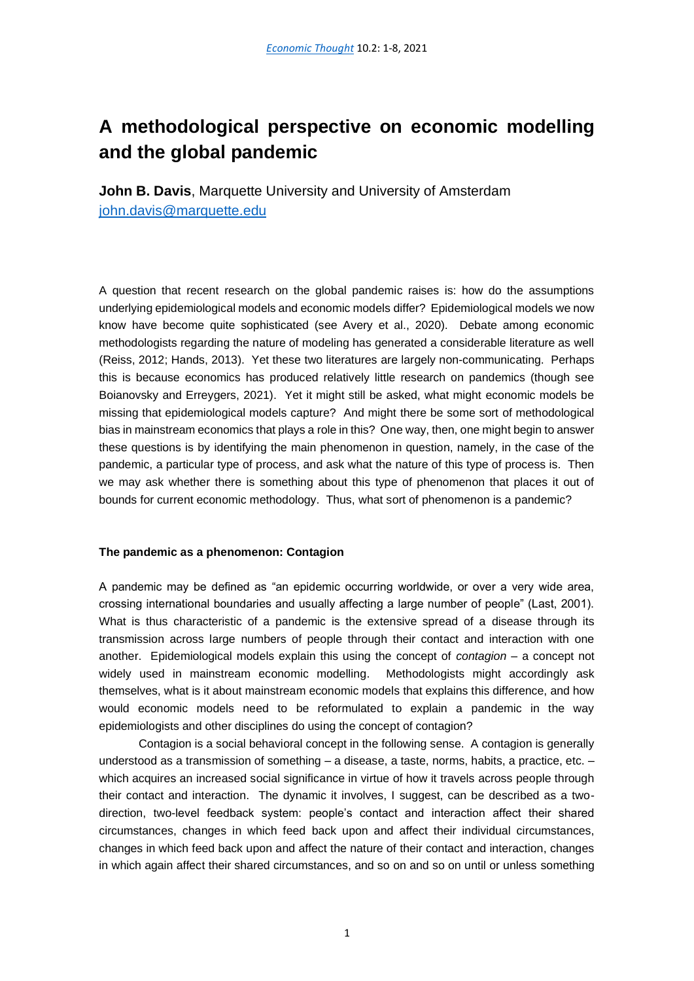# <span id="page-2-0"></span>**A methodological perspective on economic modelling and the global pandemic**

**John B. Davis**, Marquette University and University of Amsterdam [john.davis@marquette.edu](mailto:john.davis@marquette.edu)

A question that recent research on the global pandemic raises is: how do the assumptions underlying epidemiological models and economic models differ? Epidemiological models we now know have become quite sophisticated (see Avery et al., 2020). Debate among economic methodologists regarding the nature of modeling has generated a considerable literature as well (Reiss, 2012; Hands, 2013). Yet these two literatures are largely non-communicating. Perhaps this is because economics has produced relatively little research on pandemics (though see Boianovsky and Erreygers, 2021). Yet it might still be asked, what might economic models be missing that epidemiological models capture? And might there be some sort of methodological bias in mainstream economics that plays a role in this? One way, then, one might begin to answer these questions is by identifying the main phenomenon in question, namely, in the case of the pandemic, a particular type of process, and ask what the nature of this type of process is. Then we may ask whether there is something about this type of phenomenon that places it out of bounds for current economic methodology. Thus, what sort of phenomenon is a pandemic?

## **The pandemic as a phenomenon: Contagion**

A pandemic may be defined as "an epidemic occurring worldwide, or over a very wide area, crossing international boundaries and usually affecting a large number of people" (Last, 2001). What is thus characteristic of a pandemic is the extensive spread of a disease through its transmission across large numbers of people through their contact and interaction with one another. Epidemiological models explain this using the concept of *contagion* – a concept not widely used in mainstream economic modelling. Methodologists might accordingly ask themselves, what is it about mainstream economic models that explains this difference, and how would economic models need to be reformulated to explain a pandemic in the way epidemiologists and other disciplines do using the concept of contagion?

Contagion is a social behavioral concept in the following sense. A contagion is generally understood as a transmission of something – a disease, a taste, norms, habits, a practice, etc. – which acquires an increased social significance in virtue of how it travels across people through their contact and interaction. The dynamic it involves, I suggest, can be described as a twodirection, two-level feedback system: people's contact and interaction affect their shared circumstances, changes in which feed back upon and affect their individual circumstances, changes in which feed back upon and affect the nature of their contact and interaction, changes in which again affect their shared circumstances, and so on and so on until or unless something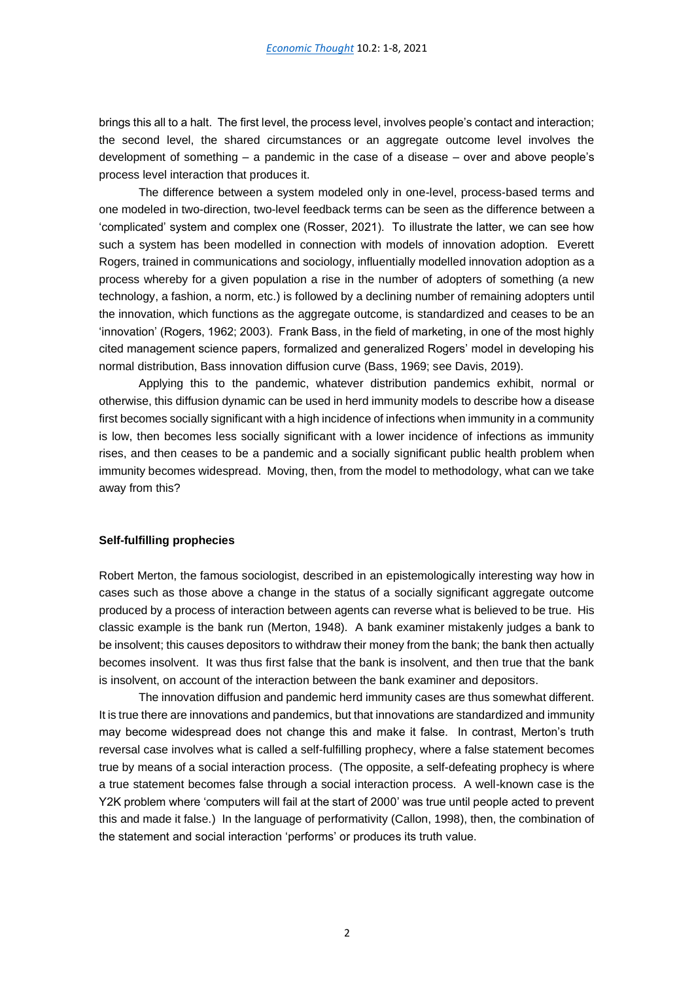brings this all to a halt. The first level, the process level, involves people's contact and interaction; the second level, the shared circumstances or an aggregate outcome level involves the development of something – a pandemic in the case of a disease – over and above people's process level interaction that produces it.

The difference between a system modeled only in one-level, process-based terms and one modeled in two-direction, two-level feedback terms can be seen as the difference between a 'complicated' system and complex one (Rosser, 2021). To illustrate the latter, we can see how such a system has been modelled in connection with models of innovation adoption. Everett Rogers, trained in communications and sociology, influentially modelled innovation adoption as a process whereby for a given population a rise in the number of adopters of something (a new technology, a fashion, a norm, etc.) is followed by a declining number of remaining adopters until the innovation, which functions as the aggregate outcome, is standardized and ceases to be an 'innovation' (Rogers, 1962; 2003). Frank Bass, in the field of marketing, in one of the most highly cited management science papers, formalized and generalized Rogers' model in developing his normal distribution, Bass innovation diffusion curve (Bass, 1969; see Davis, 2019).

Applying this to the pandemic, whatever distribution pandemics exhibit, normal or otherwise, this diffusion dynamic can be used in herd immunity models to describe how a disease first becomes socially significant with a high incidence of infections when immunity in a community is low, then becomes less socially significant with a lower incidence of infections as immunity rises, and then ceases to be a pandemic and a socially significant public health problem when immunity becomes widespread. Moving, then, from the model to methodology, what can we take away from this?

## **Self-fulfilling prophecies**

Robert Merton, the famous sociologist, described in an epistemologically interesting way how in cases such as those above a change in the status of a socially significant aggregate outcome produced by a process of interaction between agents can reverse what is believed to be true. His classic example is the bank run (Merton, 1948). A bank examiner mistakenly judges a bank to be insolvent; this causes depositors to withdraw their money from the bank; the bank then actually becomes insolvent. It was thus first false that the bank is insolvent, and then true that the bank is insolvent, on account of the interaction between the bank examiner and depositors.

The innovation diffusion and pandemic herd immunity cases are thus somewhat different. It is true there are innovations and pandemics, but that innovations are standardized and immunity may become widespread does not change this and make it false. In contrast, Merton's truth reversal case involves what is called a self-fulfilling prophecy, where a false statement becomes true by means of a social interaction process. (The opposite, a self-defeating prophecy is where a true statement becomes false through a social interaction process. A well-known case is the Y2K problem where 'computers will fail at the start of 2000' was true until people acted to prevent this and made it false.) In the language of performativity (Callon, 1998), then, the combination of the statement and social interaction 'performs' or produces its truth value.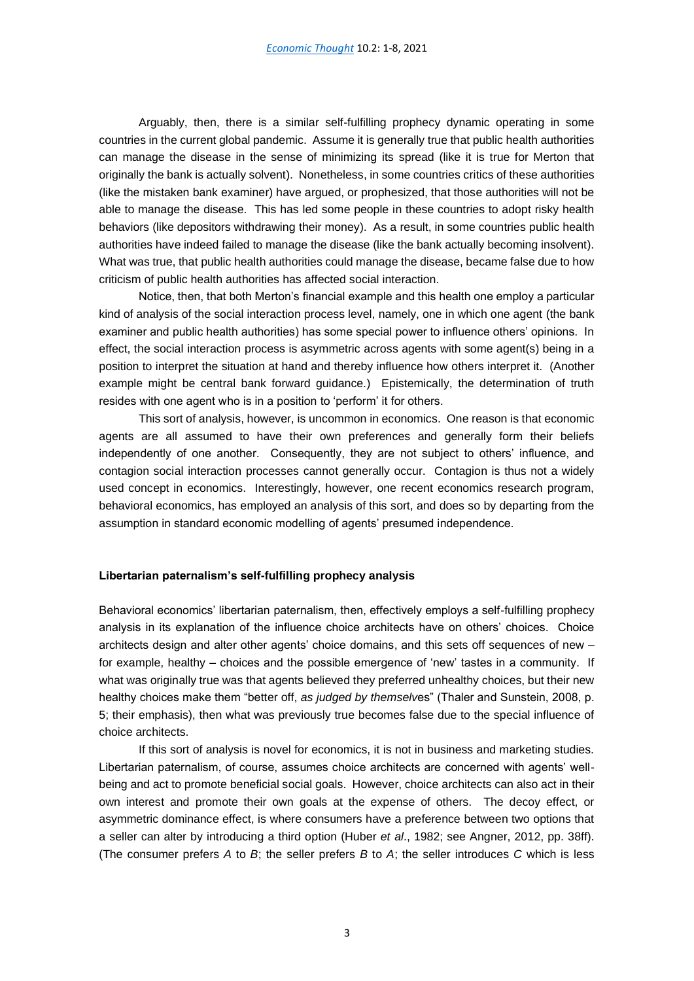Arguably, then, there is a similar self-fulfilling prophecy dynamic operating in some countries in the current global pandemic. Assume it is generally true that public health authorities can manage the disease in the sense of minimizing its spread (like it is true for Merton that originally the bank is actually solvent). Nonetheless, in some countries critics of these authorities (like the mistaken bank examiner) have argued, or prophesized, that those authorities will not be able to manage the disease. This has led some people in these countries to adopt risky health behaviors (like depositors withdrawing their money). As a result, in some countries public health authorities have indeed failed to manage the disease (like the bank actually becoming insolvent). What was true, that public health authorities could manage the disease, became false due to how criticism of public health authorities has affected social interaction.

Notice, then, that both Merton's financial example and this health one employ a particular kind of analysis of the social interaction process level, namely, one in which one agent (the bank examiner and public health authorities) has some special power to influence others' opinions. In effect, the social interaction process is asymmetric across agents with some agent(s) being in a position to interpret the situation at hand and thereby influence how others interpret it. (Another example might be central bank forward guidance.) Epistemically, the determination of truth resides with one agent who is in a position to 'perform' it for others.

This sort of analysis, however, is uncommon in economics. One reason is that economic agents are all assumed to have their own preferences and generally form their beliefs independently of one another. Consequently, they are not subject to others' influence, and contagion social interaction processes cannot generally occur. Contagion is thus not a widely used concept in economics. Interestingly, however, one recent economics research program, behavioral economics, has employed an analysis of this sort, and does so by departing from the assumption in standard economic modelling of agents' presumed independence.

#### **Libertarian paternalism's self-fulfilling prophecy analysis**

Behavioral economics' libertarian paternalism, then, effectively employs a self-fulfilling prophecy analysis in its explanation of the influence choice architects have on others' choices. Choice architects design and alter other agents' choice domains, and this sets off sequences of new – for example, healthy – choices and the possible emergence of 'new' tastes in a community. If what was originally true was that agents believed they preferred unhealthy choices, but their new healthy choices make them "better off, *as judged by themselv*es" (Thaler and Sunstein, 2008, p. 5; their emphasis), then what was previously true becomes false due to the special influence of choice architects.

If this sort of analysis is novel for economics, it is not in business and marketing studies. Libertarian paternalism, of course, assumes choice architects are concerned with agents' wellbeing and act to promote beneficial social goals. However, choice architects can also act in their own interest and promote their own goals at the expense of others. The decoy effect, or asymmetric dominance effect, is where consumers have a preference between two options that a seller can alter by introducing a third option (Huber *et al*., 1982; see Angner, 2012, pp. 38ff). (The consumer prefers *A* to *B*; the seller prefers *B* to *A*; the seller introduces *C* which is less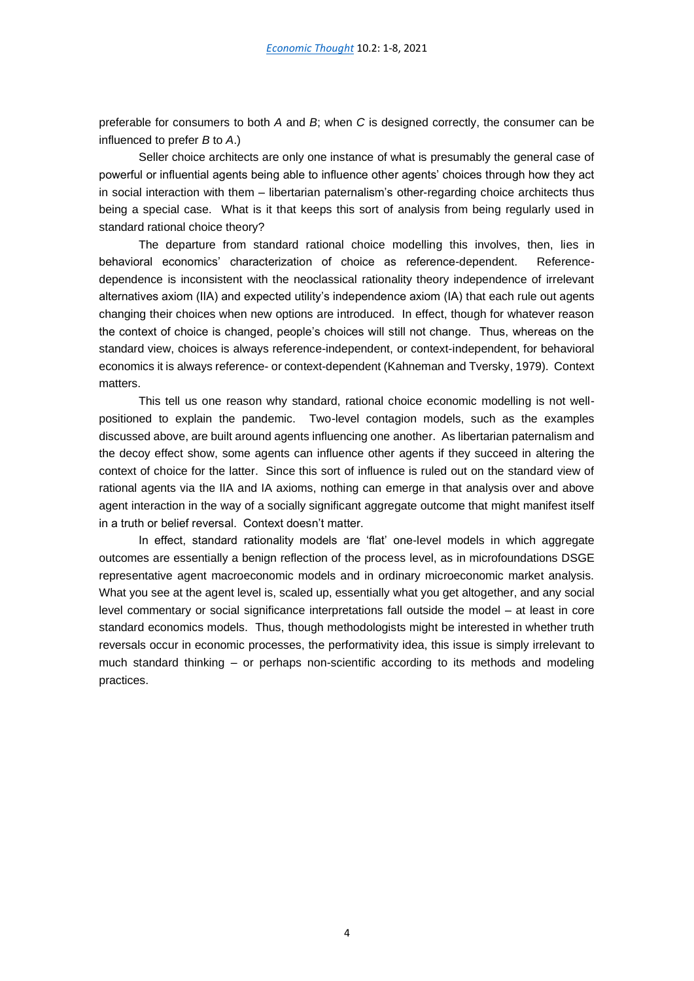preferable for consumers to both *A* and *B*; when *C* is designed correctly, the consumer can be influenced to prefer *B* to *A*.)

Seller choice architects are only one instance of what is presumably the general case of powerful or influential agents being able to influence other agents' choices through how they act in social interaction with them – libertarian paternalism's other-regarding choice architects thus being a special case. What is it that keeps this sort of analysis from being regularly used in standard rational choice theory?

The departure from standard rational choice modelling this involves, then, lies in behavioral economics' characterization of choice as reference-dependent. Referencedependence is inconsistent with the neoclassical rationality theory independence of irrelevant alternatives axiom (IIA) and expected utility's independence axiom (IA) that each rule out agents changing their choices when new options are introduced. In effect, though for whatever reason the context of choice is changed, people's choices will still not change. Thus, whereas on the standard view, choices is always reference-independent, or context-independent, for behavioral economics it is always reference- or context-dependent (Kahneman and Tversky, 1979). Context matters.

This tell us one reason why standard, rational choice economic modelling is not wellpositioned to explain the pandemic. Two-level contagion models, such as the examples discussed above, are built around agents influencing one another. As libertarian paternalism and the decoy effect show, some agents can influence other agents if they succeed in altering the context of choice for the latter. Since this sort of influence is ruled out on the standard view of rational agents via the IIA and IA axioms, nothing can emerge in that analysis over and above agent interaction in the way of a socially significant aggregate outcome that might manifest itself in a truth or belief reversal. Context doesn't matter.

In effect, standard rationality models are 'flat' one-level models in which aggregate outcomes are essentially a benign reflection of the process level, as in microfoundations DSGE representative agent macroeconomic models and in ordinary microeconomic market analysis. What you see at the agent level is, scaled up, essentially what you get altogether, and any social level commentary or social significance interpretations fall outside the model – at least in core standard economics models. Thus, though methodologists might be interested in whether truth reversals occur in economic processes, the performativity idea, this issue is simply irrelevant to much standard thinking – or perhaps non-scientific according to its methods and modeling practices.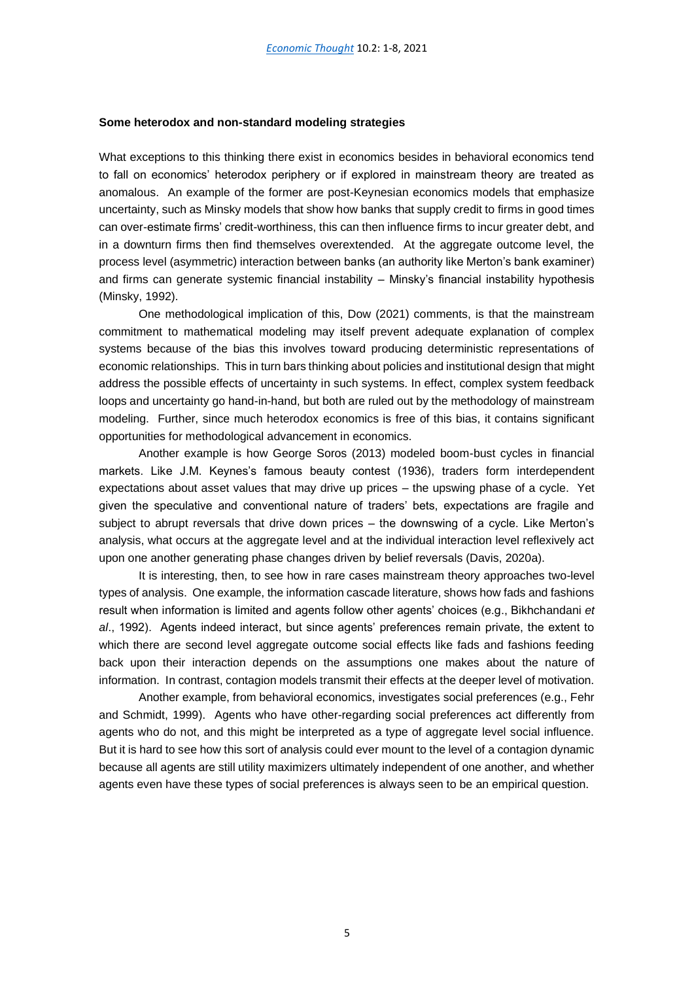#### **Some heterodox and non-standard modeling strategies**

What exceptions to this thinking there exist in economics besides in behavioral economics tend to fall on economics' heterodox periphery or if explored in mainstream theory are treated as anomalous. An example of the former are post-Keynesian economics models that emphasize uncertainty, such as Minsky models that show how banks that supply credit to firms in good times can over-estimate firms' credit-worthiness, this can then influence firms to incur greater debt, and in a downturn firms then find themselves overextended. At the aggregate outcome level, the process level (asymmetric) interaction between banks (an authority like Merton's bank examiner) and firms can generate systemic financial instability – Minsky's financial instability hypothesis (Minsky, 1992).

One methodological implication of this, Dow (2021) comments, is that the mainstream commitment to mathematical modeling may itself prevent adequate explanation of complex systems because of the bias this involves toward producing deterministic representations of economic relationships. This in turn bars thinking about policies and institutional design that might address the possible effects of uncertainty in such systems. In effect, complex system feedback loops and uncertainty go hand-in-hand, but both are ruled out by the methodology of mainstream modeling. Further, since much heterodox economics is free of this bias, it contains significant opportunities for methodological advancement in economics.

Another example is how George Soros (2013) modeled boom-bust cycles in financial markets. Like J.M. Keynes's famous beauty contest (1936), traders form interdependent expectations about asset values that may drive up prices – the upswing phase of a cycle. Yet given the speculative and conventional nature of traders' bets, expectations are fragile and subject to abrupt reversals that drive down prices – the downswing of a cycle. Like Merton's analysis, what occurs at the aggregate level and at the individual interaction level reflexively act upon one another generating phase changes driven by belief reversals (Davis, 2020a).

It is interesting, then, to see how in rare cases mainstream theory approaches two-level types of analysis. One example, the information cascade literature, shows how fads and fashions result when information is limited and agents follow other agents' choices (e.g., Bikhchandani *et al*., 1992). Agents indeed interact, but since agents' preferences remain private, the extent to which there are second level aggregate outcome social effects like fads and fashions feeding back upon their interaction depends on the assumptions one makes about the nature of information. In contrast, contagion models transmit their effects at the deeper level of motivation.

Another example, from behavioral economics, investigates social preferences (e.g., Fehr and Schmidt, 1999). Agents who have other-regarding social preferences act differently from agents who do not, and this might be interpreted as a type of aggregate level social influence. But it is hard to see how this sort of analysis could ever mount to the level of a contagion dynamic because all agents are still utility maximizers ultimately independent of one another, and whether agents even have these types of social preferences is always seen to be an empirical question.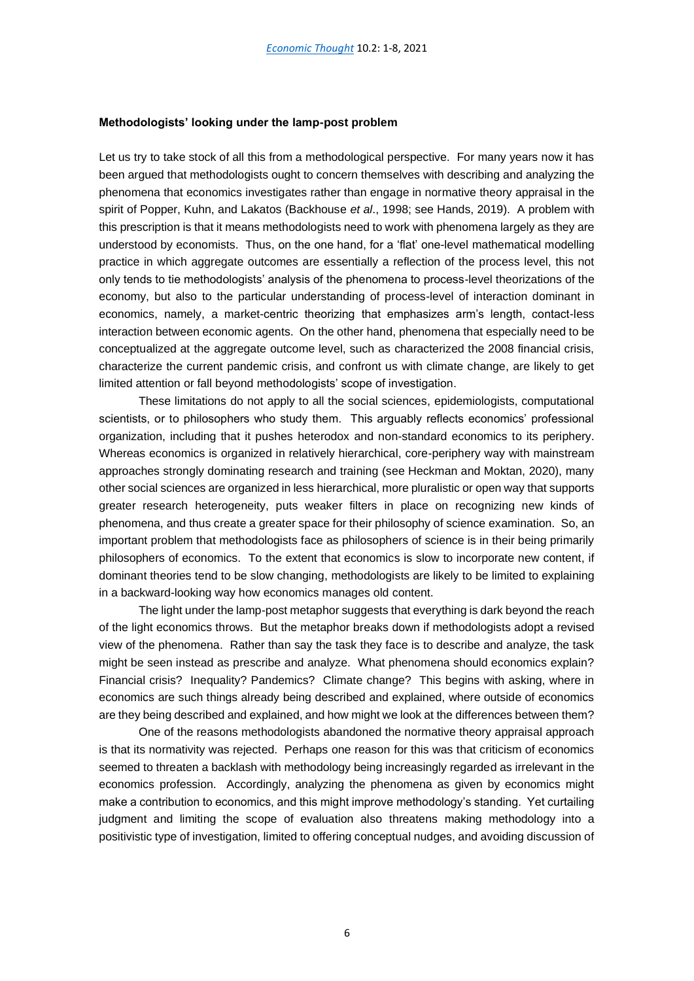#### **Methodologists' looking under the lamp-post problem**

Let us try to take stock of all this from a methodological perspective. For many years now it has been argued that methodologists ought to concern themselves with describing and analyzing the phenomena that economics investigates rather than engage in normative theory appraisal in the spirit of Popper, Kuhn, and Lakatos (Backhouse *et al*., 1998; see Hands, 2019). A problem with this prescription is that it means methodologists need to work with phenomena largely as they are understood by economists. Thus, on the one hand, for a 'flat' one-level mathematical modelling practice in which aggregate outcomes are essentially a reflection of the process level, this not only tends to tie methodologists' analysis of the phenomena to process-level theorizations of the economy, but also to the particular understanding of process-level of interaction dominant in economics, namely, a market-centric theorizing that emphasizes arm's length, contact-less interaction between economic agents. On the other hand, phenomena that especially need to be conceptualized at the aggregate outcome level, such as characterized the 2008 financial crisis, characterize the current pandemic crisis, and confront us with climate change, are likely to get limited attention or fall beyond methodologists' scope of investigation.

These limitations do not apply to all the social sciences, epidemiologists, computational scientists, or to philosophers who study them. This arguably reflects economics' professional organization, including that it pushes heterodox and non-standard economics to its periphery. Whereas economics is organized in relatively hierarchical, core-periphery way with mainstream approaches strongly dominating research and training (see Heckman and Moktan, 2020), many other social sciences are organized in less hierarchical, more pluralistic or open way that supports greater research heterogeneity, puts weaker filters in place on recognizing new kinds of phenomena, and thus create a greater space for their philosophy of science examination. So, an important problem that methodologists face as philosophers of science is in their being primarily philosophers of economics. To the extent that economics is slow to incorporate new content, if dominant theories tend to be slow changing, methodologists are likely to be limited to explaining in a backward-looking way how economics manages old content.

The light under the lamp-post metaphor suggests that everything is dark beyond the reach of the light economics throws. But the metaphor breaks down if methodologists adopt a revised view of the phenomena. Rather than say the task they face is to describe and analyze, the task might be seen instead as prescribe and analyze. What phenomena should economics explain? Financial crisis? Inequality? Pandemics? Climate change? This begins with asking, where in economics are such things already being described and explained, where outside of economics are they being described and explained, and how might we look at the differences between them?

One of the reasons methodologists abandoned the normative theory appraisal approach is that its normativity was rejected. Perhaps one reason for this was that criticism of economics seemed to threaten a backlash with methodology being increasingly regarded as irrelevant in the economics profession. Accordingly, analyzing the phenomena as given by economics might make a contribution to economics, and this might improve methodology's standing. Yet curtailing judgment and limiting the scope of evaluation also threatens making methodology into a positivistic type of investigation, limited to offering conceptual nudges, and avoiding discussion of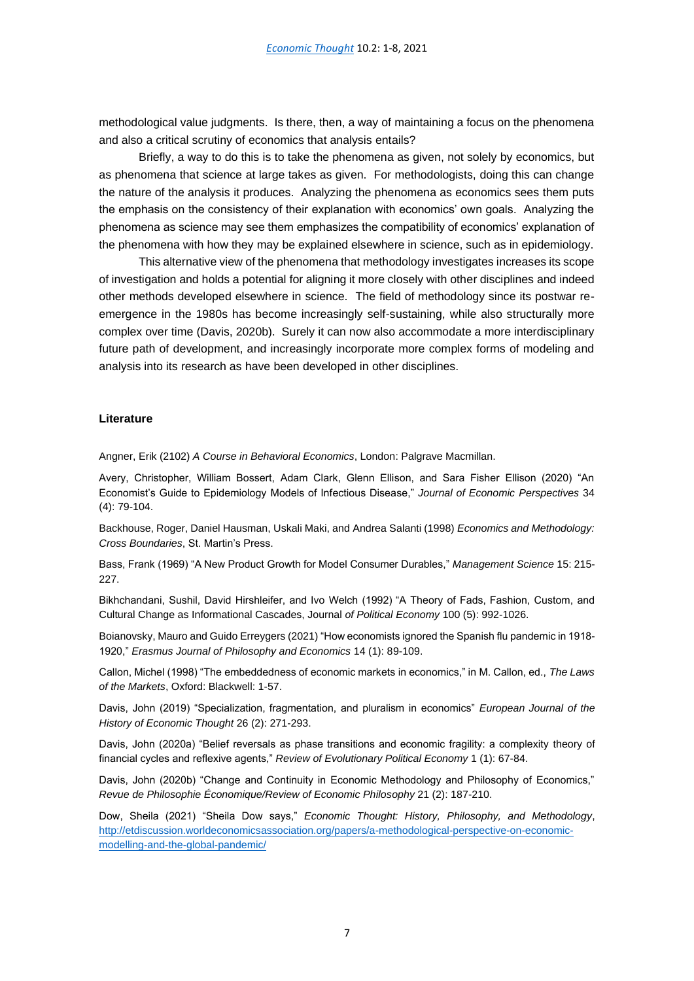methodological value judgments. Is there, then, a way of maintaining a focus on the phenomena and also a critical scrutiny of economics that analysis entails?

Briefly, a way to do this is to take the phenomena as given, not solely by economics, but as phenomena that science at large takes as given. For methodologists, doing this can change the nature of the analysis it produces. Analyzing the phenomena as economics sees them puts the emphasis on the consistency of their explanation with economics' own goals. Analyzing the phenomena as science may see them emphasizes the compatibility of economics' explanation of the phenomena with how they may be explained elsewhere in science, such as in epidemiology.

This alternative view of the phenomena that methodology investigates increases its scope of investigation and holds a potential for aligning it more closely with other disciplines and indeed other methods developed elsewhere in science. The field of methodology since its postwar reemergence in the 1980s has become increasingly self-sustaining, while also structurally more complex over time (Davis, 2020b). Surely it can now also accommodate a more interdisciplinary future path of development, and increasingly incorporate more complex forms of modeling and analysis into its research as have been developed in other disciplines.

## **Literature**

Angner, Erik (2102) *A Course in Behavioral Economics*, London: Palgrave Macmillan.

Avery, Christopher, William Bossert, Adam Clark, Glenn Ellison, and Sara Fisher Ellison (2020) "An Economist's Guide to Epidemiology Models of Infectious Disease," *Journal of Economic Perspectives* 34 (4): 79-104.

Backhouse, Roger, Daniel Hausman, Uskali Maki, and Andrea Salanti (1998) *Economics and Methodology: Cross Boundaries*, St. Martin's Press.

Bass, Frank (1969) "A New Product Growth for Model Consumer Durables," *Management Science* 15: 215- 227.

Bikhchandani, Sushil, David Hirshleifer, and Ivo Welch (1992) "A Theory of Fads, Fashion, Custom, and Cultural Change as Informational Cascades, Journal *of Political Economy* 100 (5): 992-1026.

Boianovsky, Mauro and Guido Erreygers (2021) "How economists ignored the Spanish flu pandemic in 1918- 1920," *Erasmus Journal of Philosophy and Economics* 14 (1): 89-109.

Callon, Michel (1998) "The embeddedness of economic markets in economics," in M. Callon, ed., *The Laws of the Markets*, Oxford: Blackwell: 1-57.

Davis, John (2019) "Specialization, fragmentation, and pluralism in economics" *European Journal of the History of Economic Thought* 26 (2): 271-293.

Davis, John (2020a) "Belief reversals as phase transitions and economic fragility: a complexity theory of financial cycles and reflexive agents," *Review of Evolutionary Political Economy* 1 (1): 67-84.

Davis, John (2020b) "Change and Continuity in Economic Methodology and Philosophy of Economics," *Revue de Philosophie Économique/Review of Economic Philosophy* 21 (2): 187-210.

Dow, Sheila (2021) "Sheila Dow says," *Economic Thought: History, Philosophy, and Methodology*, [http://etdiscussion.worldeconomicsassociation.org/papers/a-methodological-perspective-on-economic](http://etdiscussion.worldeconomicsassociation.org/papers/a-methodological-perspective-on-economic-modelling-and-the-global-pandemic/)[modelling-and-the-global-pandemic/](http://etdiscussion.worldeconomicsassociation.org/papers/a-methodological-perspective-on-economic-modelling-and-the-global-pandemic/)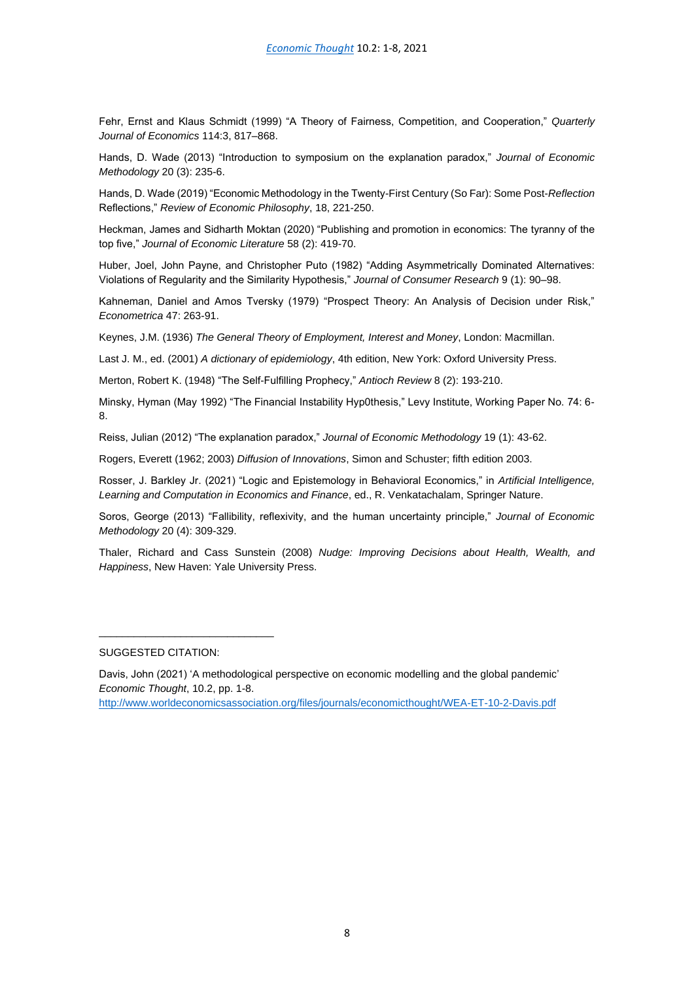Fehr, Ernst and Klaus Schmidt (1999) "A Theory of Fairness, Competition, and Cooperation," *Quarterly Journal of Economics* 114:3, 817–868.

Hands, D. Wade (2013) "Introduction to symposium on the explanation paradox," *Journal of Economic Methodology* 20 (3): 235-6.

Hands, D. Wade (2019) "Economic Methodology in the Twenty-First Century (So Far): Some Post-*Reflection* Reflections," *Review of Economic Philosophy*, 18, 221-250.

Heckman, James and Sidharth Moktan (2020) "Publishing and promotion in economics: The tyranny of the top five," *Journal of Economic Literature* 58 (2): 419-70.

Huber, Joel, John Payne, and Christopher Puto (1982) "Adding Asymmetrically Dominated Alternatives: Violations of Regularity and the Similarity Hypothesis," *Journal of Consumer Research* 9 (1): 90–98.

Kahneman, Daniel and Amos Tversky (1979) "Prospect Theory: An Analysis of Decision under Risk," *Econometrica* 47: 263-91.

Keynes, J.M. (1936) *The General Theory of Employment, Interest and Money*, London: Macmillan.

Last J. M., ed. (2001) *A dictionary of epidemiology*, 4th edition, New York: Oxford University Press.

Merton, Robert K. (1948) "The Self-Fulfilling Prophecy," *Antioch Review* 8 (2): 193-210.

Minsky, Hyman (May 1992) "The Financial Instability Hyp0thesis," Levy Institute, Working Paper No. 74: 6- 8.

Reiss, Julian (2012) "The explanation paradox," *Journal of Economic Methodology* 19 (1): 43-62.

Rogers, Everett (1962; 2003) *Diffusion of Innovations*, Simon and Schuster; fifth edition 2003.

Rosser, J. Barkley Jr. (2021) "Logic and Epistemology in Behavioral Economics," in *Artificial Intelligence, Learning and Computation in Economics and Finance*, ed., R. Venkatachalam, Springer Nature.

Soros, George (2013) "Fallibility, reflexivity, and the human uncertainty principle," *Journal of Economic Methodology* 20 (4): 309-329.

Thaler, Richard and Cass Sunstein (2008) *Nudge: Improving Decisions about Health, Wealth, and Happiness*, New Haven: Yale University Press.

SUGGESTED CITATION:

\_\_\_\_\_\_\_\_\_\_\_\_\_\_\_\_\_\_\_\_\_\_\_\_\_\_\_\_\_\_

[http://www.worldeconomicsassociation.org/files/journals/economicthought/WEA-ET-10-2-Davis.](http://www.worldeconomicsassociation.org/files/journals/economicthought/WEA-ET-10-2-Davis.pdf)pdf

Davis, John (2021) 'A methodological perspective on economic modelling and the global pandemic' *Economic Thought*, 10.2, pp. 1-8.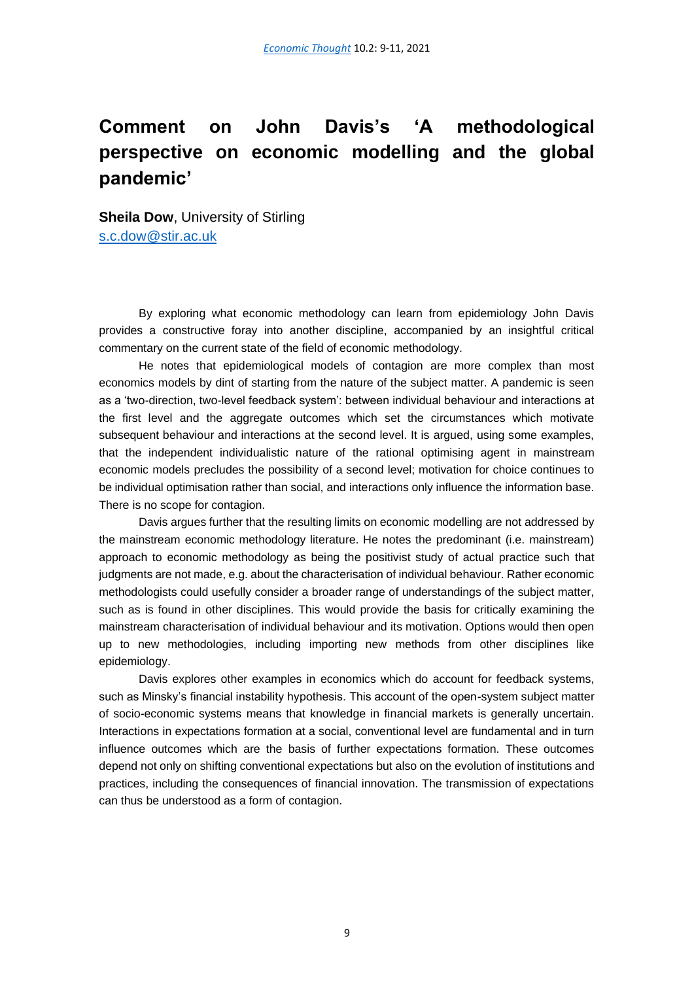# <span id="page-10-0"></span>**Comment on John Davis's 'A methodological perspective on economic modelling and the global pandemic'**

**Sheila Dow, University of Stirling** [s.c.dow@stir.ac.uk](mailto:s.c.dow@stir.ac.uk)

By exploring what economic methodology can learn from epidemiology John Davis provides a constructive foray into another discipline, accompanied by an insightful critical commentary on the current state of the field of economic methodology.

He notes that epidemiological models of contagion are more complex than most economics models by dint of starting from the nature of the subject matter. A pandemic is seen as a 'two-direction, two-level feedback system': between individual behaviour and interactions at the first level and the aggregate outcomes which set the circumstances which motivate subsequent behaviour and interactions at the second level. It is argued, using some examples, that the independent individualistic nature of the rational optimising agent in mainstream economic models precludes the possibility of a second level; motivation for choice continues to be individual optimisation rather than social, and interactions only influence the information base. There is no scope for contagion.

Davis argues further that the resulting limits on economic modelling are not addressed by the mainstream economic methodology literature. He notes the predominant (i.e. mainstream) approach to economic methodology as being the positivist study of actual practice such that judgments are not made, e.g. about the characterisation of individual behaviour. Rather economic methodologists could usefully consider a broader range of understandings of the subject matter, such as is found in other disciplines. This would provide the basis for critically examining the mainstream characterisation of individual behaviour and its motivation. Options would then open up to new methodologies, including importing new methods from other disciplines like epidemiology.

Davis explores other examples in economics which do account for feedback systems, such as Minsky's financial instability hypothesis. This account of the open-system subject matter of socio-economic systems means that knowledge in financial markets is generally uncertain. Interactions in expectations formation at a social, conventional level are fundamental and in turn influence outcomes which are the basis of further expectations formation. These outcomes depend not only on shifting conventional expectations but also on the evolution of institutions and practices, including the consequences of financial innovation. The transmission of expectations can thus be understood as a form of contagion.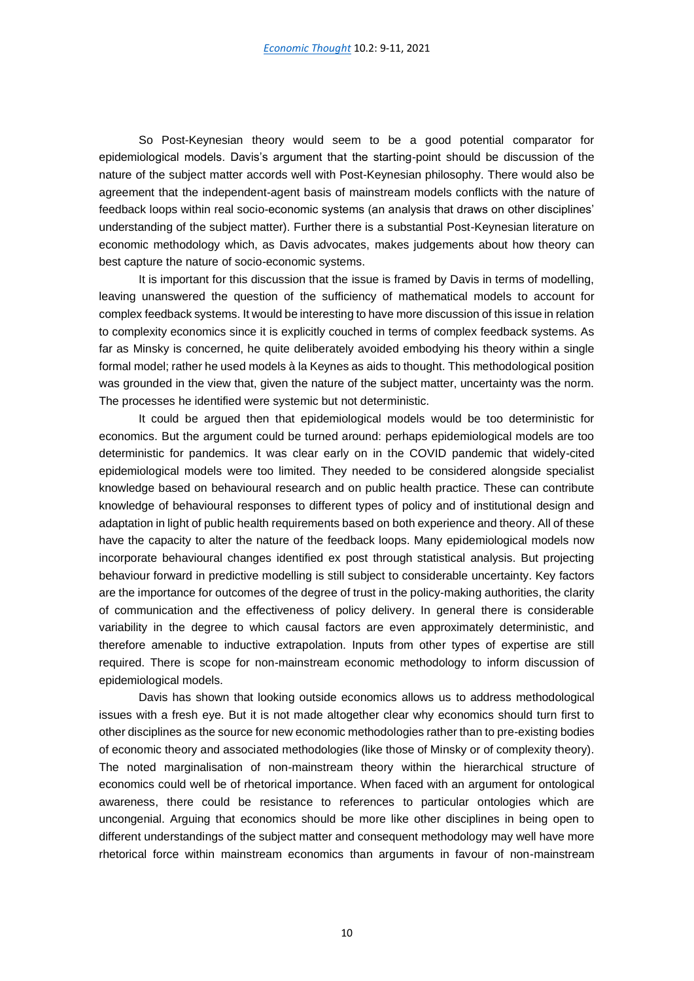So Post-Keynesian theory would seem to be a good potential comparator for epidemiological models. Davis's argument that the starting-point should be discussion of the nature of the subject matter accords well with Post-Keynesian philosophy. There would also be agreement that the independent-agent basis of mainstream models conflicts with the nature of feedback loops within real socio-economic systems (an analysis that draws on other disciplines' understanding of the subject matter). Further there is a substantial Post-Keynesian literature on economic methodology which, as Davis advocates, makes judgements about how theory can best capture the nature of socio-economic systems.

It is important for this discussion that the issue is framed by Davis in terms of modelling, leaving unanswered the question of the sufficiency of mathematical models to account for complex feedback systems. It would be interesting to have more discussion of this issue in relation to complexity economics since it is explicitly couched in terms of complex feedback systems. As far as Minsky is concerned, he quite deliberately avoided embodying his theory within a single formal model; rather he used models à la Keynes as aids to thought. This methodological position was grounded in the view that, given the nature of the subject matter, uncertainty was the norm. The processes he identified were systemic but not deterministic.

It could be argued then that epidemiological models would be too deterministic for economics. But the argument could be turned around: perhaps epidemiological models are too deterministic for pandemics. It was clear early on in the COVID pandemic that widely-cited epidemiological models were too limited. They needed to be considered alongside specialist knowledge based on behavioural research and on public health practice. These can contribute knowledge of behavioural responses to different types of policy and of institutional design and adaptation in light of public health requirements based on both experience and theory. All of these have the capacity to alter the nature of the feedback loops. Many epidemiological models now incorporate behavioural changes identified ex post through statistical analysis. But projecting behaviour forward in predictive modelling is still subject to considerable uncertainty. Key factors are the importance for outcomes of the degree of trust in the policy-making authorities, the clarity of communication and the effectiveness of policy delivery. In general there is considerable variability in the degree to which causal factors are even approximately deterministic, and therefore amenable to inductive extrapolation. Inputs from other types of expertise are still required. There is scope for non-mainstream economic methodology to inform discussion of epidemiological models.

Davis has shown that looking outside economics allows us to address methodological issues with a fresh eye. But it is not made altogether clear why economics should turn first to other disciplines as the source for new economic methodologies rather than to pre-existing bodies of economic theory and associated methodologies (like those of Minsky or of complexity theory). The noted marginalisation of non-mainstream theory within the hierarchical structure of economics could well be of rhetorical importance. When faced with an argument for ontological awareness, there could be resistance to references to particular ontologies which are uncongenial. Arguing that economics should be more like other disciplines in being open to different understandings of the subject matter and consequent methodology may well have more rhetorical force within mainstream economics than arguments in favour of non-mainstream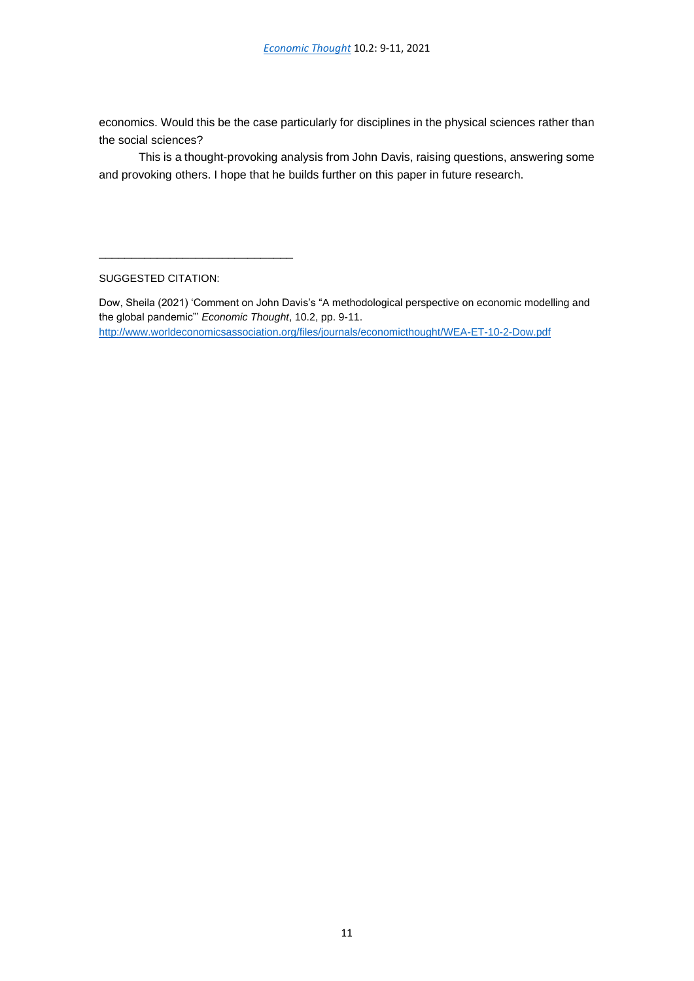economics. Would this be the case particularly for disciplines in the physical sciences rather than the social sciences?

This is a thought-provoking analysis from John Davis, raising questions, answering some and provoking others. I hope that he builds further on this paper in future research.

SUGGESTED CITATION:

\_\_\_\_\_\_\_\_\_\_\_\_\_\_\_\_\_\_\_\_\_\_\_\_\_\_\_\_\_\_

Dow, Sheila (2021) 'Comment on John Davis's "A methodological perspective on economic modelling and the global pandemic"' *Economic Thought*, 10.2, pp. 9-11. <http://www.worldeconomicsassociation.org/files/journals/economicthought/WEA-ET-10-2-Dow.pdf>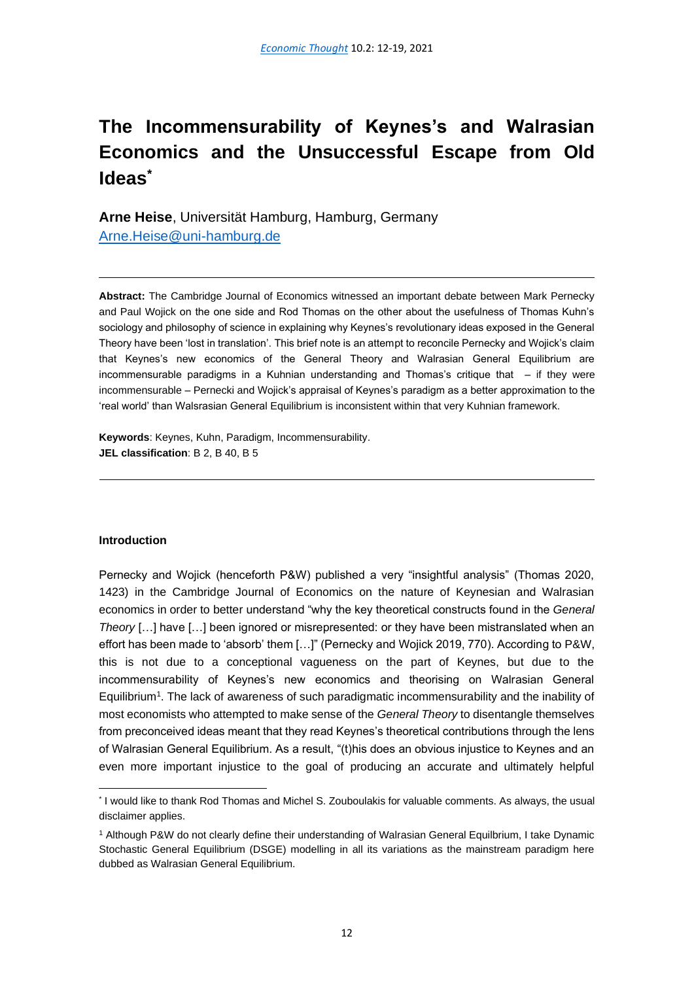# <span id="page-13-0"></span>**The Incommensurability of Keynes's and Walrasian Economics and the Unsuccessful Escape from Old Ideas\***

**Arne Heise**, Universität Hamburg, Hamburg, Germany [Arne.Heise@uni-hamburg.de](mailto:Arne.Heise@uni-hamburg.de)

**Abstract:** The Cambridge Journal of Economics witnessed an important debate between Mark Pernecky and Paul Wojick on the one side and Rod Thomas on the other about the usefulness of Thomas Kuhn's sociology and philosophy of science in explaining why Keynes's revolutionary ideas exposed in the General Theory have been 'lost in translation'. This brief note is an attempt to reconcile Pernecky and Wojick's claim that Keynes's new economics of the General Theory and Walrasian General Equilibrium are incommensurable paradigms in a Kuhnian understanding and Thomas's critique that – if they were incommensurable – Pernecki and Wojick's appraisal of Keynes's paradigm as a better approximation to the 'real world' than Walsrasian General Equilibrium is inconsistent within that very Kuhnian framework.

**Keywords**: Keynes, Kuhn, Paradigm, Incommensurability. **JEL classification**: B 2, B 40, B 5

## **Introduction**

Pernecky and Wojick (henceforth P&W) published a very "insightful analysis" (Thomas 2020, 1423) in the Cambridge Journal of Economics on the nature of Keynesian and Walrasian economics in order to better understand "why the key theoretical constructs found in the *General Theory* […] have […] been ignored or misrepresented: or they have been mistranslated when an effort has been made to 'absorb' them […]" (Pernecky and Wojick 2019, 770). According to P&W, this is not due to a conceptional vagueness on the part of Keynes, but due to the incommensurability of Keynes's new economics and theorising on Walrasian General Equilibrium<sup>1</sup> . The lack of awareness of such paradigmatic incommensurability and the inability of most economists who attempted to make sense of the *General Theory* to disentangle themselves from preconceived ideas meant that they read Keynes's theoretical contributions through the lens of Walrasian General Equilibrium. As a result, "(t)his does an obvious injustice to Keynes and an even more important injustice to the goal of producing an accurate and ultimately helpful

<sup>\*</sup> I would like to thank Rod Thomas and Michel S. Zouboulakis for valuable comments. As always, the usual disclaimer applies.

<sup>1</sup> Although P&W do not clearly define their understanding of Walrasian General Equilbrium, I take Dynamic Stochastic General Equilibrium (DSGE) modelling in all its variations as the mainstream paradigm here dubbed as Walrasian General Equilibrium.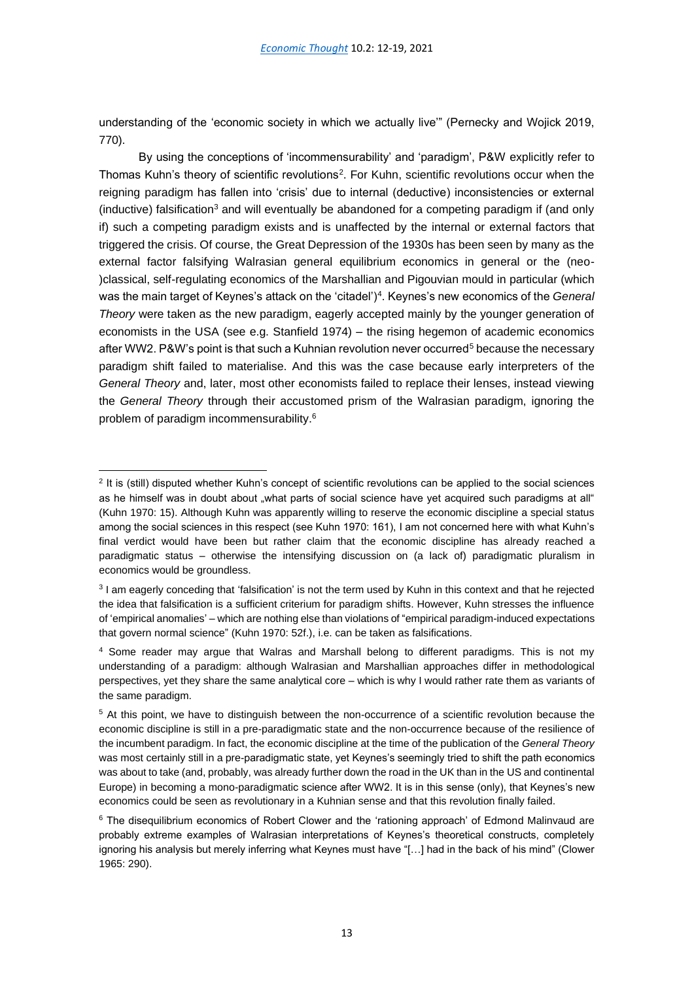understanding of the 'economic society in which we actually live'" (Pernecky and Wojick 2019, 770).

By using the conceptions of 'incommensurability' and 'paradigm', P&W explicitly refer to Thomas Kuhn's theory of scientific revolutions<sup>2</sup>. For Kuhn, scientific revolutions occur when the reigning paradigm has fallen into 'crisis' due to internal (deductive) inconsistencies or external (inductive) falsification<sup>3</sup> and will eventually be abandoned for a competing paradigm if (and only if) such a competing paradigm exists and is unaffected by the internal or external factors that triggered the crisis. Of course, the Great Depression of the 1930s has been seen by many as the external factor falsifying Walrasian general equilibrium economics in general or the (neo- )classical, self-regulating economics of the Marshallian and Pigouvian mould in particular (which was the main target of Keynes's attack on the 'citadel')<sup>4</sup> . Keynes's new economics of the *General Theory* were taken as the new paradigm, eagerly accepted mainly by the younger generation of economists in the USA (see e.g. Stanfield 1974) – the rising hegemon of academic economics after WW2. P&W's point is that such a Kuhnian revolution never occurred<sup>5</sup> because the necessary paradigm shift failed to materialise. And this was the case because early interpreters of the *General Theory* and, later, most other economists failed to replace their lenses, instead viewing the *General Theory* through their accustomed prism of the Walrasian paradigm, ignoring the problem of paradigm incommensurability.<sup>6</sup>

<sup>&</sup>lt;sup>2</sup> It is (still) disputed whether Kuhn's concept of scientific revolutions can be applied to the social sciences as he himself was in doubt about "what parts of social science have yet acquired such paradigms at all" (Kuhn 1970: 15). Although Kuhn was apparently willing to reserve the economic discipline a special status among the social sciences in this respect (see Kuhn 1970: 161), I am not concerned here with what Kuhn's final verdict would have been but rather claim that the economic discipline has already reached a paradigmatic status – otherwise the intensifying discussion on (a lack of) paradigmatic pluralism in economics would be groundless.

<sup>&</sup>lt;sup>3</sup> I am eagerly conceding that 'falsification' is not the term used by Kuhn in this context and that he rejected the idea that falsification is a sufficient criterium for paradigm shifts. However, Kuhn stresses the influence of 'empirical anomalies' – which are nothing else than violations of "empirical paradigm-induced expectations that govern normal science" (Kuhn 1970: 52f.), i.e. can be taken as falsifications.

<sup>4</sup> Some reader may argue that Walras and Marshall belong to different paradigms. This is not my understanding of a paradigm: although Walrasian and Marshallian approaches differ in methodological perspectives, yet they share the same analytical core – which is why I would rather rate them as variants of the same paradigm.

<sup>5</sup> At this point, we have to distinguish between the non-occurrence of a scientific revolution because the economic discipline is still in a pre-paradigmatic state and the non-occurrence because of the resilience of the incumbent paradigm. In fact, the economic discipline at the time of the publication of the *General Theory* was most certainly still in a pre-paradigmatic state, yet Keynes's seemingly tried to shift the path economics was about to take (and, probably, was already further down the road in the UK than in the US and continental Europe) in becoming a mono-paradigmatic science after WW2. It is in this sense (only), that Keynes's new economics could be seen as revolutionary in a Kuhnian sense and that this revolution finally failed.

<sup>&</sup>lt;sup>6</sup> The disequilibrium economics of Robert Clower and the 'rationing approach' of Edmond Malinvaud are probably extreme examples of Walrasian interpretations of Keynes's theoretical constructs, completely ignoring his analysis but merely inferring what Keynes must have "[…] had in the back of his mind" (Clower 1965: 290).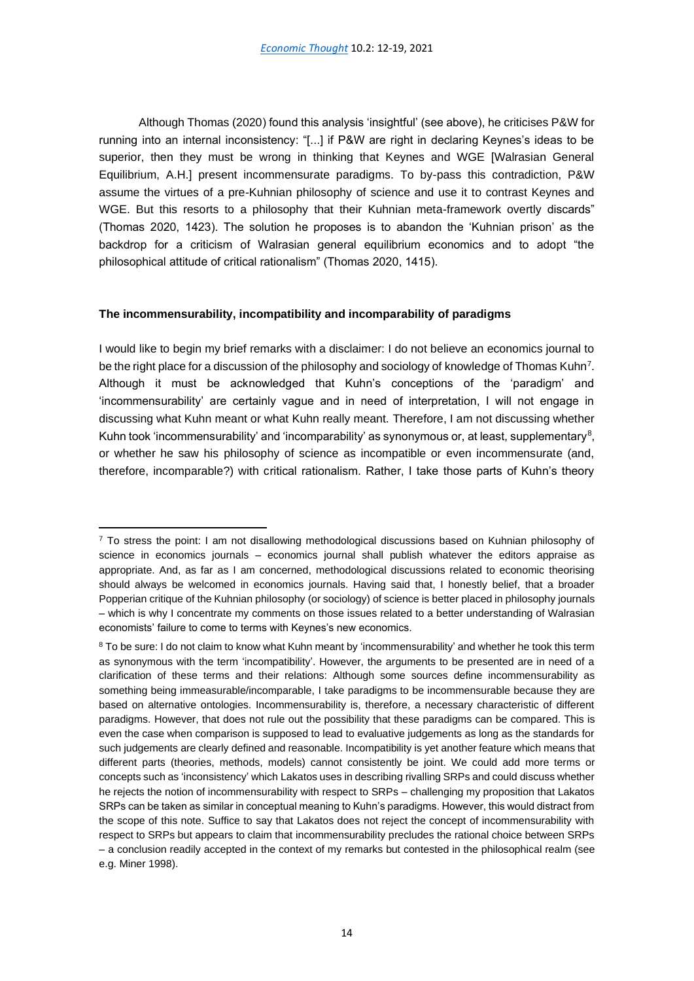Although Thomas (2020) found this analysis 'insightful' (see above), he criticises P&W for running into an internal inconsistency: "[...] if P&W are right in declaring Keynes's ideas to be superior, then they must be wrong in thinking that Keynes and WGE [Walrasian General Equilibrium, A.H.] present incommensurate paradigms. To by-pass this contradiction, P&W assume the virtues of a pre-Kuhnian philosophy of science and use it to contrast Keynes and WGE. But this resorts to a philosophy that their Kuhnian meta-framework overtly discards" (Thomas 2020, 1423). The solution he proposes is to abandon the 'Kuhnian prison' as the backdrop for a criticism of Walrasian general equilibrium economics and to adopt "the philosophical attitude of critical rationalism" (Thomas 2020, 1415).

## **The incommensurability, incompatibility and incomparability of paradigms**

I would like to begin my brief remarks with a disclaimer: I do not believe an economics journal to be the right place for a discussion of the philosophy and sociology of knowledge of Thomas Kuhn<sup>7</sup>. Although it must be acknowledged that Kuhn's conceptions of the 'paradigm' and 'incommensurability' are certainly vague and in need of interpretation, I will not engage in discussing what Kuhn meant or what Kuhn really meant. Therefore, I am not discussing whether Kuhn took 'incommensurability' and 'incomparability' as synonymous or, at least, supplementary<sup>8</sup>, or whether he saw his philosophy of science as incompatible or even incommensurate (and, therefore, incomparable?) with critical rationalism. Rather, I take those parts of Kuhn's theory

<sup>&</sup>lt;sup>7</sup> To stress the point: I am not disallowing methodological discussions based on Kuhnian philosophy of science in economics journals – economics journal shall publish whatever the editors appraise as appropriate. And, as far as I am concerned, methodological discussions related to economic theorising should always be welcomed in economics journals. Having said that, I honestly belief, that a broader Popperian critique of the Kuhnian philosophy (or sociology) of science is better placed in philosophy journals – which is why I concentrate my comments on those issues related to a better understanding of Walrasian economists' failure to come to terms with Keynes's new economics.

<sup>&</sup>lt;sup>8</sup> To be sure: I do not claim to know what Kuhn meant by 'incommensurability' and whether he took this term as synonymous with the term 'incompatibility'. However, the arguments to be presented are in need of a clarification of these terms and their relations: Although some sources define incommensurability as something being immeasurable/incomparable, I take paradigms to be incommensurable because they are based on alternative ontologies. Incommensurability is, therefore, a necessary characteristic of different paradigms. However, that does not rule out the possibility that these paradigms can be compared. This is even the case when comparison is supposed to lead to evaluative judgements as long as the standards for such judgements are clearly defined and reasonable. Incompatibility is yet another feature which means that different parts (theories, methods, models) cannot consistently be joint. We could add more terms or concepts such as 'inconsistency' which Lakatos uses in describing rivalling SRPs and could discuss whether he rejects the notion of incommensurability with respect to SRPs – challenging my proposition that Lakatos SRPs can be taken as similar in conceptual meaning to Kuhn's paradigms. However, this would distract from the scope of this note. Suffice to say that Lakatos does not reject the concept of incommensurability with respect to SRPs but appears to claim that incommensurability precludes the rational choice between SRPs – a conclusion readily accepted in the context of my remarks but contested in the philosophical realm (see e.g. Miner 1998).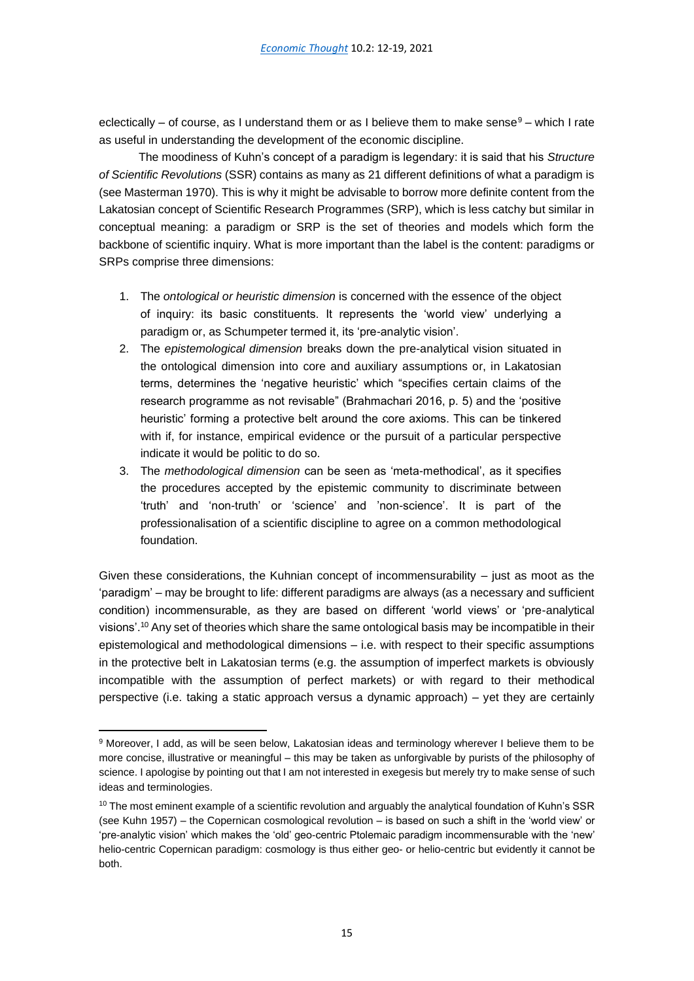eclectically – of course, as I understand them or as I believe them to make sense $9 -$  which I rate as useful in understanding the development of the economic discipline.

The moodiness of Kuhn's concept of a paradigm is legendary: it is said that his *Structure of Scientific Revolutions* (SSR) contains as many as 21 different definitions of what a paradigm is (see Masterman 1970). This is why it might be advisable to borrow more definite content from the Lakatosian concept of Scientific Research Programmes (SRP), which is less catchy but similar in conceptual meaning: a paradigm or SRP is the set of theories and models which form the backbone of scientific inquiry. What is more important than the label is the content: paradigms or SRPs comprise three dimensions:

- 1. The *ontological or heuristic dimension* is concerned with the essence of the object of inquiry: its basic constituents. It represents the 'world view' underlying a paradigm or, as Schumpeter termed it, its 'pre-analytic vision'.
- 2. The *epistemological dimension* breaks down the pre-analytical vision situated in the ontological dimension into core and auxiliary assumptions or, in Lakatosian terms, determines the 'negative heuristic' which "specifies certain claims of the research programme as not revisable" (Brahmachari 2016, p. 5) and the 'positive heuristic' forming a protective belt around the core axioms. This can be tinkered with if, for instance, empirical evidence or the pursuit of a particular perspective indicate it would be politic to do so.
- 3. The *methodological dimension* can be seen as 'meta-methodical', as it specifies the procedures accepted by the epistemic community to discriminate between 'truth' and 'non-truth' or 'science' and 'non-science'. It is part of the professionalisation of a scientific discipline to agree on a common methodological foundation.

Given these considerations, the Kuhnian concept of incommensurability – just as moot as the 'paradigm' – may be brought to life: different paradigms are always (as a necessary and sufficient condition) incommensurable, as they are based on different 'world views' or 'pre-analytical visions'.<sup>10</sup> Any set of theories which share the same ontological basis may be incompatible in their epistemological and methodological dimensions – i.e. with respect to their specific assumptions in the protective belt in Lakatosian terms (e.g. the assumption of imperfect markets is obviously incompatible with the assumption of perfect markets) or with regard to their methodical perspective (i.e. taking a static approach versus a dynamic approach) – yet they are certainly

<sup>9</sup> Moreover, I add, as will be seen below, Lakatosian ideas and terminology wherever I believe them to be more concise, illustrative or meaningful – this may be taken as unforgivable by purists of the philosophy of science. I apologise by pointing out that I am not interested in exegesis but merely try to make sense of such ideas and terminologies.

 $10$  The most eminent example of a scientific revolution and arguably the analytical foundation of Kuhn's SSR (see Kuhn 1957) – the Copernican cosmological revolution – is based on such a shift in the 'world view' or 'pre-analytic vision' which makes the 'old' geo-centric Ptolemaic paradigm incommensurable with the 'new' helio-centric Copernican paradigm: cosmology is thus either geo- or helio-centric but evidently it cannot be both.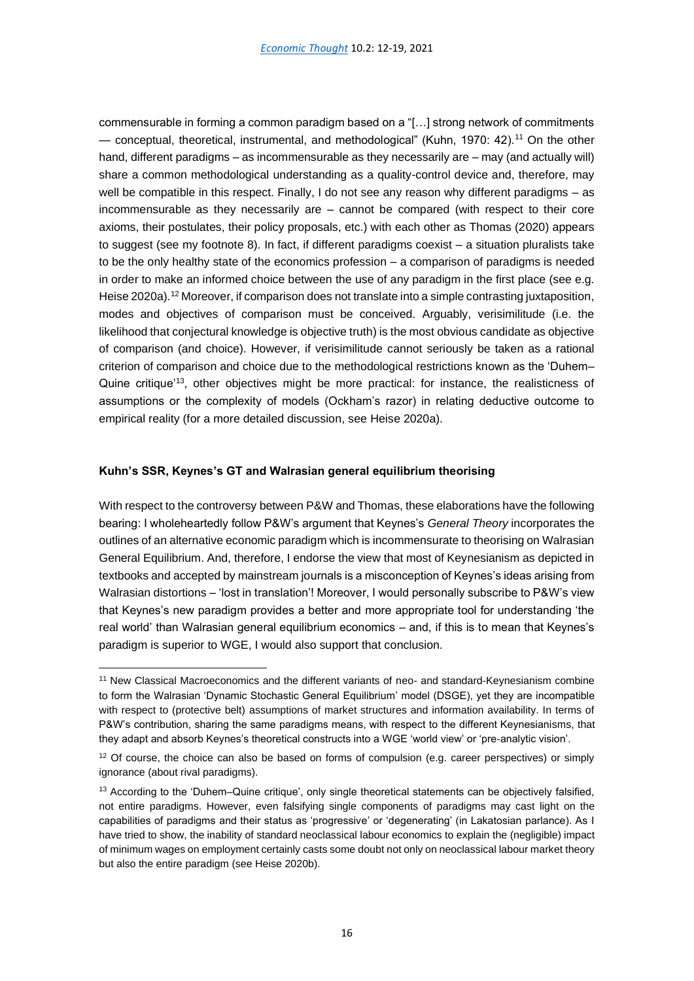commensurable in forming a common paradigm based on a "[…] strong network of commitments — conceptual, theoretical, instrumental, and methodological" (Kuhn, 1970: 42).<sup>11</sup> On the other hand, different paradigms – as incommensurable as they necessarily are – may (and actually will) share a common methodological understanding as a quality-control device and, therefore, may well be compatible in this respect. Finally, I do not see any reason why different paradigms – as incommensurable as they necessarily are – cannot be compared (with respect to their core axioms, their postulates, their policy proposals, etc.) with each other as Thomas (2020) appears to suggest (see my footnote 8). In fact, if different paradigms coexist – a situation pluralists take to be the only healthy state of the economics profession – a comparison of paradigms is needed in order to make an informed choice between the use of any paradigm in the first place (see e.g. Heise 2020a).<sup>12</sup> Moreover, if comparison does not translate into a simple contrasting juxtaposition, modes and objectives of comparison must be conceived. Arguably, verisimilitude (i.e. the likelihood that conjectural knowledge is objective truth) is the most obvious candidate as objective of comparison (and choice). However, if verisimilitude cannot seriously be taken as a rational criterion of comparison and choice due to the methodological restrictions known as the 'Duhem– Quine critique'<sup>13</sup>, other objectives might be more practical: for instance, the realisticness of assumptions or the complexity of models (Ockham's razor) in relating deductive outcome to empirical reality (for a more detailed discussion, see Heise 2020a).

## **Kuhn's SSR, Keynes's GT and Walrasian general equilibrium theorising**

With respect to the controversy between P&W and Thomas, these elaborations have the following bearing: I wholeheartedly follow P&W's argument that Keynes's *General Theory* incorporates the outlines of an alternative economic paradigm which is incommensurate to theorising on Walrasian General Equilibrium. And, therefore, I endorse the view that most of Keynesianism as depicted in textbooks and accepted by mainstream journals is a misconception of Keynes's ideas arising from Walrasian distortions – 'lost in translation'! Moreover, I would personally subscribe to P&W's view that Keynes's new paradigm provides a better and more appropriate tool for understanding 'the real world' than Walrasian general equilibrium economics – and, if this is to mean that Keynes's paradigm is superior to WGE, I would also support that conclusion.

<sup>11</sup> New Classical Macroeconomics and the different variants of neo- and standard-Keynesianism combine to form the Walrasian 'Dynamic Stochastic General Equilibrium' model (DSGE), yet they are incompatible with respect to (protective belt) assumptions of market structures and information availability. In terms of P&W's contribution, sharing the same paradigms means, with respect to the different Keynesianisms, that they adapt and absorb Keynes's theoretical constructs into a WGE 'world view' or 'pre-analytic vision'.

<sup>&</sup>lt;sup>12</sup> Of course, the choice can also be based on forms of compulsion (e.g. career perspectives) or simply ignorance (about rival paradigms).

<sup>&</sup>lt;sup>13</sup> According to the 'Duhem–Quine critique', only single theoretical statements can be objectively falsified, not entire paradigms. However, even falsifying single components of paradigms may cast light on the capabilities of paradigms and their status as 'progressive' or 'degenerating' (in Lakatosian parlance). As I have tried to show, the inability of standard neoclassical labour economics to explain the (negligible) impact of minimum wages on employment certainly casts some doubt not only on neoclassical labour market theory but also the entire paradigm (see Heise 2020b).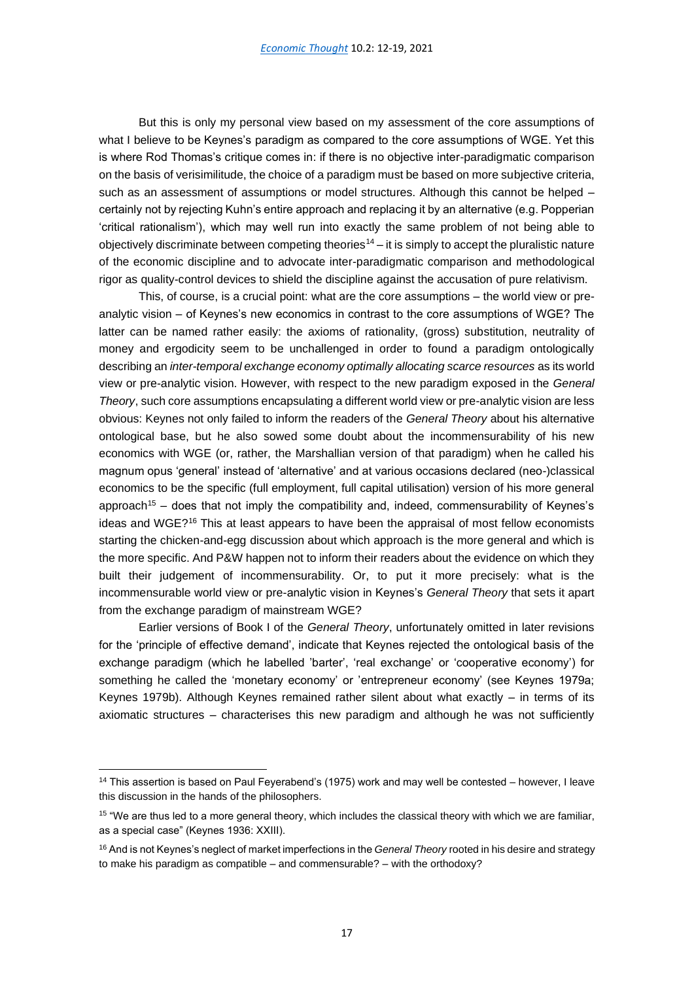But this is only my personal view based on my assessment of the core assumptions of what I believe to be Keynes's paradigm as compared to the core assumptions of WGE. Yet this is where Rod Thomas's critique comes in: if there is no objective inter-paradigmatic comparison on the basis of verisimilitude, the choice of a paradigm must be based on more subjective criteria, such as an assessment of assumptions or model structures. Although this cannot be helped – certainly not by rejecting Kuhn's entire approach and replacing it by an alternative (e.g. Popperian 'critical rationalism'), which may well run into exactly the same problem of not being able to objectively discriminate between competing theories<sup>14</sup> – it is simply to accept the pluralistic nature of the economic discipline and to advocate inter-paradigmatic comparison and methodological rigor as quality-control devices to shield the discipline against the accusation of pure relativism.

This, of course, is a crucial point: what are the core assumptions – the world view or preanalytic vision – of Keynes's new economics in contrast to the core assumptions of WGE? The latter can be named rather easily: the axioms of rationality, (gross) substitution, neutrality of money and ergodicity seem to be unchallenged in order to found a paradigm ontologically describing an *inter-temporal exchange economy optimally allocating scarce resources* as its world view or pre-analytic vision. However, with respect to the new paradigm exposed in the *General Theory*, such core assumptions encapsulating a different world view or pre-analytic vision are less obvious: Keynes not only failed to inform the readers of the *General Theory* about his alternative ontological base, but he also sowed some doubt about the incommensurability of his new economics with WGE (or, rather, the Marshallian version of that paradigm) when he called his magnum opus 'general' instead of 'alternative' and at various occasions declared (neo-)classical economics to be the specific (full employment, full capital utilisation) version of his more general approach<sup>15</sup> – does that not imply the compatibility and, indeed, commensurability of Keynes's ideas and WGE?<sup>16</sup> This at least appears to have been the appraisal of most fellow economists starting the chicken-and-egg discussion about which approach is the more general and which is the more specific. And P&W happen not to inform their readers about the evidence on which they built their judgement of incommensurability. Or, to put it more precisely: what is the incommensurable world view or pre-analytic vision in Keynes's *General Theory* that sets it apart from the exchange paradigm of mainstream WGE?

Earlier versions of Book I of the *General Theory*, unfortunately omitted in later revisions for the 'principle of effective demand', indicate that Keynes rejected the ontological basis of the exchange paradigm (which he labelled 'barter', 'real exchange' or 'cooperative economy') for something he called the 'monetary economy' or 'entrepreneur economy' (see Keynes 1979a; Keynes 1979b). Although Keynes remained rather silent about what exactly – in terms of its axiomatic structures – characterises this new paradigm and although he was not sufficiently

<sup>&</sup>lt;sup>14</sup> This assertion is based on Paul Feyerabend's (1975) work and may well be contested – however, I leave this discussion in the hands of the philosophers.

<sup>&</sup>lt;sup>15</sup> "We are thus led to a more general theory, which includes the classical theory with which we are familiar, as a special case" (Keynes 1936: XXIII).

<sup>16</sup> And is not Keynes's neglect of market imperfections in the *General Theory* rooted in his desire and strategy to make his paradigm as compatible – and commensurable? – with the orthodoxy?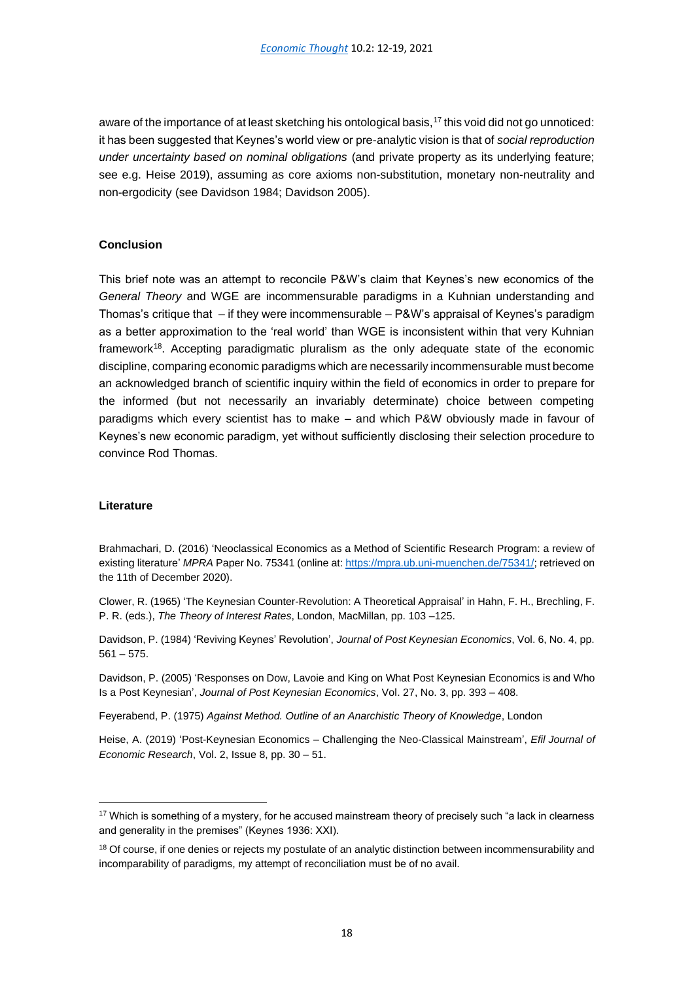aware of the importance of at least sketching his ontological basis, $17$  this void did not go unnoticed: it has been suggested that Keynes's world view or pre-analytic vision is that of *social reproduction under uncertainty based on nominal obligations* (and private property as its underlying feature; see e.g. Heise 2019), assuming as core axioms non-substitution, monetary non-neutrality and non-ergodicity (see Davidson 1984; Davidson 2005).

## **Conclusion**

This brief note was an attempt to reconcile P&W's claim that Keynes's new economics of the *General Theory* and WGE are incommensurable paradigms in a Kuhnian understanding and Thomas's critique that – if they were incommensurable – P&W's appraisal of Keynes's paradigm as a better approximation to the 'real world' than WGE is inconsistent within that very Kuhnian framework<sup>18</sup>. Accepting paradigmatic pluralism as the only adequate state of the economic discipline, comparing economic paradigms which are necessarily incommensurable must become an acknowledged branch of scientific inquiry within the field of economics in order to prepare for the informed (but not necessarily an invariably determinate) choice between competing paradigms which every scientist has to make – and which P&W obviously made in favour of Keynes's new economic paradigm, yet without sufficiently disclosing their selection procedure to convince Rod Thomas.

## **Literature**

Brahmachari, D. (2016) 'Neoclassical Economics as a Method of Scientific Research Program: a review of existing literature' *MPRA* Paper No. 75341 (online at[: https://mpra.ub.uni-muenchen.de/75341/;](about:blank) retrieved on the 11th of December 2020).

Clower, R. (1965) 'The Keynesian Counter-Revolution: A Theoretical Appraisal' in Hahn, F. H., Brechling, F. P. R. (eds.), *The Theory of Interest Rates*, London, MacMillan, pp. 103 –125.

Davidson, P. (1984) 'Reviving Keynes' Revolution', *Journal of Post Keynesian Economics*, Vol. 6, No. 4, pp. 561 – 575.

Davidson, P. (2005) 'Responses on Dow, Lavoie and King on What Post Keynesian Economics is and Who Is a Post Keynesian', *Journal of Post Keynesian Economics*, Vol. 27, No. 3, pp. 393 – 408.

Feyerabend, P. (1975) *Against Method. Outline of an Anarchistic Theory of Knowledge*, London

Heise, A. (2019) 'Post-Keynesian Economics – Challenging the Neo-Classical Mainstream', *Efil Journal of Economic Research*, Vol. 2, Issue 8, pp. 30 – 51.

<sup>&</sup>lt;sup>17</sup> Which is something of a mystery, for he accused mainstream theory of precisely such "a lack in clearness and generality in the premises" (Keynes 1936: XXI).

<sup>&</sup>lt;sup>18</sup> Of course, if one denies or rejects my postulate of an analytic distinction between incommensurability and incomparability of paradigms, my attempt of reconciliation must be of no avail.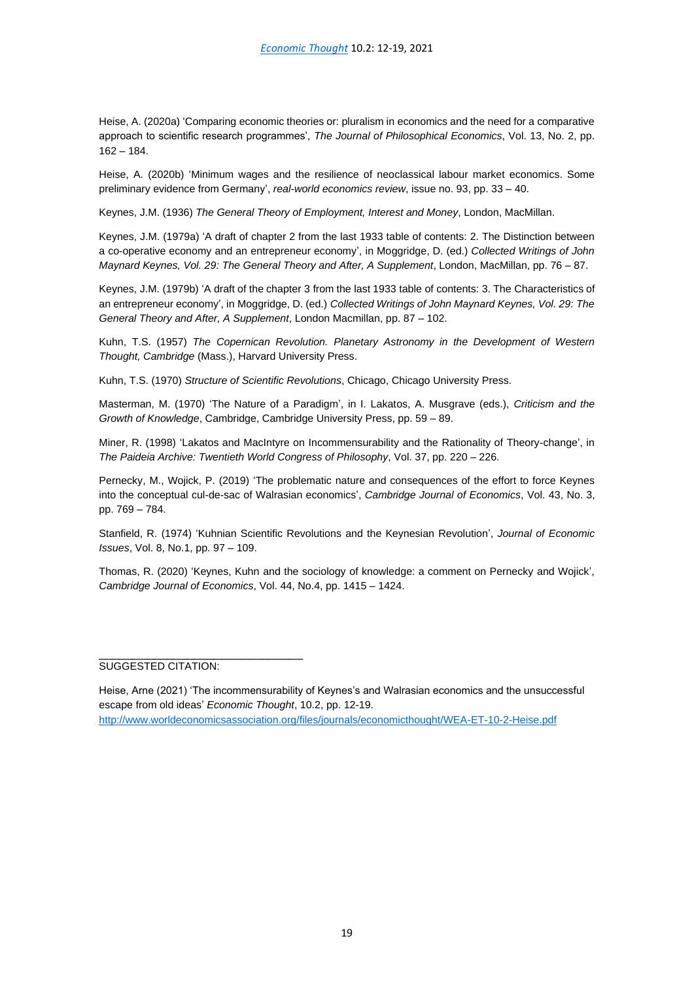Heise, A. (2020a) 'Comparing economic theories or: pluralism in economics and the need for a comparative approach to scientific research programmes', *The Journal of Philosophical Economics*, Vol. 13, No. 2, pp. 162 – 184.

Heise, A. (2020b) 'Minimum wages and the resilience of neoclassical labour market economics. Some preliminary evidence from Germany', *real-world economics review*, issue no. 93, pp. 33 – 40.

Keynes, J.M. (1936) *The General Theory of Employment, Interest and Money*, London, MacMillan.

Keynes, J.M. (1979a) 'A draft of chapter 2 from the last 1933 table of contents: 2. The Distinction between a co-operative economy and an entrepreneur economy', in Moggridge, D. (ed.) *Collected Writings of John Maynard Keynes, Vol. 29: The General Theory and After, A Supplement*, London, MacMillan, pp. 76 – 87.

Keynes, J.M. (1979b) 'A draft of the chapter 3 from the last 1933 table of contents: 3. The Characteristics of an entrepreneur economy', in Moggridge, D. (ed.) *Collected Writings of John Maynard Keynes, Vol. 29: The General Theory and After, A Supplement*, London Macmillan, pp. 87 – 102.

Kuhn, T.S. (1957) *The Copernican Revolution. Planetary Astronomy in the Development of Western Thought, Cambridge* (Mass.), Harvard University Press.

Kuhn, T.S. (1970) *Structure of Scientific Revolutions*, Chicago, Chicago University Press.

Masterman, M. (1970) 'The Nature of a Paradigm', in I. Lakatos, A. Musgrave (eds.), *Criticism and the Growth of Knowledge*, Cambridge, Cambridge University Press, pp. 59 – 89.

Miner, R. (1998) 'Lakatos and MacIntyre on Incommensurability and the Rationality of Theory-change', in *The Paideia Archive: Twentieth World Congress of Philosophy*, Vol. 37, pp. 220 – 226.

Pernecky, M., Wojick, P. (2019) 'The problematic nature and consequences of the effort to force Keynes into the conceptual cul-de-sac of Walrasian economics', *Cambridge Journal of Economics*, Vol. 43, No. 3, pp. 769 – 784.

Stanfield, R. (1974) 'Kuhnian Scientific Revolutions and the Keynesian Revolution', *Journal of Economic Issues*, Vol. 8, No.1, pp. 97 – 109.

Thomas, R. (2020) 'Keynes, Kuhn and the sociology of knowledge: a comment on Pernecky and Wojick', *Cambridge Journal of Economics*, Vol. 44, No.4, pp. 1415 – 1424.

\_\_\_\_\_\_\_\_\_\_\_\_\_\_\_\_\_\_\_\_\_\_\_\_\_\_\_\_\_\_ SUGGESTED CITATION:

Heise, Arne (2021) 'The incommensurability of Keynes's and Walrasian economics and the unsuccessful escape from old ideas' *Economic Thought*, 10.2, pp. 12-19. <http://www.worldeconomicsassociation.org/files/journals/economicthought/WEA-ET-10-2-Heise.pdf>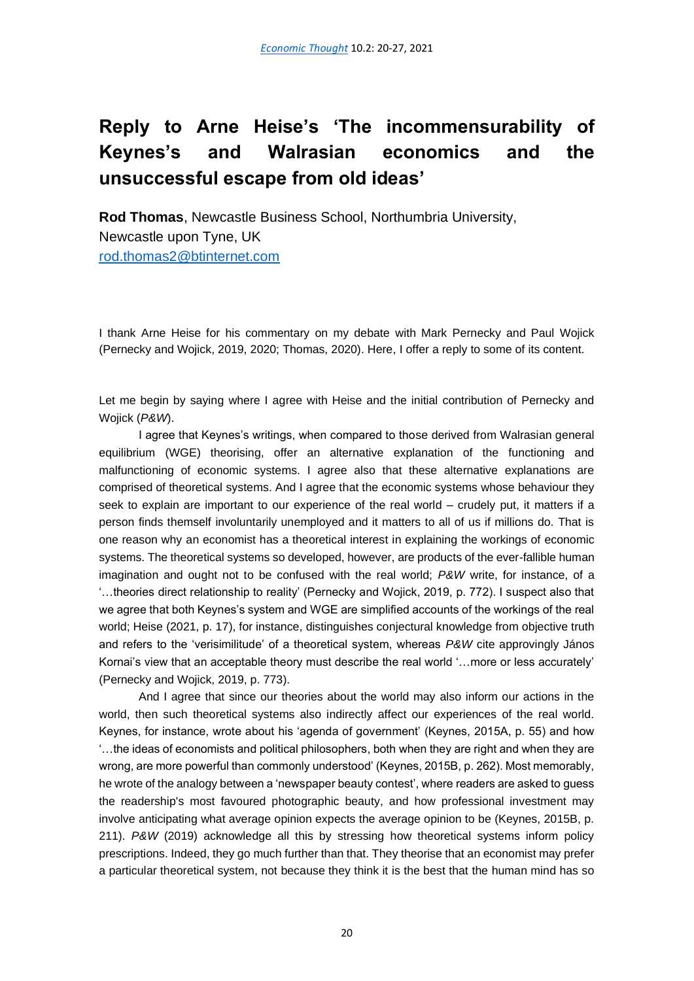# <span id="page-21-0"></span>**Reply to Arne Heise's 'The incommensurability of Keynes's and Walrasian economics and the unsuccessful escape from old ideas'**

**Rod Thomas**, Newcastle Business School, Northumbria University, Newcastle upon Tyne, UK [rod.thomas2@btinternet.com](mailto:rod.thomas2@btinternet.com)

I thank Arne Heise for his commentary on my debate with Mark Pernecky and Paul Wojick (Pernecky and Wojick, 2019, 2020; Thomas, 2020). Here, I offer a reply to some of its content.

Let me begin by saying where I agree with Heise and the initial contribution of Pernecky and Wojick (*P&W*).

I agree that Keynes's writings, when compared to those derived from Walrasian general equilibrium (WGE) theorising, offer an alternative explanation of the functioning and malfunctioning of economic systems. I agree also that these alternative explanations are comprised of theoretical systems. And I agree that the economic systems whose behaviour they seek to explain are important to our experience of the real world – crudely put, it matters if a person finds themself involuntarily unemployed and it matters to all of us if millions do. That is one reason why an economist has a theoretical interest in explaining the workings of economic systems. The theoretical systems so developed, however, are products of the ever-fallible human imagination and ought not to be confused with the real world; *P&W* write, for instance, of a '…theories direct relationship to reality' (Pernecky and Wojick, 2019, p. 772). I suspect also that we agree that both Keynes's system and WGE are simplified accounts of the workings of the real world; Heise (2021, p. 17), for instance, distinguishes conjectural knowledge from objective truth and refers to the 'verisimilitude' of a theoretical system, whereas *P&W* cite approvingly János Kornai's view that an acceptable theory must describe the real world '…more or less accurately' (Pernecky and Wojick, 2019, p. 773).

And I agree that since our theories about the world may also inform our actions in the world, then such theoretical systems also indirectly affect our experiences of the real world. Keynes, for instance, wrote about his 'agenda of government' (Keynes, 2015A, p. 55) and how '…the ideas of economists and political philosophers, both when they are right and when they are wrong, are more powerful than commonly understood' (Keynes, 2015B, p. 262). Most memorably, he wrote of the analogy between a 'newspaper beauty contest', where readers are asked to guess the readership's most favoured photographic beauty, and how professional investment may involve anticipating what average opinion expects the average opinion to be (Keynes, 2015B, p. 211). *P&W* (2019) acknowledge all this by stressing how theoretical systems inform policy prescriptions. Indeed, they go much further than that. They theorise that an economist may prefer a particular theoretical system, not because they think it is the best that the human mind has so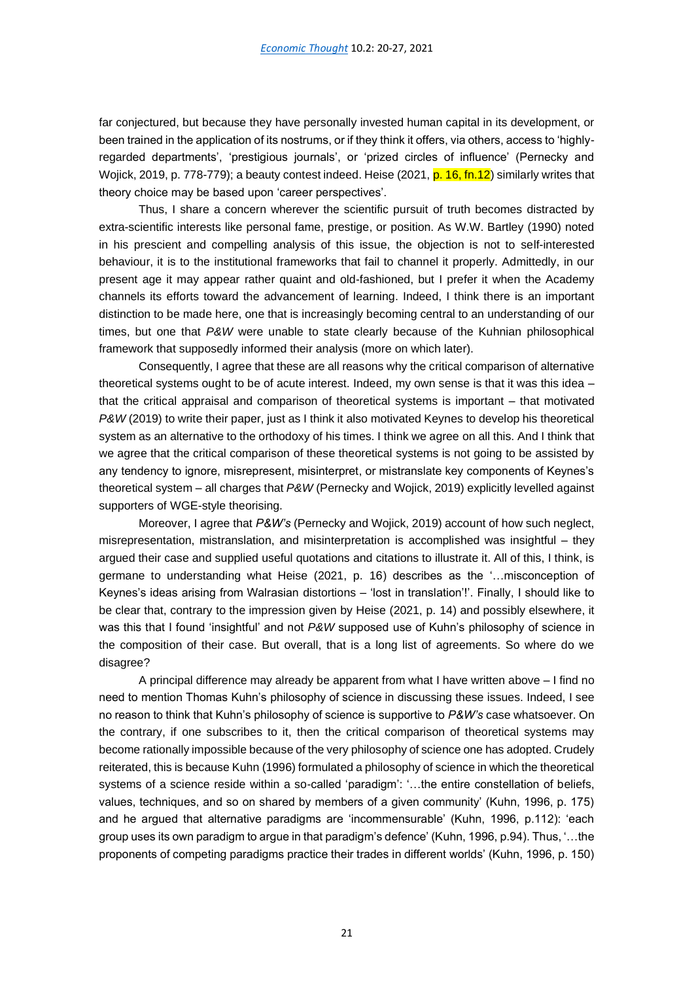far conjectured, but because they have personally invested human capital in its development, or been trained in the application of its nostrums, or if they think it offers, via others, access to 'highlyregarded departments', 'prestigious journals', or 'prized circles of influence' (Pernecky and Wojick, 2019, p. 778-779); a beauty contest indeed. Heise (2021, p. 16, fn. 12) similarly writes that theory choice may be based upon 'career perspectives'.

Thus, I share a concern wherever the scientific pursuit of truth becomes distracted by extra-scientific interests like personal fame, prestige, or position. As W.W. Bartley (1990) noted in his prescient and compelling analysis of this issue, the objection is not to self-interested behaviour, it is to the institutional frameworks that fail to channel it properly. Admittedly, in our present age it may appear rather quaint and old-fashioned, but I prefer it when the Academy channels its efforts toward the advancement of learning. Indeed, I think there is an important distinction to be made here, one that is increasingly becoming central to an understanding of our times, but one that *P&W* were unable to state clearly because of the Kuhnian philosophical framework that supposedly informed their analysis (more on which later).

Consequently, I agree that these are all reasons why the critical comparison of alternative theoretical systems ought to be of acute interest. Indeed, my own sense is that it was this idea – that the critical appraisal and comparison of theoretical systems is important – that motivated *P&W* (2019) to write their paper, just as I think it also motivated Keynes to develop his theoretical system as an alternative to the orthodoxy of his times. I think we agree on all this. And I think that we agree that the critical comparison of these theoretical systems is not going to be assisted by any tendency to ignore, misrepresent, misinterpret, or mistranslate key components of Keynes's theoretical system – all charges that *P&W* (Pernecky and Wojick, 2019) explicitly levelled against supporters of WGE-style theorising.

Moreover, I agree that *P&W's* (Pernecky and Wojick, 2019) account of how such neglect, misrepresentation, mistranslation, and misinterpretation is accomplished was insightful – they argued their case and supplied useful quotations and citations to illustrate it. All of this, I think, is germane to understanding what Heise (2021, p. 16) describes as the '…misconception of Keynes's ideas arising from Walrasian distortions – 'lost in translation'!'. Finally, I should like to be clear that, contrary to the impression given by Heise (2021, p. 14) and possibly elsewhere, it was this that I found 'insightful' and not *P&W* supposed use of Kuhn's philosophy of science in the composition of their case. But overall, that is a long list of agreements. So where do we disagree?

A principal difference may already be apparent from what I have written above – I find no need to mention Thomas Kuhn's philosophy of science in discussing these issues. Indeed, I see no reason to think that Kuhn's philosophy of science is supportive to *P&W's* case whatsoever. On the contrary, if one subscribes to it, then the critical comparison of theoretical systems may become rationally impossible because of the very philosophy of science one has adopted. Crudely reiterated, this is because Kuhn (1996) formulated a philosophy of science in which the theoretical systems of a science reside within a so-called 'paradigm': '...the entire constellation of beliefs, values, techniques, and so on shared by members of a given community' (Kuhn, 1996, p. 175) and he argued that alternative paradigms are 'incommensurable' (Kuhn, 1996, p.112): 'each group uses its own paradigm to argue in that paradigm's defence' (Kuhn, 1996, p.94). Thus, '…the proponents of competing paradigms practice their trades in different worlds' (Kuhn, 1996, p. 150)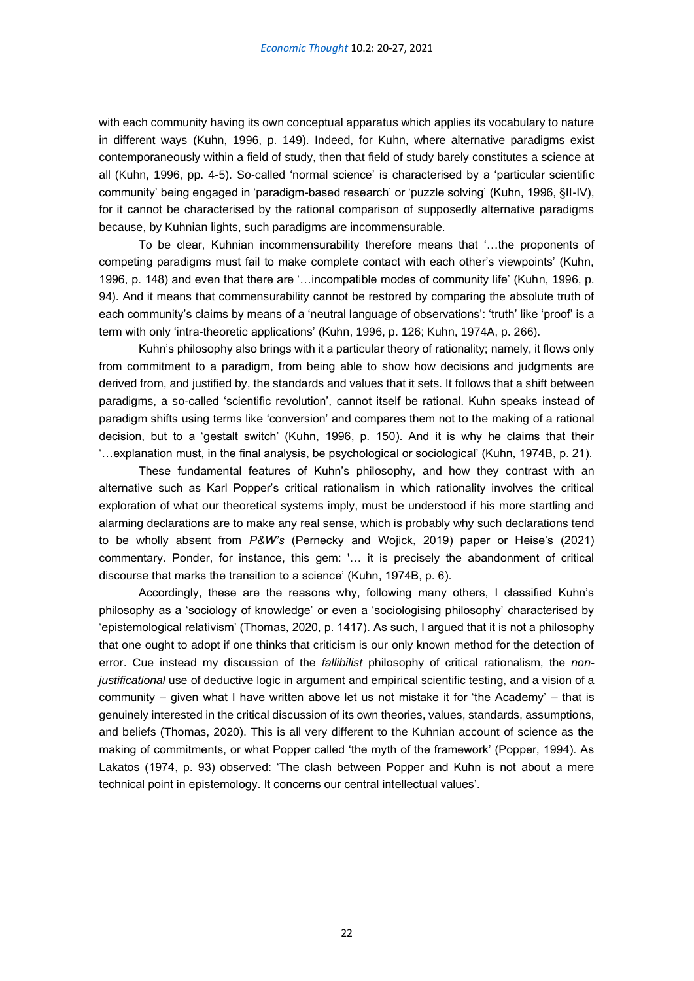with each community having its own conceptual apparatus which applies its vocabulary to nature in different ways (Kuhn, 1996, p. 149). Indeed, for Kuhn, where alternative paradigms exist contemporaneously within a field of study, then that field of study barely constitutes a science at all (Kuhn, 1996, pp. 4-5). So-called 'normal science' is characterised by a 'particular scientific community' being engaged in 'paradigm-based research' or 'puzzle solving' (Kuhn, 1996, §II-IV), for it cannot be characterised by the rational comparison of supposedly alternative paradigms because, by Kuhnian lights, such paradigms are incommensurable.

To be clear, Kuhnian incommensurability therefore means that '…the proponents of competing paradigms must fail to make complete contact with each other's viewpoints' (Kuhn, 1996, p. 148) and even that there are '…incompatible modes of community life' (Kuhn, 1996, p. 94). And it means that commensurability cannot be restored by comparing the absolute truth of each community's claims by means of a 'neutral language of observations': 'truth' like 'proof' is a term with only 'intra-theoretic applications' (Kuhn, 1996, p. 126; Kuhn, 1974A, p. 266).

Kuhn's philosophy also brings with it a particular theory of rationality; namely, it flows only from commitment to a paradigm, from being able to show how decisions and judgments are derived from, and justified by, the standards and values that it sets. It follows that a shift between paradigms, a so-called 'scientific revolution', cannot itself be rational. Kuhn speaks instead of paradigm shifts using terms like 'conversion' and compares them not to the making of a rational decision, but to a 'gestalt switch' (Kuhn, 1996, p. 150). And it is why he claims that their '…explanation must, in the final analysis, be psychological or sociological' (Kuhn, 1974B, p. 21).

These fundamental features of Kuhn's philosophy, and how they contrast with an alternative such as Karl Popper's critical rationalism in which rationality involves the critical exploration of what our theoretical systems imply, must be understood if his more startling and alarming declarations are to make any real sense, which is probably why such declarations tend to be wholly absent from *P&W's* (Pernecky and Wojick, 2019) paper or Heise's (2021) commentary. Ponder, for instance, this gem: '… it is precisely the abandonment of critical discourse that marks the transition to a science' (Kuhn, 1974B, p. 6).

Accordingly, these are the reasons why, following many others, I classified Kuhn's philosophy as a 'sociology of knowledge' or even a 'sociologising philosophy' characterised by 'epistemological relativism' (Thomas, 2020, p. 1417). As such, I argued that it is not a philosophy that one ought to adopt if one thinks that criticism is our only known method for the detection of error. Cue instead my discussion of the *fallibilist* philosophy of critical rationalism, the *nonjustificational* use of deductive logic in argument and empirical scientific testing, and a vision of a community – given what I have written above let us not mistake it for 'the Academy' – that is genuinely interested in the critical discussion of its own theories, values, standards, assumptions, and beliefs (Thomas, 2020). This is all very different to the Kuhnian account of science as the making of commitments, or what Popper called 'the myth of the framework' (Popper, 1994). As Lakatos (1974, p. 93) observed: 'The clash between Popper and Kuhn is not about a mere technical point in epistemology. It concerns our central intellectual values'.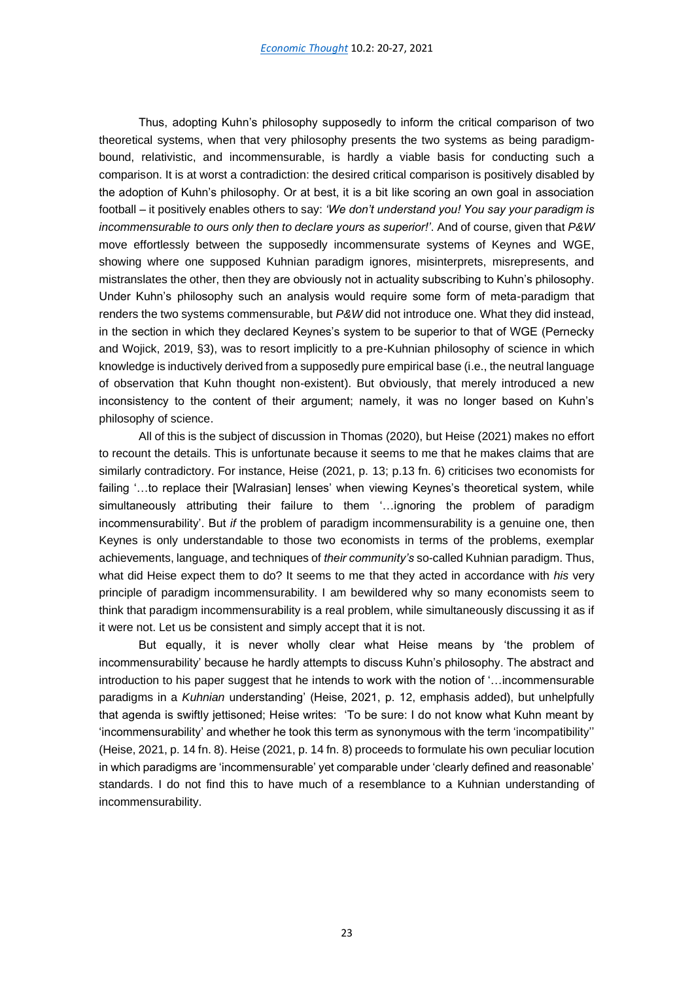Thus, adopting Kuhn's philosophy supposedly to inform the critical comparison of two theoretical systems, when that very philosophy presents the two systems as being paradigmbound, relativistic, and incommensurable, is hardly a viable basis for conducting such a comparison. It is at worst a contradiction: the desired critical comparison is positively disabled by the adoption of Kuhn's philosophy. Or at best, it is a bit like scoring an own goal in association football – it positively enables others to say: *'We don't understand you! You say your paradigm is incommensurable to ours only then to declare yours as superior!'*. And of course, given that *P&W* move effortlessly between the supposedly incommensurate systems of Keynes and WGE, showing where one supposed Kuhnian paradigm ignores, misinterprets, misrepresents, and mistranslates the other, then they are obviously not in actuality subscribing to Kuhn's philosophy. Under Kuhn's philosophy such an analysis would require some form of meta-paradigm that renders the two systems commensurable, but *P&W* did not introduce one. What they did instead, in the section in which they declared Keynes's system to be superior to that of WGE (Pernecky and Wojick, 2019, §3), was to resort implicitly to a pre-Kuhnian philosophy of science in which knowledge is inductively derived from a supposedly pure empirical base (i.e., the neutral language of observation that Kuhn thought non-existent). But obviously, that merely introduced a new inconsistency to the content of their argument; namely, it was no longer based on Kuhn's philosophy of science.

All of this is the subject of discussion in Thomas (2020), but Heise (2021) makes no effort to recount the details. This is unfortunate because it seems to me that he makes claims that are similarly contradictory. For instance, Heise (2021, p. 13; p.13 fn. 6) criticises two economists for failing '...to replace their [Walrasian] lenses' when viewing Keynes's theoretical system, while simultaneously attributing their failure to them '…ignoring the problem of paradigm incommensurability'. But *if* the problem of paradigm incommensurability is a genuine one, then Keynes is only understandable to those two economists in terms of the problems, exemplar achievements, language, and techniques of *their community's* so-called Kuhnian paradigm. Thus, what did Heise expect them to do? It seems to me that they acted in accordance with *his* very principle of paradigm incommensurability. I am bewildered why so many economists seem to think that paradigm incommensurability is a real problem, while simultaneously discussing it as if it were not. Let us be consistent and simply accept that it is not.

But equally, it is never wholly clear what Heise means by 'the problem of incommensurability' because he hardly attempts to discuss Kuhn's philosophy. The abstract and introduction to his paper suggest that he intends to work with the notion of '…incommensurable paradigms in a *Kuhnian* understanding' (Heise, 2021, p. 12, emphasis added), but unhelpfully that agenda is swiftly jettisoned; Heise writes: 'To be sure: I do not know what Kuhn meant by 'incommensurability' and whether he took this term as synonymous with the term 'incompatibility'' (Heise, 2021, p. 14 fn. 8). Heise (2021, p. 14 fn. 8) proceeds to formulate his own peculiar locution in which paradigms are 'incommensurable' yet comparable under 'clearly defined and reasonable' standards. I do not find this to have much of a resemblance to a Kuhnian understanding of incommensurability.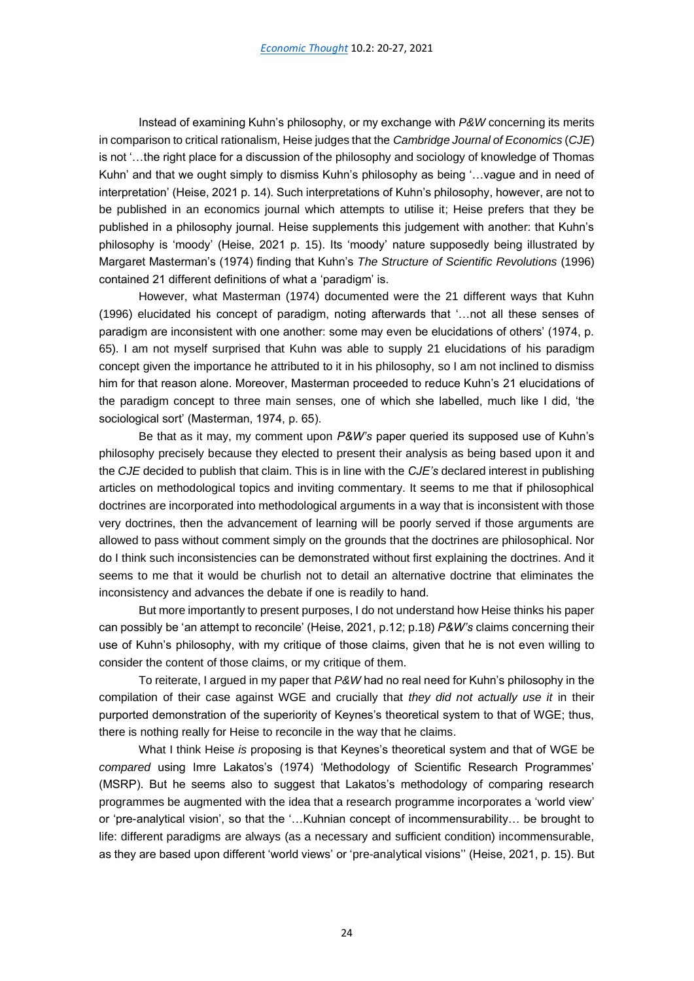Instead of examining Kuhn's philosophy, or my exchange with *P&W* concerning its merits in comparison to critical rationalism, Heise judges that the *Cambridge Journal of Economics* (*CJE*) is not '…the right place for a discussion of the philosophy and sociology of knowledge of Thomas Kuhn' and that we ought simply to dismiss Kuhn's philosophy as being '…vague and in need of interpretation' (Heise, 2021 p. 14). Such interpretations of Kuhn's philosophy, however, are not to be published in an economics journal which attempts to utilise it; Heise prefers that they be published in a philosophy journal. Heise supplements this judgement with another: that Kuhn's philosophy is 'moody' (Heise, 2021 p. 15). Its 'moody' nature supposedly being illustrated by Margaret Masterman's (1974) finding that Kuhn's *The Structure of Scientific Revolutions* (1996) contained 21 different definitions of what a 'paradigm' is.

However, what Masterman (1974) documented were the 21 different ways that Kuhn (1996) elucidated his concept of paradigm, noting afterwards that '…not all these senses of paradigm are inconsistent with one another: some may even be elucidations of others' (1974, p. 65). I am not myself surprised that Kuhn was able to supply 21 elucidations of his paradigm concept given the importance he attributed to it in his philosophy, so I am not inclined to dismiss him for that reason alone. Moreover, Masterman proceeded to reduce Kuhn's 21 elucidations of the paradigm concept to three main senses, one of which she labelled, much like I did, 'the sociological sort' (Masterman, 1974, p. 65).

Be that as it may, my comment upon *P&W's* paper queried its supposed use of Kuhn's philosophy precisely because they elected to present their analysis as being based upon it and the *CJE* decided to publish that claim. This is in line with the *CJE's* declared interest in publishing articles on methodological topics and inviting commentary. It seems to me that if philosophical doctrines are incorporated into methodological arguments in a way that is inconsistent with those very doctrines, then the advancement of learning will be poorly served if those arguments are allowed to pass without comment simply on the grounds that the doctrines are philosophical. Nor do I think such inconsistencies can be demonstrated without first explaining the doctrines. And it seems to me that it would be churlish not to detail an alternative doctrine that eliminates the inconsistency and advances the debate if one is readily to hand.

But more importantly to present purposes, I do not understand how Heise thinks his paper can possibly be 'an attempt to reconcile' (Heise, 2021, p.12; p.18) *P&W's* claims concerning their use of Kuhn's philosophy, with my critique of those claims, given that he is not even willing to consider the content of those claims, or my critique of them.

To reiterate, I argued in my paper that *P&W* had no real need for Kuhn's philosophy in the compilation of their case against WGE and crucially that *they did not actually use it* in their purported demonstration of the superiority of Keynes's theoretical system to that of WGE; thus, there is nothing really for Heise to reconcile in the way that he claims.

What I think Heise *is* proposing is that Keynes's theoretical system and that of WGE be *compared* using Imre Lakatos's (1974) 'Methodology of Scientific Research Programmes' (MSRP). But he seems also to suggest that Lakatos's methodology of comparing research programmes be augmented with the idea that a research programme incorporates a 'world view' or 'pre-analytical vision', so that the '…Kuhnian concept of incommensurability… be brought to life: different paradigms are always (as a necessary and sufficient condition) incommensurable, as they are based upon different 'world views' or 'pre-analytical visions'' (Heise, 2021, p. 15). But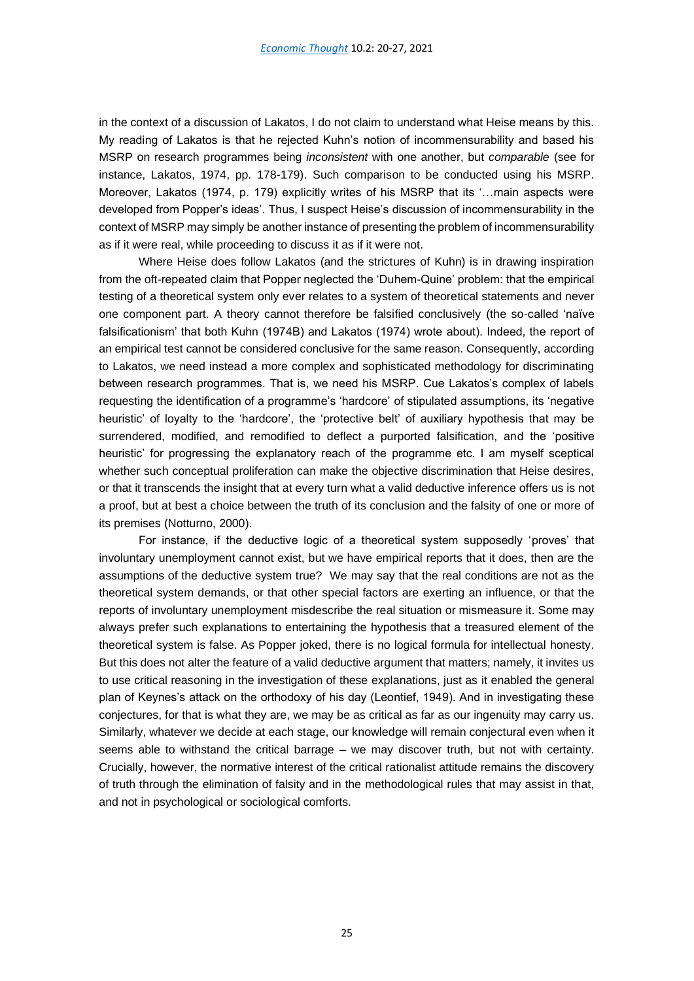in the context of a discussion of Lakatos, I do not claim to understand what Heise means by this. My reading of Lakatos is that he rejected Kuhn's notion of incommensurability and based his MSRP on research programmes being *inconsistent* with one another, but *comparable* (see for instance, Lakatos, 1974, pp. 178-179). Such comparison to be conducted using his MSRP. Moreover, Lakatos (1974, p. 179) explicitly writes of his MSRP that its '…main aspects were developed from Popper's ideas'. Thus, I suspect Heise's discussion of incommensurability in the context of MSRP may simply be another instance of presenting the problem of incommensurability as if it were real, while proceeding to discuss it as if it were not.

Where Heise does follow Lakatos (and the strictures of Kuhn) is in drawing inspiration from the oft-repeated claim that Popper neglected the 'Duhem-Quine' problem: that the empirical testing of a theoretical system only ever relates to a system of theoretical statements and never one component part. A theory cannot therefore be falsified conclusively (the so-called 'naïve falsificationism' that both Kuhn (1974B) and Lakatos (1974) wrote about). Indeed, the report of an empirical test cannot be considered conclusive for the same reason. Consequently, according to Lakatos, we need instead a more complex and sophisticated methodology for discriminating between research programmes. That is, we need his MSRP. Cue Lakatos's complex of labels requesting the identification of a programme's 'hardcore' of stipulated assumptions, its 'negative heuristic' of loyalty to the 'hardcore', the 'protective belt' of auxiliary hypothesis that may be surrendered, modified, and remodified to deflect a purported falsification, and the 'positive heuristic' for progressing the explanatory reach of the programme etc. I am myself sceptical whether such conceptual proliferation can make the objective discrimination that Heise desires, or that it transcends the insight that at every turn what a valid deductive inference offers us is not a proof, but at best a choice between the truth of its conclusion and the falsity of one or more of its premises (Notturno, 2000).

For instance, if the deductive logic of a theoretical system supposedly 'proves' that involuntary unemployment cannot exist, but we have empirical reports that it does, then are the assumptions of the deductive system true? We may say that the real conditions are not as the theoretical system demands, or that other special factors are exerting an influence, or that the reports of involuntary unemployment misdescribe the real situation or mismeasure it. Some may always prefer such explanations to entertaining the hypothesis that a treasured element of the theoretical system is false. As Popper joked, there is no logical formula for intellectual honesty. But this does not alter the feature of a valid deductive argument that matters; namely, it invites us to use critical reasoning in the investigation of these explanations, just as it enabled the general plan of Keynes's attack on the orthodoxy of his day (Leontief, 1949). And in investigating these conjectures, for that is what they are, we may be as critical as far as our ingenuity may carry us. Similarly, whatever we decide at each stage, our knowledge will remain conjectural even when it seems able to withstand the critical barrage – we may discover truth, but not with certainty. Crucially, however, the normative interest of the critical rationalist attitude remains the discovery of truth through the elimination of falsity and in the methodological rules that may assist in that, and not in psychological or sociological comforts.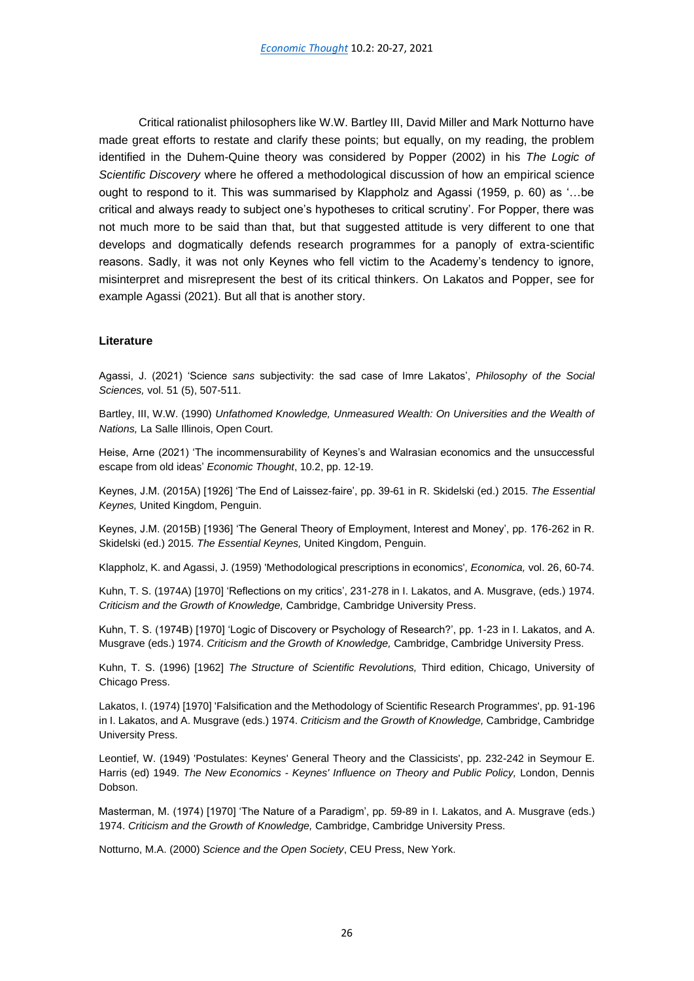Critical rationalist philosophers like W.W. Bartley III, David Miller and Mark Notturno have made great efforts to restate and clarify these points; but equally, on my reading, the problem identified in the Duhem-Quine theory was considered by Popper (2002) in his *The Logic of Scientific Discovery* where he offered a methodological discussion of how an empirical science ought to respond to it. This was summarised by Klappholz and Agassi (1959, p. 60) as '…be critical and always ready to subject one's hypotheses to critical scrutiny'. For Popper, there was not much more to be said than that, but that suggested attitude is very different to one that develops and dogmatically defends research programmes for a panoply of extra-scientific reasons. Sadly, it was not only Keynes who fell victim to the Academy's tendency to ignore, misinterpret and misrepresent the best of its critical thinkers. On Lakatos and Popper, see for example Agassi (2021). But all that is another story.

## **Literature**

Agassi, J. (2021) 'Science *sans* subjectivity: the sad case of Imre Lakatos', *Philosophy of the Social Sciences,* vol. 51 (5), 507-511.

Bartley, III, W.W. (1990) *Unfathomed Knowledge, Unmeasured Wealth: On Universities and the Wealth of Nations,* La Salle Illinois, Open Court.

Heise, Arne (2021) 'The incommensurability of Keynes's and Walrasian economics and the unsuccessful escape from old ideas' *Economic Thought*, 10.2, pp. 12-19.

Keynes, J.M. (2015A) [1926] 'The End of Laissez-faire', pp. 39-61 in R. Skidelski (ed.) 2015. *The Essential Keynes,* United Kingdom, Penguin.

Keynes, J.M. (2015B) [1936] 'The General Theory of Employment, Interest and Money', pp. 176-262 in R. Skidelski (ed.) 2015. *The Essential Keynes,* United Kingdom, Penguin.

Klappholz, K. and Agassi, J. (1959) 'Methodological prescriptions in economics'*, Economica,* vol. 26, 60-74.

Kuhn, T. S. (1974A) [1970] 'Reflections on my critics', 231-278 in I. Lakatos, and A. Musgrave, (eds.) 1974. *Criticism and the Growth of Knowledge,* Cambridge, Cambridge University Press.

Kuhn, T. S. (1974B) [1970] 'Logic of Discovery or Psychology of Research?', pp. 1-23 in I. Lakatos, and A. Musgrave (eds.) 1974. *Criticism and the Growth of Knowledge,* Cambridge, Cambridge University Press.

Kuhn, T. S. (1996) [1962] *The Structure of Scientific Revolutions,* Third edition, Chicago, University of Chicago Press.

Lakatos, I. (1974) [1970] 'Falsification and the Methodology of Scientific Research Programmes', pp. 91-196 in I. Lakatos, and A. Musgrave (eds.) 1974. *Criticism and the Growth of Knowledge,* Cambridge, Cambridge University Press.

Leontief, W. (1949) 'Postulates: Keynes' General Theory and the Classicists', pp. 232-242 in Seymour E. Harris (ed) 1949. *The New Economics - Keynes' Influence on Theory and Public Policy,* London, Dennis Dobson.

Masterman, M. (1974) [1970] 'The Nature of a Paradigm', pp. 59-89 in I. Lakatos, and A. Musgrave (eds.) 1974. *Criticism and the Growth of Knowledge,* Cambridge, Cambridge University Press.

Notturno, M.A. (2000) *Science and the Open Society*, CEU Press, New York.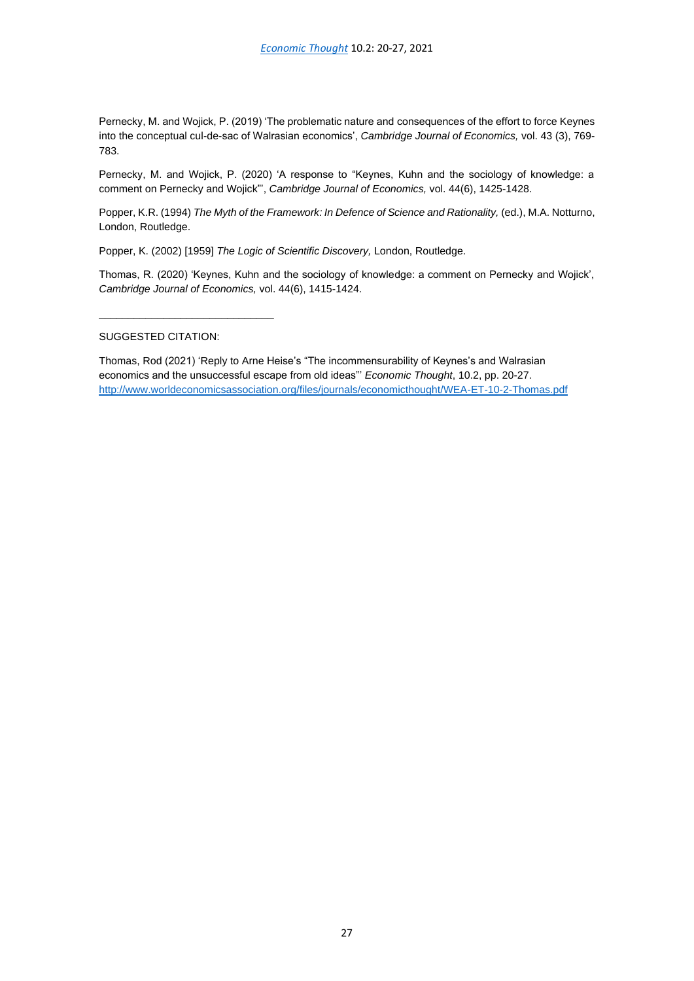Pernecky, M. and Wojick, P. (2019) 'The problematic nature and consequences of the effort to force Keynes into the conceptual cul-de-sac of Walrasian economics', *Cambridge Journal of Economics,* vol. 43 (3), 769- 783.

Pernecky, M. and Wojick, P. (2020) 'A response to "Keynes, Kuhn and the sociology of knowledge: a comment on Pernecky and Wojick"', *Cambridge Journal of Economics,* vol. 44(6), 1425-1428.

Popper, K.R. (1994) *The Myth of the Framework: In Defence of Science and Rationality, (ed.), M.A. Notturno,* London, Routledge.

Popper, K. (2002) [1959] *The Logic of Scientific Discovery,* London, Routledge.

Thomas, R. (2020) 'Keynes, Kuhn and the sociology of knowledge: a comment on Pernecky and Wojick', *Cambridge Journal of Economics,* vol. 44(6), 1415-1424.

SUGGESTED CITATION:

\_\_\_\_\_\_\_\_\_\_\_\_\_\_\_\_\_\_\_\_\_\_\_\_\_\_\_\_\_\_

Thomas, Rod (2021) 'Reply to Arne Heise's "The incommensurability of Keynes's and Walrasian economics and the unsuccessful escape from old ideas"' *Economic Thought*, 10.2, pp. 20-27. <http://www.worldeconomicsassociation.org/files/journals/economicthought/WEA-ET-10-2-Thomas.pdf>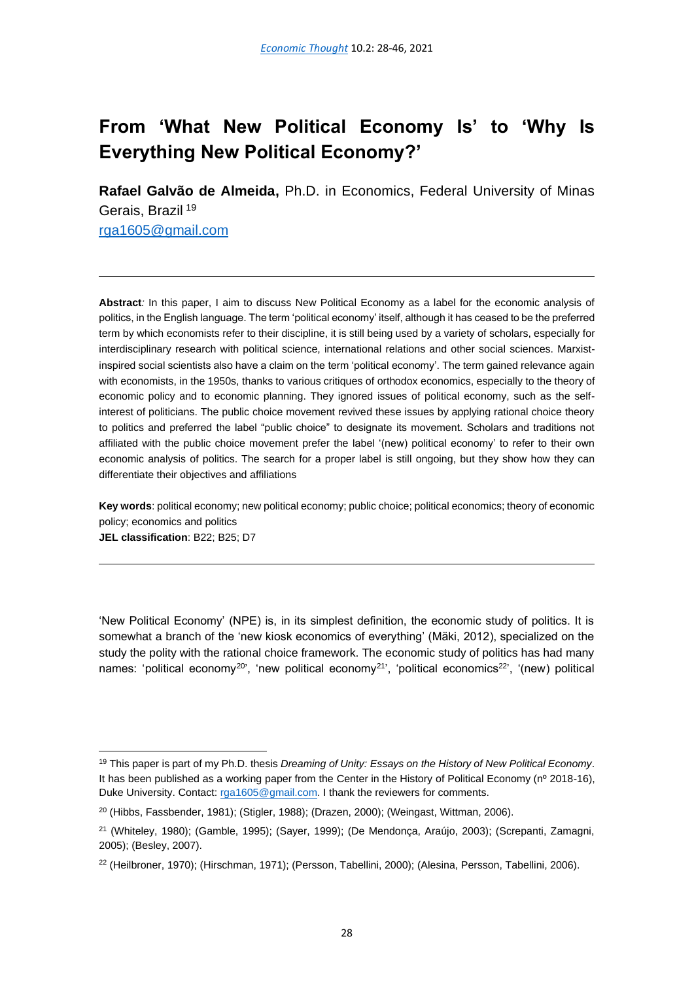# <span id="page-29-0"></span>**From 'What New Political Economy Is' to 'Why Is Everything New Political Economy?'**

**Rafael Galvão de Almeida,** Ph.D. in Economics, Federal University of Minas Gerais, Brazil<sup>19</sup>

[rga1605@gmail.com](mailto:rga1605@gmail.com)

**Abstract***:* In this paper, I aim to discuss New Political Economy as a label for the economic analysis of politics, in the English language. The term 'political economy' itself, although it has ceased to be the preferred term by which economists refer to their discipline, it is still being used by a variety of scholars, especially for interdisciplinary research with political science, international relations and other social sciences. Marxistinspired social scientists also have a claim on the term 'political economy'. The term gained relevance again with economists, in the 1950s, thanks to various critiques of orthodox economics, especially to the theory of economic policy and to economic planning. They ignored issues of political economy, such as the selfinterest of politicians. The public choice movement revived these issues by applying rational choice theory to politics and preferred the label "public choice" to designate its movement. Scholars and traditions not affiliated with the public choice movement prefer the label '(new) political economy' to refer to their own economic analysis of politics. The search for a proper label is still ongoing, but they show how they can differentiate their objectives and affiliations

**Key words**: political economy; new political economy; public choice; political economics; theory of economic policy; economics and politics **JEL classification**: B22; B25; D7

'New Political Economy' (NPE) is, in its simplest definition, the economic study of politics. It is somewhat a branch of the 'new kiosk economics of everything' (Mäki, 2012), specialized on the study the polity with the rational choice framework. The economic study of politics has had many names: 'political economy<sup>20</sup>', 'new political economy<sup>21</sup>', 'political economics<sup>22</sup>', '(new) political

<sup>19</sup> This paper is part of my Ph.D. thesis *Dreaming of Unity: Essays on the History of New Political Economy*. It has been published as a working paper from the Center in the History of Political Economy (nº 2018-16), Duke University. Contact: [rga1605@gmail.com.](mailto:rga1605@gmail.com) I thank the reviewers for comments.

 $20$  (Hibbs, Fassbender, 1981); (Stigler, 1988); (Drazen, 2000); (Weingast, Wittman, 2006).

<sup>21</sup> (Whiteley, 1980); (Gamble, 1995); (Sayer, 1999); (De Mendonça, Araújo, 2003); (Screpanti, Zamagni, 2005); (Besley, 2007).

<sup>22</sup> (Heilbroner, 1970); (Hirschman, 1971); (Persson, Tabellini, 2000); (Alesina, Persson, Tabellini, 2006).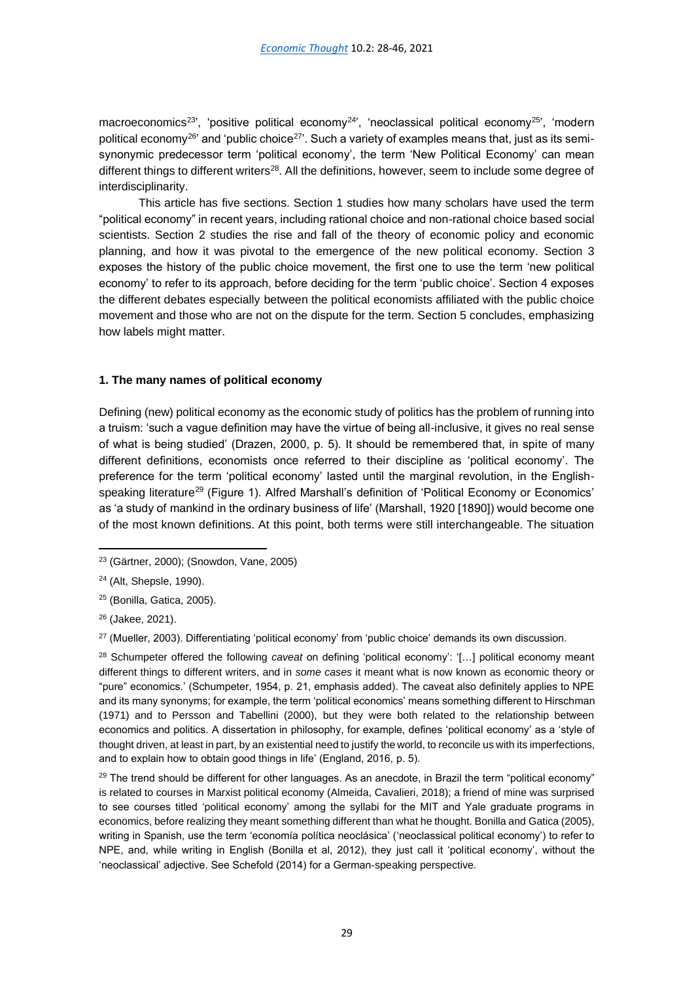macroeconomics<sup>23'</sup>, 'positive political economy<sup>24'</sup>, 'neoclassical political economy<sup>25'</sup>, 'modern political economy<sup>26</sup>' and 'public choice<sup>27</sup>'. Such a variety of examples means that, just as its semisynonymic predecessor term 'political economy', the term 'New Political Economy' can mean different things to different writers<sup>28</sup>. All the definitions, however, seem to include some degree of interdisciplinarity.

This article has five sections. Section 1 studies how many scholars have used the term "political economy" in recent years, including rational choice and non-rational choice based social scientists. Section 2 studies the rise and fall of the theory of economic policy and economic planning, and how it was pivotal to the emergence of the new political economy. Section 3 exposes the history of the public choice movement, the first one to use the term 'new political economy' to refer to its approach, before deciding for the term 'public choice'. Section 4 exposes the different debates especially between the political economists affiliated with the public choice movement and those who are not on the dispute for the term. Section 5 concludes, emphasizing how labels might matter.

## **1. The many names of political economy**

Defining (new) political economy as the economic study of politics has the problem of running into a truism: 'such a vague definition may have the virtue of being all-inclusive, it gives no real sense of what is being studied' (Drazen, 2000, p. 5). It should be remembered that, in spite of many different definitions, economists once referred to their discipline as 'political economy'. The preference for the term 'political economy' lasted until the marginal revolution, in the Englishspeaking literature<sup>29</sup> (Figure 1). Alfred Marshall's definition of 'Political Economy or Economics' as 'a study of mankind in the ordinary business of life' (Marshall, 1920 [1890]) would become one of the most known definitions. At this point, both terms were still interchangeable. The situation

<sup>25</sup> (Bonilla, Gatica, 2005).

<sup>23</sup> (Gärtner, 2000); (Snowdon, Vane, 2005)

<sup>24</sup> (Alt, Shepsle, 1990).

<sup>26</sup> (Jakee, 2021).

<sup>27</sup> (Mueller, 2003). Differentiating 'political economy' from 'public choice' demands its own discussion.

<sup>28</sup> Schumpeter offered the following *caveat* on defining 'political economy': '[…] political economy meant different things to different writers, and in *some cases* it meant what is now known as economic theory or "pure" economics.' (Schumpeter, 1954, p. 21, emphasis added). The caveat also definitely applies to NPE and its many synonyms; for example, the term 'political economics' means something different to Hirschman (1971) and to Persson and Tabellini (2000), but they were both related to the relationship between economics and politics. A dissertation in philosophy, for example, defines 'political economy' as a 'style of thought driven, at least in part, by an existential need to justify the world, to reconcile us with its imperfections, and to explain how to obtain good things in life' (England, 2016, p. 5).

 $29$  The trend should be different for other languages. As an anecdote, in Brazil the term "political economy" is related to courses in Marxist political economy (Almeida, Cavalieri, 2018); a friend of mine was surprised to see courses titled 'political economy' among the syllabi for the MIT and Yale graduate programs in economics, before realizing they meant something different than what he thought. Bonilla and Gatica (2005), writing in Spanish, use the term 'economía política neoclásica' ('neoclassical political economy') to refer to NPE, and, while writing in English (Bonilla et al, 2012), they just call it 'political economy', without the 'neoclassical' adjective. See Schefold (2014) for a German-speaking perspective.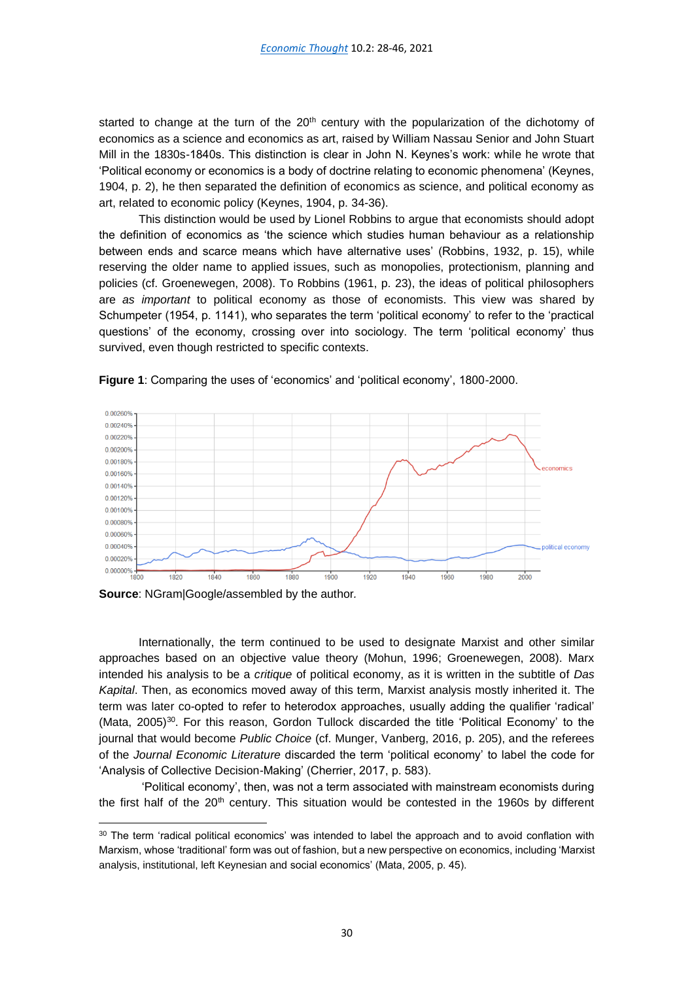started to change at the turn of the  $20<sup>th</sup>$  century with the popularization of the dichotomy of economics as a science and economics as art, raised by William Nassau Senior and John Stuart Mill in the 1830s-1840s. This distinction is clear in John N. Keynes's work: while he wrote that 'Political economy or economics is a body of doctrine relating to economic phenomena' (Keynes, 1904, p. 2), he then separated the definition of economics as science, and political economy as art, related to economic policy (Keynes, 1904, p. 34-36).

This distinction would be used by Lionel Robbins to argue that economists should adopt the definition of economics as 'the science which studies human behaviour as a relationship between ends and scarce means which have alternative uses' (Robbins, 1932, p. 15), while reserving the older name to applied issues, such as monopolies, protectionism, planning and policies (cf. Groenewegen, 2008). To Robbins (1961, p. 23), the ideas of political philosophers are *as important* to political economy as those of economists. This view was shared by Schumpeter (1954, p. 1141), who separates the term 'political economy' to refer to the 'practical questions' of the economy, crossing over into sociology. The term 'political economy' thus survived, even though restricted to specific contexts.



**Figure 1**: Comparing the uses of 'economics' and 'political economy', 1800-2000.

**Source**: NGram|Google/assembled by the author*.*

Internationally, the term continued to be used to designate Marxist and other similar approaches based on an objective value theory (Mohun, 1996; Groenewegen, 2008). Marx intended his analysis to be a *critique* of political economy, as it is written in the subtitle of *Das Kapital*. Then, as economics moved away of this term, Marxist analysis mostly inherited it. The term was later co-opted to refer to heterodox approaches, usually adding the qualifier 'radical' (Mata,  $2005$ )<sup>30</sup>. For this reason, Gordon Tullock discarded the title 'Political Economy' to the journal that would become *Public Choice* (cf. Munger, Vanberg, 2016, p. 205), and the referees of the *Journal Economic Literature* discarded the term 'political economy' to label the code for 'Analysis of Collective Decision-Making' (Cherrier, 2017, p. 583).

'Political economy', then, was not a term associated with mainstream economists during the first half of the 20<sup>th</sup> century. This situation would be contested in the 1960s by different

<sup>&</sup>lt;sup>30</sup> The term 'radical political economics' was intended to label the approach and to avoid conflation with Marxism, whose 'traditional' form was out of fashion, but a new perspective on economics, including 'Marxist analysis, institutional, left Keynesian and social economics' (Mata, 2005, p. 45).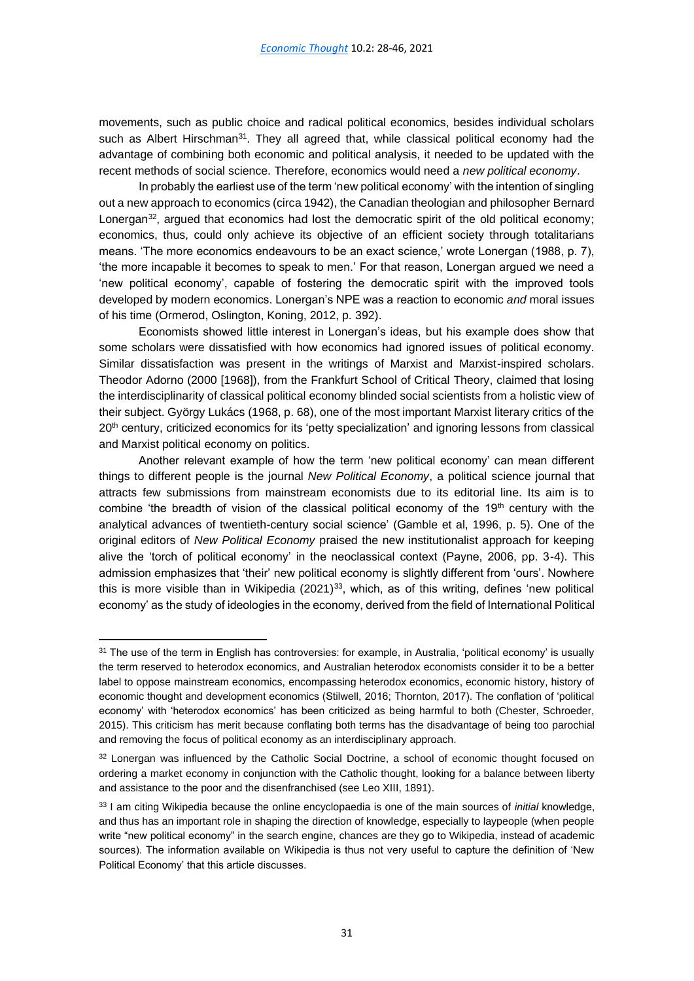movements, such as public choice and radical political economics, besides individual scholars such as Albert Hirschman<sup>31</sup>. They all agreed that, while classical political economy had the advantage of combining both economic and political analysis, it needed to be updated with the recent methods of social science. Therefore, economics would need a *new political economy*.

In probably the earliest use of the term 'new political economy' with the intention of singling out a new approach to economics (circa 1942), the Canadian theologian and philosopher Bernard Lonergan<sup>32</sup>, argued that economics had lost the democratic spirit of the old political economy; economics, thus, could only achieve its objective of an efficient society through totalitarians means. 'The more economics endeavours to be an exact science,' wrote Lonergan (1988, p. 7), 'the more incapable it becomes to speak to men.' For that reason, Lonergan argued we need a 'new political economy', capable of fostering the democratic spirit with the improved tools developed by modern economics. Lonergan's NPE was a reaction to economic *and* moral issues of his time (Ormerod, Oslington, Koning, 2012, p. 392).

Economists showed little interest in Lonergan's ideas, but his example does show that some scholars were dissatisfied with how economics had ignored issues of political economy. Similar dissatisfaction was present in the writings of Marxist and Marxist-inspired scholars. Theodor Adorno (2000 [1968]), from the Frankfurt School of Critical Theory, claimed that losing the interdisciplinarity of classical political economy blinded social scientists from a holistic view of their subject. György Lukács (1968, p. 68), one of the most important Marxist literary critics of the 20<sup>th</sup> century, criticized economics for its 'petty specialization' and ignoring lessons from classical and Marxist political economy on politics.

Another relevant example of how the term 'new political economy' can mean different things to different people is the journal *New Political Economy*, a political science journal that attracts few submissions from mainstream economists due to its editorial line. Its aim is to combine 'the breadth of vision of the classical political economy of the  $19<sup>th</sup>$  century with the analytical advances of twentieth-century social science' (Gamble et al, 1996, p. 5). One of the original editors of *New Political Economy* praised the new institutionalist approach for keeping alive the 'torch of political economy' in the neoclassical context (Payne, 2006, pp. 3-4). This admission emphasizes that 'their' new political economy is slightly different from 'ours'. Nowhere this is more visible than in Wikipedia  $(2021)^{33}$ , which, as of this writing, defines 'new political economy' as the study of ideologies in the economy, derived from the field of International Political

<sup>&</sup>lt;sup>31</sup> The use of the term in English has controversies: for example, in Australia, 'political economy' is usually the term reserved to heterodox economics, and Australian heterodox economists consider it to be a better label to oppose mainstream economics, encompassing heterodox economics, economic history, history of economic thought and development economics (Stilwell, 2016; Thornton, 2017). The conflation of 'political economy' with 'heterodox economics' has been criticized as being harmful to both (Chester, Schroeder, 2015). This criticism has merit because conflating both terms has the disadvantage of being too parochial and removing the focus of political economy as an interdisciplinary approach.

<sup>32</sup> Lonergan was influenced by the Catholic Social Doctrine, a school of economic thought focused on ordering a market economy in conjunction with the Catholic thought, looking for a balance between liberty and assistance to the poor and the disenfranchised (see Leo XIII, 1891).

<sup>33</sup> I am citing Wikipedia because the online encyclopaedia is one of the main sources of *initial* knowledge, and thus has an important role in shaping the direction of knowledge, especially to laypeople (when people write "new political economy" in the search engine, chances are they go to Wikipedia, instead of academic sources). The information available on Wikipedia is thus not very useful to capture the definition of 'New Political Economy' that this article discusses.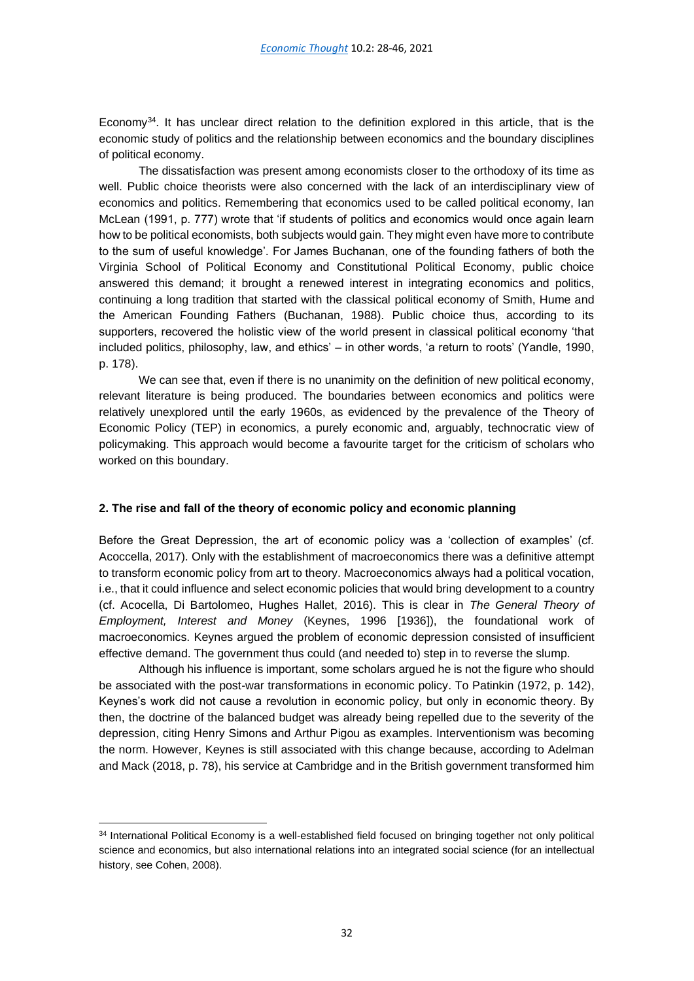Economy $34$ . It has unclear direct relation to the definition explored in this article, that is the economic study of politics and the relationship between economics and the boundary disciplines of political economy.

The dissatisfaction was present among economists closer to the orthodoxy of its time as well. Public choice theorists were also concerned with the lack of an interdisciplinary view of economics and politics. Remembering that economics used to be called political economy, Ian McLean (1991, p. 777) wrote that 'if students of politics and economics would once again learn how to be political economists, both subjects would gain. They might even have more to contribute to the sum of useful knowledge'. For James Buchanan, one of the founding fathers of both the Virginia School of Political Economy and Constitutional Political Economy, public choice answered this demand; it brought a renewed interest in integrating economics and politics, continuing a long tradition that started with the classical political economy of Smith, Hume and the American Founding Fathers (Buchanan, 1988). Public choice thus, according to its supporters, recovered the holistic view of the world present in classical political economy 'that included politics, philosophy, law, and ethics' – in other words, 'a return to roots' (Yandle, 1990, p. 178).

We can see that, even if there is no unanimity on the definition of new political economy, relevant literature is being produced. The boundaries between economics and politics were relatively unexplored until the early 1960s, as evidenced by the prevalence of the Theory of Economic Policy (TEP) in economics, a purely economic and, arguably, technocratic view of policymaking. This approach would become a favourite target for the criticism of scholars who worked on this boundary.

## **2. The rise and fall of the theory of economic policy and economic planning**

Before the Great Depression, the art of economic policy was a 'collection of examples' (cf. Acoccella, 2017). Only with the establishment of macroeconomics there was a definitive attempt to transform economic policy from art to theory. Macroeconomics always had a political vocation, i.e., that it could influence and select economic policies that would bring development to a country (cf. Acocella, Di Bartolomeo, Hughes Hallet, 2016). This is clear in *The General Theory of Employment, Interest and Money* (Keynes, 1996 [1936]), the foundational work of macroeconomics. Keynes argued the problem of economic depression consisted of insufficient effective demand. The government thus could (and needed to) step in to reverse the slump.

Although his influence is important, some scholars argued he is not the figure who should be associated with the post-war transformations in economic policy. To Patinkin (1972, p. 142), Keynes's work did not cause a revolution in economic policy, but only in economic theory. By then, the doctrine of the balanced budget was already being repelled due to the severity of the depression, citing Henry Simons and Arthur Pigou as examples. Interventionism was becoming the norm. However, Keynes is still associated with this change because, according to Adelman and Mack (2018, p. 78), his service at Cambridge and in the British government transformed him

<sup>&</sup>lt;sup>34</sup> International Political Economy is a well-established field focused on bringing together not only political science and economics, but also international relations into an integrated social science (for an intellectual history, see Cohen, 2008).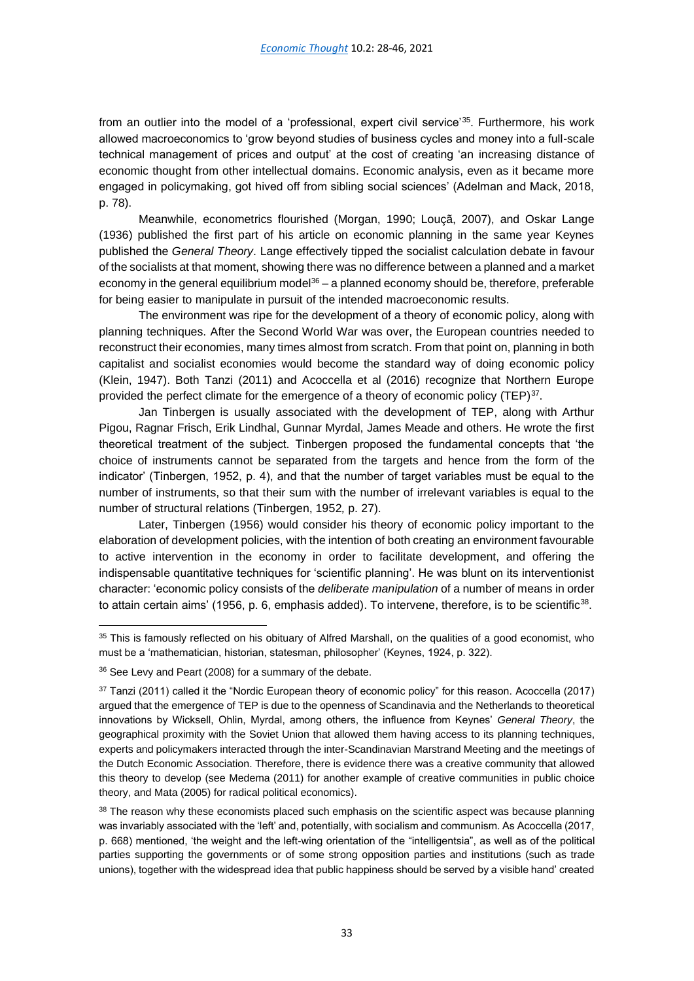from an outlier into the model of a 'professional, expert civil service'<sup>35</sup>. Furthermore, his work allowed macroeconomics to 'grow beyond studies of business cycles and money into a full-scale technical management of prices and output' at the cost of creating 'an increasing distance of economic thought from other intellectual domains. Economic analysis, even as it became more engaged in policymaking, got hived off from sibling social sciences' (Adelman and Mack, 2018, p. 78).

Meanwhile, econometrics flourished (Morgan, 1990; Louçã, 2007), and Oskar Lange (1936) published the first part of his article on economic planning in the same year Keynes published the *General Theory*. Lange effectively tipped the socialist calculation debate in favour of the socialists at that moment, showing there was no difference between a planned and a market economy in the general equilibrium model $36 - a$  planned economy should be, therefore, preferable for being easier to manipulate in pursuit of the intended macroeconomic results.

The environment was ripe for the development of a theory of economic policy, along with planning techniques. After the Second World War was over, the European countries needed to reconstruct their economies, many times almost from scratch. From that point on, planning in both capitalist and socialist economies would become the standard way of doing economic policy (Klein, 1947). Both Tanzi (2011) and Acoccella et al (2016) recognize that Northern Europe provided the perfect climate for the emergence of a theory of economic policy  $(TEP)^{37}$ .

Jan Tinbergen is usually associated with the development of TEP, along with Arthur Pigou, Ragnar Frisch, Erik Lindhal, Gunnar Myrdal, James Meade and others. He wrote the first theoretical treatment of the subject. Tinbergen proposed the fundamental concepts that 'the choice of instruments cannot be separated from the targets and hence from the form of the indicator' (Tinbergen, 1952, p. 4), and that the number of target variables must be equal to the number of instruments, so that their sum with the number of irrelevant variables is equal to the number of structural relations (Tinbergen, 1952*,* p. 27).

Later, Tinbergen (1956) would consider his theory of economic policy important to the elaboration of development policies, with the intention of both creating an environment favourable to active intervention in the economy in order to facilitate development, and offering the indispensable quantitative techniques for 'scientific planning'. He was blunt on its interventionist character: 'economic policy consists of the *deliberate manipulation* of a number of means in order to attain certain aims' (1956, p. 6, emphasis added). To intervene, therefore, is to be scientific<sup>38</sup>.

<sup>&</sup>lt;sup>35</sup> This is famously reflected on his obituary of Alfred Marshall, on the qualities of a good economist, who must be a 'mathematician, historian, statesman, philosopher' (Keynes, 1924, p. 322).

<sup>36</sup> See Levy and Peart (2008) for a summary of the debate.

<sup>&</sup>lt;sup>37</sup> Tanzi (2011) called it the "Nordic European theory of economic policy" for this reason. Acoccella (2017) argued that the emergence of TEP is due to the openness of Scandinavia and the Netherlands to theoretical innovations by Wicksell, Ohlin, Myrdal, among others, the influence from Keynes' *General Theory*, the geographical proximity with the Soviet Union that allowed them having access to its planning techniques, experts and policymakers interacted through the inter-Scandinavian Marstrand Meeting and the meetings of the Dutch Economic Association. Therefore, there is evidence there was a creative community that allowed this theory to develop (see Medema (2011) for another example of creative communities in public choice theory, and Mata (2005) for radical political economics).

<sup>&</sup>lt;sup>38</sup> The reason why these economists placed such emphasis on the scientific aspect was because planning was invariably associated with the 'left' and, potentially, with socialism and communism. As Acoccella (2017, p. 668) mentioned, 'the weight and the left-wing orientation of the "intelligentsia", as well as of the political parties supporting the governments or of some strong opposition parties and institutions (such as trade unions), together with the widespread idea that public happiness should be served by a visible hand' created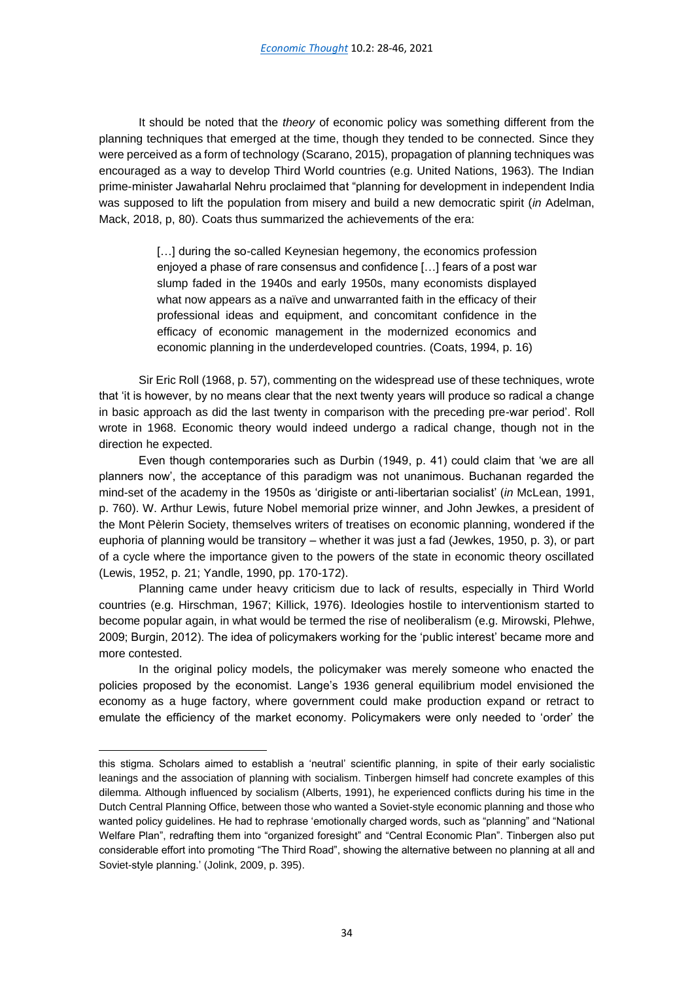It should be noted that the *theory* of economic policy was something different from the planning techniques that emerged at the time, though they tended to be connected. Since they were perceived as a form of technology (Scarano, 2015), propagation of planning techniques was encouraged as a way to develop Third World countries (e.g. United Nations, 1963). The Indian prime-minister Jawaharlal Nehru proclaimed that "planning for development in independent India was supposed to lift the population from misery and build a new democratic spirit (*in* Adelman, Mack, 2018, p, 80). Coats thus summarized the achievements of the era:

> [...] during the so-called Keynesian hegemony, the economics profession enjoyed a phase of rare consensus and confidence […] fears of a post war slump faded in the 1940s and early 1950s, many economists displayed what now appears as a naïve and unwarranted faith in the efficacy of their professional ideas and equipment, and concomitant confidence in the efficacy of economic management in the modernized economics and economic planning in the underdeveloped countries. (Coats, 1994, p. 16)

Sir Eric Roll (1968, p. 57), commenting on the widespread use of these techniques, wrote that 'it is however, by no means clear that the next twenty years will produce so radical a change in basic approach as did the last twenty in comparison with the preceding pre-war period'. Roll wrote in 1968. Economic theory would indeed undergo a radical change, though not in the direction he expected.

Even though contemporaries such as Durbin (1949, p. 41) could claim that 'we are all planners now', the acceptance of this paradigm was not unanimous. Buchanan regarded the mind-set of the academy in the 1950s as 'dirigiste or anti-libertarian socialist' (*in* McLean, 1991, p. 760). W. Arthur Lewis, future Nobel memorial prize winner, and John Jewkes, a president of the Mont Pèlerin Society, themselves writers of treatises on economic planning, wondered if the euphoria of planning would be transitory – whether it was just a fad (Jewkes, 1950, p. 3), or part of a cycle where the importance given to the powers of the state in economic theory oscillated (Lewis, 1952, p. 21; Yandle, 1990, pp. 170-172).

Planning came under heavy criticism due to lack of results, especially in Third World countries (e.g. Hirschman, 1967; Killick, 1976). Ideologies hostile to interventionism started to become popular again, in what would be termed the rise of neoliberalism (e.g. Mirowski, Plehwe, 2009; Burgin, 2012). The idea of policymakers working for the 'public interest' became more and more contested.

In the original policy models, the policymaker was merely someone who enacted the policies proposed by the economist. Lange's 1936 general equilibrium model envisioned the economy as a huge factory, where government could make production expand or retract to emulate the efficiency of the market economy. Policymakers were only needed to 'order' the

this stigma. Scholars aimed to establish a 'neutral' scientific planning, in spite of their early socialistic leanings and the association of planning with socialism. Tinbergen himself had concrete examples of this dilemma. Although influenced by socialism (Alberts, 1991), he experienced conflicts during his time in the Dutch Central Planning Office, between those who wanted a Soviet-style economic planning and those who wanted policy guidelines. He had to rephrase 'emotionally charged words, such as "planning" and "National Welfare Plan", redrafting them into "organized foresight" and "Central Economic Plan". Tinbergen also put considerable effort into promoting "The Third Road", showing the alternative between no planning at all and Soviet-style planning.' (Jolink, 2009, p. 395).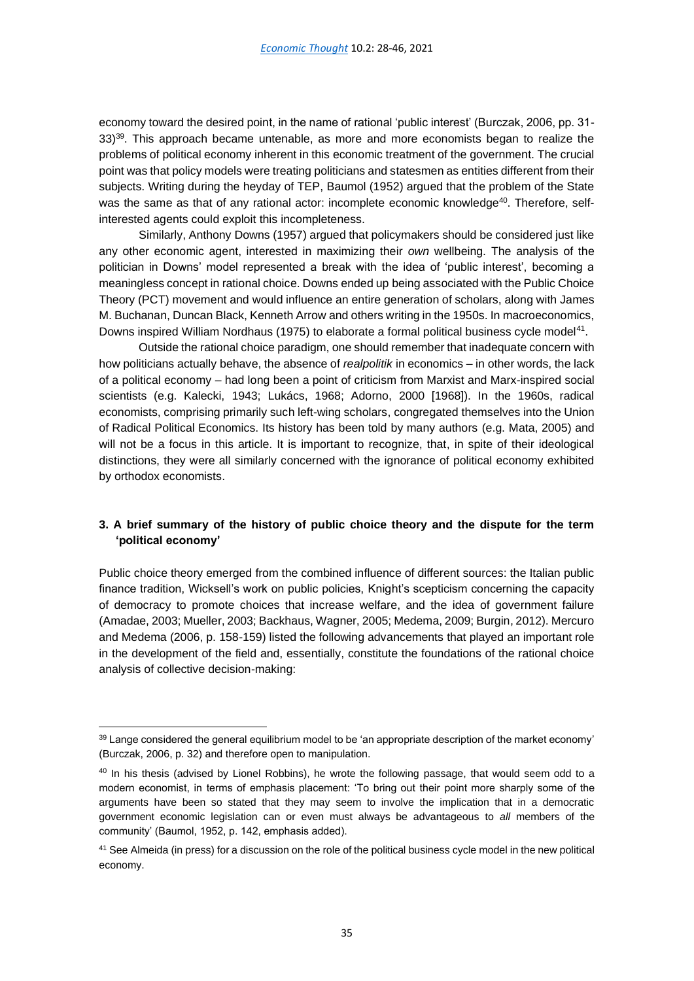economy toward the desired point, in the name of rational 'public interest' (Burczak, 2006, pp. 31-  $33$ <sup>39</sup>. This approach became untenable, as more and more economists began to realize the problems of political economy inherent in this economic treatment of the government. The crucial point was that policy models were treating politicians and statesmen as entities different from their subjects. Writing during the heyday of TEP, Baumol (1952) argued that the problem of the State was the same as that of any rational actor: incomplete economic knowledge<sup>40</sup>. Therefore, selfinterested agents could exploit this incompleteness.

Similarly, Anthony Downs (1957) argued that policymakers should be considered just like any other economic agent, interested in maximizing their *own* wellbeing. The analysis of the politician in Downs' model represented a break with the idea of 'public interest', becoming a meaningless concept in rational choice. Downs ended up being associated with the Public Choice Theory (PCT) movement and would influence an entire generation of scholars, along with James M. Buchanan, Duncan Black, Kenneth Arrow and others writing in the 1950s. In macroeconomics, Downs inspired William Nordhaus (1975) to elaborate a formal political business cycle model<sup>41</sup>.

Outside the rational choice paradigm, one should remember that inadequate concern with how politicians actually behave, the absence of *realpolitik* in economics – in other words, the lack of a political economy – had long been a point of criticism from Marxist and Marx-inspired social scientists (e.g. Kalecki, 1943; Lukács, 1968; Adorno, 2000 [1968]). In the 1960s, radical economists, comprising primarily such left-wing scholars, congregated themselves into the Union of Radical Political Economics. Its history has been told by many authors (e.g. Mata, 2005) and will not be a focus in this article. It is important to recognize, that, in spite of their ideological distinctions, they were all similarly concerned with the ignorance of political economy exhibited by orthodox economists.

## **3. A brief summary of the history of public choice theory and the dispute for the term 'political economy'**

Public choice theory emerged from the combined influence of different sources: the Italian public finance tradition, Wicksell's work on public policies, Knight's scepticism concerning the capacity of democracy to promote choices that increase welfare, and the idea of government failure (Amadae, 2003; Mueller, 2003; Backhaus, Wagner, 2005; Medema, 2009; Burgin, 2012). Mercuro and Medema (2006, p. 158-159) listed the following advancements that played an important role in the development of the field and, essentially, constitute the foundations of the rational choice analysis of collective decision-making:

<sup>&</sup>lt;sup>39</sup> Lange considered the general equilibrium model to be 'an appropriate description of the market economy' (Burczak, 2006, p. 32) and therefore open to manipulation.

<sup>&</sup>lt;sup>40</sup> In his thesis (advised by Lionel Robbins), he wrote the following passage, that would seem odd to a modern economist, in terms of emphasis placement: 'To bring out their point more sharply some of the arguments have been so stated that they may seem to involve the implication that in a democratic government economic legislation can or even must always be advantageous to *all* members of the community' (Baumol, 1952, p. 142, emphasis added).

<sup>&</sup>lt;sup>41</sup> See Almeida (in press) for a discussion on the role of the political business cycle model in the new political economy.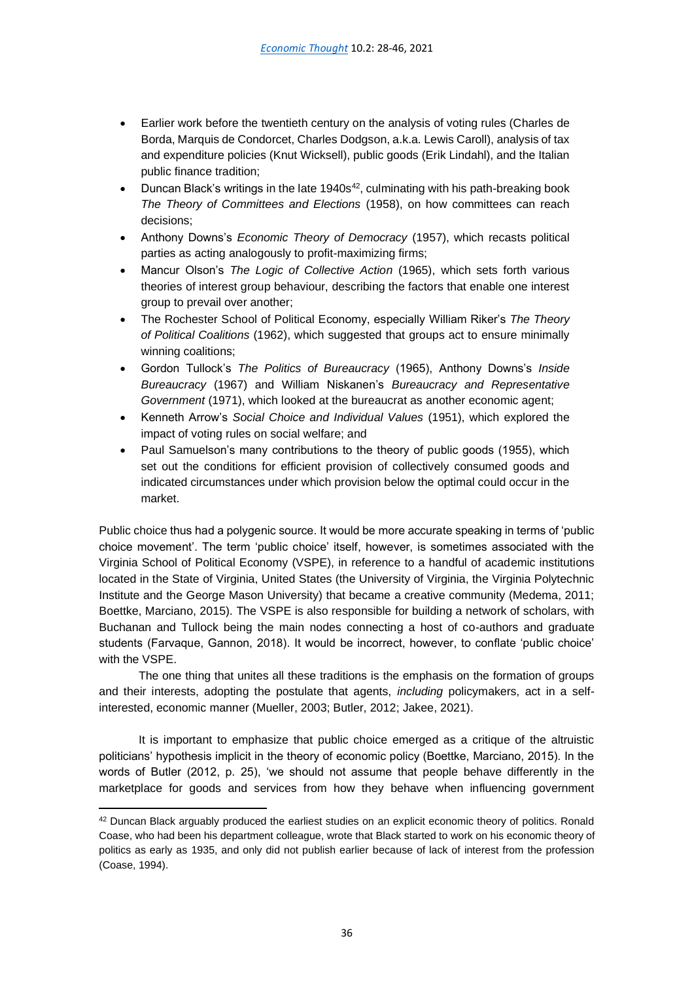- Earlier work before the twentieth century on the analysis of voting rules (Charles de Borda, Marquis de Condorcet, Charles Dodgson, a.k.a. Lewis Caroll), analysis of tax and expenditure policies (Knut Wicksell), public goods (Erik Lindahl), and the Italian public finance tradition;
- Duncan Black's writings in the late  $1940s^{42}$ , culminating with his path-breaking book *The Theory of Committees and Elections* (1958), on how committees can reach decisions;
- Anthony Downs's *Economic Theory of Democracy* (1957), which recasts political parties as acting analogously to profit-maximizing firms;
- Mancur Olson's *The Logic of Collective Action* (1965), which sets forth various theories of interest group behaviour, describing the factors that enable one interest group to prevail over another;
- The Rochester School of Political Economy, especially William Riker's *The Theory of Political Coalitions* (1962), which suggested that groups act to ensure minimally winning coalitions;
- Gordon Tullock's *The Politics of Bureaucracy* (1965), Anthony Downs's *Inside Bureaucracy* (1967) and William Niskanen's *Bureaucracy and Representative Government* (1971), which looked at the bureaucrat as another economic agent;
- Kenneth Arrow's *Social Choice and Individual Values* (1951), which explored the impact of voting rules on social welfare; and
- Paul Samuelson's many contributions to the theory of public goods (1955), which set out the conditions for efficient provision of collectively consumed goods and indicated circumstances under which provision below the optimal could occur in the market.

Public choice thus had a polygenic source. It would be more accurate speaking in terms of 'public choice movement'. The term 'public choice' itself, however, is sometimes associated with the Virginia School of Political Economy (VSPE), in reference to a handful of academic institutions located in the State of Virginia, United States (the University of Virginia, the Virginia Polytechnic Institute and the George Mason University) that became a creative community (Medema, 2011; Boettke, Marciano, 2015). The VSPE is also responsible for building a network of scholars, with Buchanan and Tullock being the main nodes connecting a host of co-authors and graduate students (Farvaque, Gannon, 2018). It would be incorrect, however, to conflate 'public choice' with the VSPE.

The one thing that unites all these traditions is the emphasis on the formation of groups and their interests, adopting the postulate that agents, *including* policymakers, act in a selfinterested, economic manner (Mueller, 2003; Butler, 2012; Jakee, 2021).

It is important to emphasize that public choice emerged as a critique of the altruistic politicians' hypothesis implicit in the theory of economic policy (Boettke, Marciano, 2015). In the words of Butler (2012, p. 25), 'we should not assume that people behave differently in the marketplace for goods and services from how they behave when influencing government

<sup>42</sup> Duncan Black arguably produced the earliest studies on an explicit economic theory of politics. Ronald Coase, who had been his department colleague, wrote that Black started to work on his economic theory of politics as early as 1935, and only did not publish earlier because of lack of interest from the profession (Coase, 1994).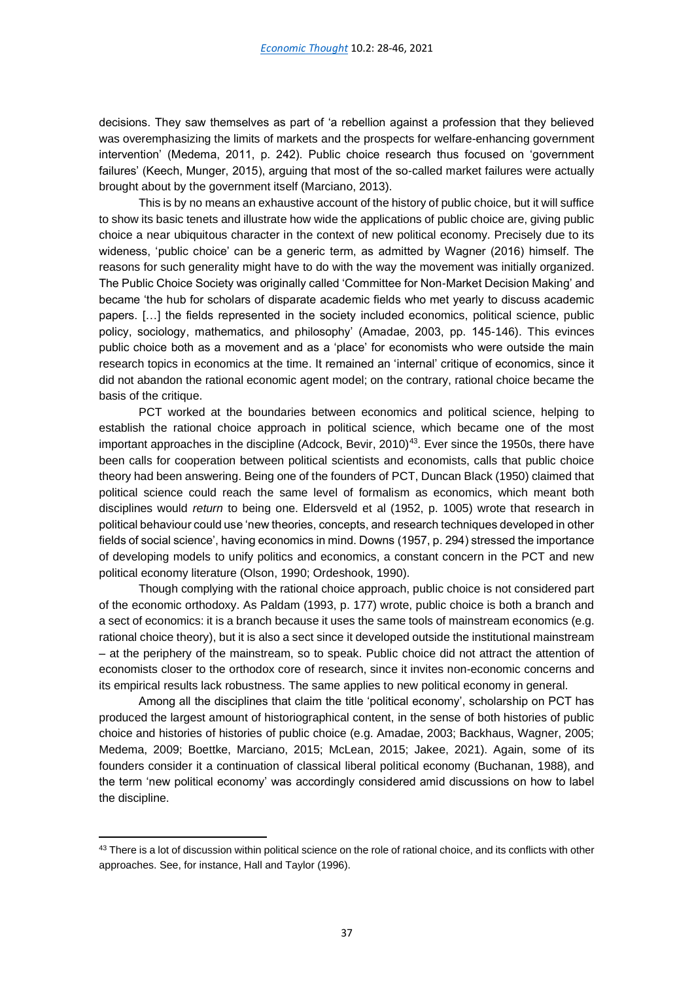decisions. They saw themselves as part of 'a rebellion against a profession that they believed was overemphasizing the limits of markets and the prospects for welfare-enhancing government intervention' (Medema, 2011, p. 242). Public choice research thus focused on 'government failures' (Keech, Munger, 2015), arguing that most of the so-called market failures were actually brought about by the government itself (Marciano, 2013).

This is by no means an exhaustive account of the history of public choice, but it will suffice to show its basic tenets and illustrate how wide the applications of public choice are, giving public choice a near ubiquitous character in the context of new political economy. Precisely due to its wideness, 'public choice' can be a generic term, as admitted by Wagner (2016) himself. The reasons for such generality might have to do with the way the movement was initially organized. The Public Choice Society was originally called 'Committee for Non-Market Decision Making' and became 'the hub for scholars of disparate academic fields who met yearly to discuss academic papers. […] the fields represented in the society included economics, political science, public policy, sociology, mathematics, and philosophy' (Amadae, 2003, pp. 145-146). This evinces public choice both as a movement and as a 'place' for economists who were outside the main research topics in economics at the time. It remained an 'internal' critique of economics, since it did not abandon the rational economic agent model; on the contrary, rational choice became the basis of the critique.

PCT worked at the boundaries between economics and political science, helping to establish the rational choice approach in political science, which became one of the most important approaches in the discipline (Adcock, Bevir, 2010)<sup>43</sup>. Ever since the 1950s, there have been calls for cooperation between political scientists and economists, calls that public choice theory had been answering. Being one of the founders of PCT, Duncan Black (1950) claimed that political science could reach the same level of formalism as economics, which meant both disciplines would *return* to being one. Eldersveld et al (1952, p. 1005) wrote that research in political behaviour could use 'new theories, concepts, and research techniques developed in other fields of social science', having economics in mind. Downs (1957, p. 294) stressed the importance of developing models to unify politics and economics, a constant concern in the PCT and new political economy literature (Olson, 1990; Ordeshook, 1990).

Though complying with the rational choice approach, public choice is not considered part of the economic orthodoxy. As Paldam (1993, p. 177) wrote, public choice is both a branch and a sect of economics: it is a branch because it uses the same tools of mainstream economics (e.g. rational choice theory), but it is also a sect since it developed outside the institutional mainstream – at the periphery of the mainstream, so to speak. Public choice did not attract the attention of economists closer to the orthodox core of research, since it invites non-economic concerns and its empirical results lack robustness. The same applies to new political economy in general.

Among all the disciplines that claim the title 'political economy', scholarship on PCT has produced the largest amount of historiographical content, in the sense of both histories of public choice and histories of histories of public choice (e.g. Amadae, 2003; Backhaus, Wagner, 2005; Medema, 2009; Boettke, Marciano, 2015; McLean, 2015; Jakee, 2021). Again, some of its founders consider it a continuation of classical liberal political economy (Buchanan, 1988), and the term 'new political economy' was accordingly considered amid discussions on how to label the discipline.

<sup>43</sup> There is a lot of discussion within political science on the role of rational choice, and its conflicts with other approaches. See, for instance, Hall and Taylor (1996).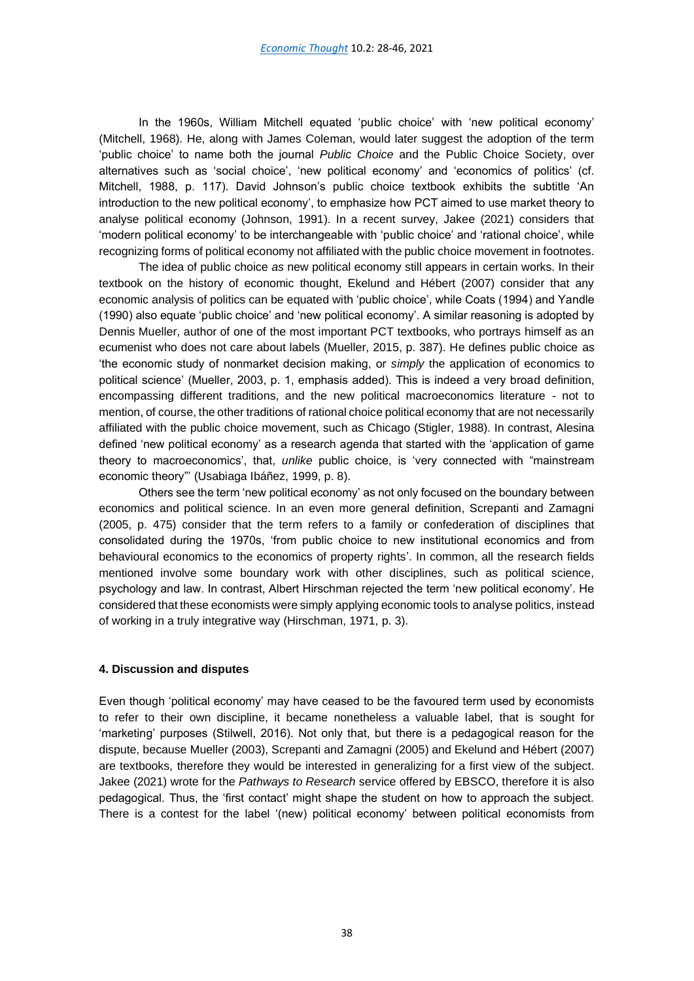In the 1960s, William Mitchell equated 'public choice' with 'new political economy' (Mitchell, 1968). He, along with James Coleman, would later suggest the adoption of the term 'public choice' to name both the journal *Public Choice* and the Public Choice Society, over alternatives such as 'social choice', 'new political economy' and 'economics of politics' (cf. Mitchell, 1988, p. 117). David Johnson's public choice textbook exhibits the subtitle 'An introduction to the new political economy', to emphasize how PCT aimed to use market theory to analyse political economy (Johnson, 1991). In a recent survey, Jakee (2021) considers that 'modern political economy' to be interchangeable with 'public choice' and 'rational choice', while recognizing forms of political economy not affiliated with the public choice movement in footnotes.

The idea of public choice *as* new political economy still appears in certain works. In their textbook on the history of economic thought, Ekelund and Hébert (2007) consider that any economic analysis of politics can be equated with 'public choice', while Coats (1994) and Yandle (1990) also equate 'public choice' and 'new political economy'. A similar reasoning is adopted by Dennis Mueller, author of one of the most important PCT textbooks, who portrays himself as an ecumenist who does not care about labels (Mueller, 2015, p. 387). He defines public choice as 'the economic study of nonmarket decision making, or *simply* the application of economics to political science' (Mueller, 2003, p. 1, emphasis added). This is indeed a very broad definition, encompassing different traditions, and the new political macroeconomics literature - not to mention, of course, the other traditions of rational choice political economy that are not necessarily affiliated with the public choice movement, such as Chicago (Stigler, 1988). In contrast, Alesina defined 'new political economy' as a research agenda that started with the 'application of game theory to macroeconomics', that, *unlike* public choice, is 'very connected with "mainstream economic theory"' (Usabiaga Ibáñez, 1999, p. 8).

Others see the term 'new political economy' as not only focused on the boundary between economics and political science. In an even more general definition, Screpanti and Zamagni (2005, p. 475) consider that the term refers to a family or confederation of disciplines that consolidated during the 1970s, 'from public choice to new institutional economics and from behavioural economics to the economics of property rights'. In common, all the research fields mentioned involve some boundary work with other disciplines, such as political science, psychology and law. In contrast, Albert Hirschman rejected the term 'new political economy'. He considered that these economists were simply applying economic tools to analyse politics, instead of working in a truly integrative way (Hirschman, 1971, p. 3).

## **4. Discussion and disputes**

Even though 'political economy' may have ceased to be the favoured term used by economists to refer to their own discipline, it became nonetheless a valuable label, that is sought for 'marketing' purposes (Stilwell, 2016). Not only that, but there is a pedagogical reason for the dispute, because Mueller (2003), Screpanti and Zamagni (2005) and Ekelund and Hébert (2007) are textbooks, therefore they would be interested in generalizing for a first view of the subject. Jakee (2021) wrote for the *Pathways to Research* service offered by EBSCO, therefore it is also pedagogical. Thus, the 'first contact' might shape the student on how to approach the subject. There is a contest for the label '(new) political economy' between political economists from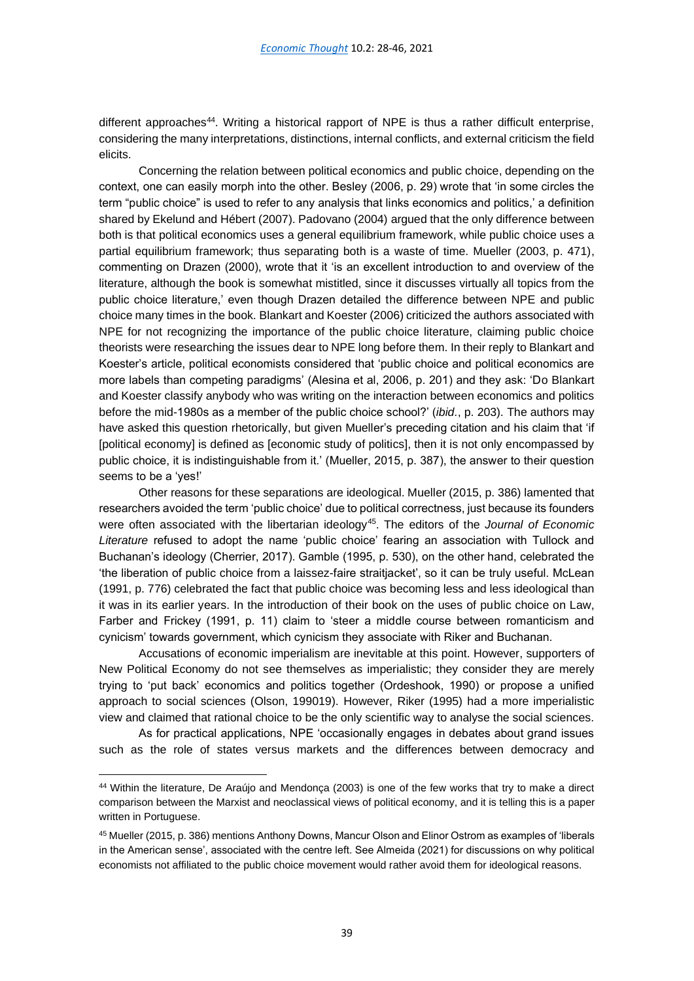different approaches<sup>44</sup>. Writing a historical rapport of NPE is thus a rather difficult enterprise, considering the many interpretations, distinctions, internal conflicts, and external criticism the field elicits.

Concerning the relation between political economics and public choice, depending on the context, one can easily morph into the other. Besley (2006, p. 29) wrote that 'in some circles the term "public choice" is used to refer to any analysis that links economics and politics,' a definition shared by Ekelund and Hébert (2007). Padovano (2004) argued that the only difference between both is that political economics uses a general equilibrium framework, while public choice uses a partial equilibrium framework; thus separating both is a waste of time. Mueller (2003, p. 471), commenting on Drazen (2000), wrote that it 'is an excellent introduction to and overview of the literature, although the book is somewhat mistitled, since it discusses virtually all topics from the public choice literature,' even though Drazen detailed the difference between NPE and public choice many times in the book. Blankart and Koester (2006) criticized the authors associated with NPE for not recognizing the importance of the public choice literature, claiming public choice theorists were researching the issues dear to NPE long before them. In their reply to Blankart and Koester's article, political economists considered that 'public choice and political economics are more labels than competing paradigms' (Alesina et al, 2006, p. 201) and they ask: 'Do Blankart and Koester classify anybody who was writing on the interaction between economics and politics before the mid-1980s as a member of the public choice school?' (*ibid.*, p. 203). The authors may have asked this question rhetorically, but given Mueller's preceding citation and his claim that 'if [political economy] is defined as [economic study of politics], then it is not only encompassed by public choice, it is indistinguishable from it.' (Mueller, 2015, p. 387), the answer to their question seems to be a 'yes!'

Other reasons for these separations are ideological. Mueller (2015, p. 386) lamented that researchers avoided the term 'public choice' due to political correctness, just because its founders were often associated with the libertarian ideology<sup>45</sup>. The editors of the *Journal of Economic Literature* refused to adopt the name 'public choice' fearing an association with Tullock and Buchanan's ideology (Cherrier, 2017). Gamble (1995, p. 530), on the other hand, celebrated the 'the liberation of public choice from a laissez-faire straitjacket', so it can be truly useful. McLean (1991, p. 776) celebrated the fact that public choice was becoming less and less ideological than it was in its earlier years. In the introduction of their book on the uses of public choice on Law, Farber and Frickey (1991, p. 11) claim to 'steer a middle course between romanticism and cynicism' towards government, which cynicism they associate with Riker and Buchanan.

Accusations of economic imperialism are inevitable at this point. However, supporters of New Political Economy do not see themselves as imperialistic; they consider they are merely trying to 'put back' economics and politics together (Ordeshook, 1990) or propose a unified approach to social sciences (Olson, 199019). However, Riker (1995) had a more imperialistic view and claimed that rational choice to be the only scientific way to analyse the social sciences.

As for practical applications, NPE 'occasionally engages in debates about grand issues such as the role of states versus markets and the differences between democracy and

<sup>44</sup> Within the literature, De Araújo and Mendonça (2003) is one of the few works that try to make a direct comparison between the Marxist and neoclassical views of political economy, and it is telling this is a paper written in Portuguese.

<sup>45</sup> Mueller (2015, p. 386) mentions Anthony Downs, Mancur Olson and Elinor Ostrom as examples of 'liberals in the American sense', associated with the centre left. See Almeida (2021) for discussions on why political economists not affiliated to the public choice movement would rather avoid them for ideological reasons.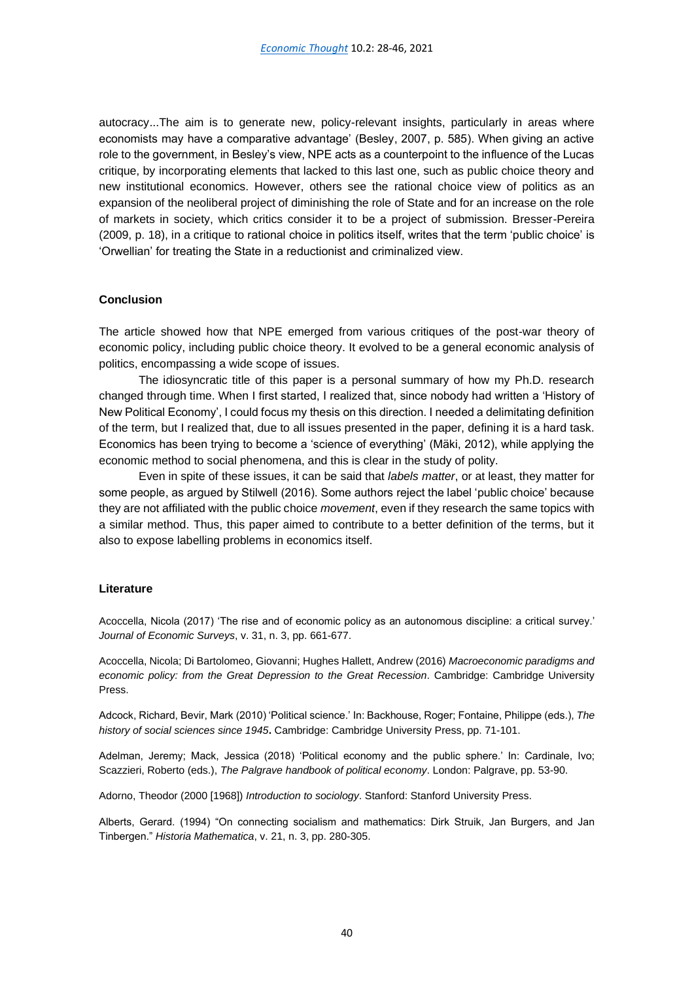autocracy...The aim is to generate new, policy-relevant insights, particularly in areas where economists may have a comparative advantage' (Besley, 2007, p. 585). When giving an active role to the government, in Besley's view, NPE acts as a counterpoint to the influence of the Lucas critique, by incorporating elements that lacked to this last one, such as public choice theory and new institutional economics. However, others see the rational choice view of politics as an expansion of the neoliberal project of diminishing the role of State and for an increase on the role of markets in society, which critics consider it to be a project of submission. Bresser-Pereira (2009, p. 18), in a critique to rational choice in politics itself, writes that the term 'public choice' is 'Orwellian' for treating the State in a reductionist and criminalized view.

## **Conclusion**

The article showed how that NPE emerged from various critiques of the post-war theory of economic policy, including public choice theory. It evolved to be a general economic analysis of politics, encompassing a wide scope of issues.

The idiosyncratic title of this paper is a personal summary of how my Ph.D. research changed through time. When I first started, I realized that, since nobody had written a 'History of New Political Economy', I could focus my thesis on this direction. I needed a delimitating definition of the term, but I realized that, due to all issues presented in the paper, defining it is a hard task. Economics has been trying to become a 'science of everything' (Mäki, 2012), while applying the economic method to social phenomena, and this is clear in the study of polity.

Even in spite of these issues, it can be said that *labels matter*, or at least, they matter for some people, as argued by Stilwell (2016). Some authors reject the label 'public choice' because they are not affiliated with the public choice *movement*, even if they research the same topics with a similar method. Thus, this paper aimed to contribute to a better definition of the terms, but it also to expose labelling problems in economics itself.

## **Literature**

Acoccella, Nicola (2017) 'The rise and of economic policy as an autonomous discipline: a critical survey.' *Journal of Economic Surveys*, v. 31, n. 3, pp. 661-677.

Acoccella, Nicola; Di Bartolomeo, Giovanni; Hughes Hallett, Andrew (2016) *Macroeconomic paradigms and economic policy: from the Great Depression to the Great Recession*. Cambridge: Cambridge University Press.

Adcock, Richard, Bevir, Mark (2010) 'Political science.' In: Backhouse, Roger; Fontaine, Philippe (eds.), *The history of social sciences since 1945***.** Cambridge: Cambridge University Press, pp. 71-101.

Adelman, Jeremy; Mack, Jessica (2018) 'Political economy and the public sphere.' In: Cardinale, Ivo; Scazzieri, Roberto (eds.), *The Palgrave handbook of political economy*. London: Palgrave, pp. 53-90.

Adorno, Theodor (2000 [1968]) *Introduction to sociology*. Stanford: Stanford University Press.

Alberts, Gerard. (1994) "On connecting socialism and mathematics: Dirk Struik, Jan Burgers, and Jan Tinbergen." *Historia Mathematica*, v. 21, n. 3, pp. 280-305.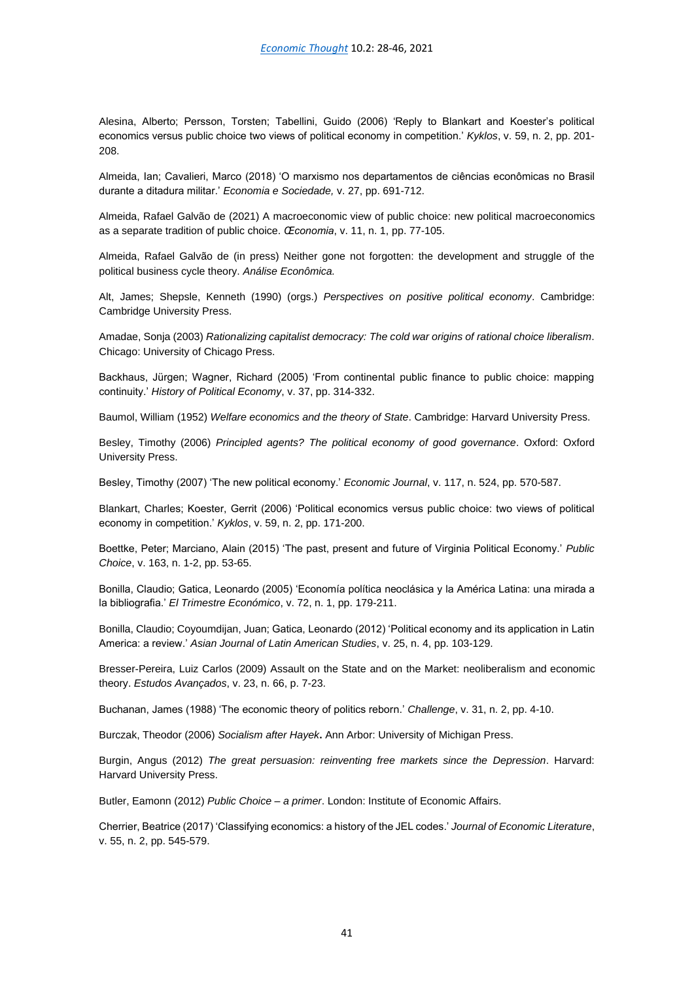Alesina, Alberto; Persson, Torsten; Tabellini, Guido (2006) 'Reply to Blankart and Koester's political economics versus public choice two views of political economy in competition.' *Kyklos*, v. 59, n. 2, pp. 201- 208.

Almeida, Ian; Cavalieri, Marco (2018) 'O marxismo nos departamentos de ciências econômicas no Brasil durante a ditadura militar.' *Economia e Sociedade,* v. 27, pp. 691-712.

Almeida, Rafael Galvão de (2021) A macroeconomic view of public choice: new political macroeconomics as a separate tradition of public choice. *Œconomia*, v. 11, n. 1, pp. 77-105.

Almeida, Rafael Galvão de (in press) Neither gone not forgotten: the development and struggle of the political business cycle theory. *Análise Econômica.*

Alt, James; Shepsle, Kenneth (1990) (orgs.) *Perspectives on positive political economy*. Cambridge: Cambridge University Press.

Amadae, Sonja (2003) *Rationalizing capitalist democracy: The cold war origins of rational choice liberalism*. Chicago: University of Chicago Press.

Backhaus, Jürgen; Wagner, Richard (2005) 'From continental public finance to public choice: mapping continuity.' *History of Political Economy*, v. 37, pp. 314-332.

Baumol, William (1952) *Welfare economics and the theory of State*. Cambridge: Harvard University Press.

Besley, Timothy (2006) *Principled agents? The political economy of good governance*. Oxford: Oxford University Press.

Besley, Timothy (2007) 'The new political economy.' *Economic Journal*, v. 117, n. 524, pp. 570-587.

Blankart, Charles; Koester, Gerrit (2006) 'Political economics versus public choice: two views of political economy in competition.' *Kyklos*, v. 59, n. 2, pp. 171-200.

Boettke, Peter; Marciano, Alain (2015) 'The past, present and future of Virginia Political Economy.' *Public Choice*, v. 163, n. 1-2, pp. 53-65.

Bonilla, Claudio; Gatica, Leonardo (2005) 'Economía política neoclásica y la América Latina: una mirada a la bibliografia.' *El Trimestre Económico*, v. 72, n. 1, pp. 179-211.

Bonilla, Claudio; Coyoumdijan, Juan; Gatica, Leonardo (2012) 'Political economy and its application in Latin America: a review.' *Asian Journal of Latin American Studies*, v. 25, n. 4, pp. 103-129.

Bresser-Pereira, Luiz Carlos (2009) Assault on the State and on the Market: neoliberalism and economic theory. *Estudos Avançados*, v. 23, n. 66, p. 7-23.

Buchanan, James (1988) 'The economic theory of politics reborn.' *Challenge*, v. 31, n. 2, pp. 4-10.

Burczak, Theodor (2006) *Socialism after Hayek***.** Ann Arbor: University of Michigan Press.

Burgin, Angus (2012) *The great persuasion: reinventing free markets since the Depression*. Harvard: Harvard University Press.

Butler, Eamonn (2012) *Public Choice – a primer*. London: Institute of Economic Affairs.

Cherrier, Beatrice (2017) 'Classifying economics: a history of the JEL codes.' *Journal of Economic Literature*, v. 55, n. 2, pp. 545-579.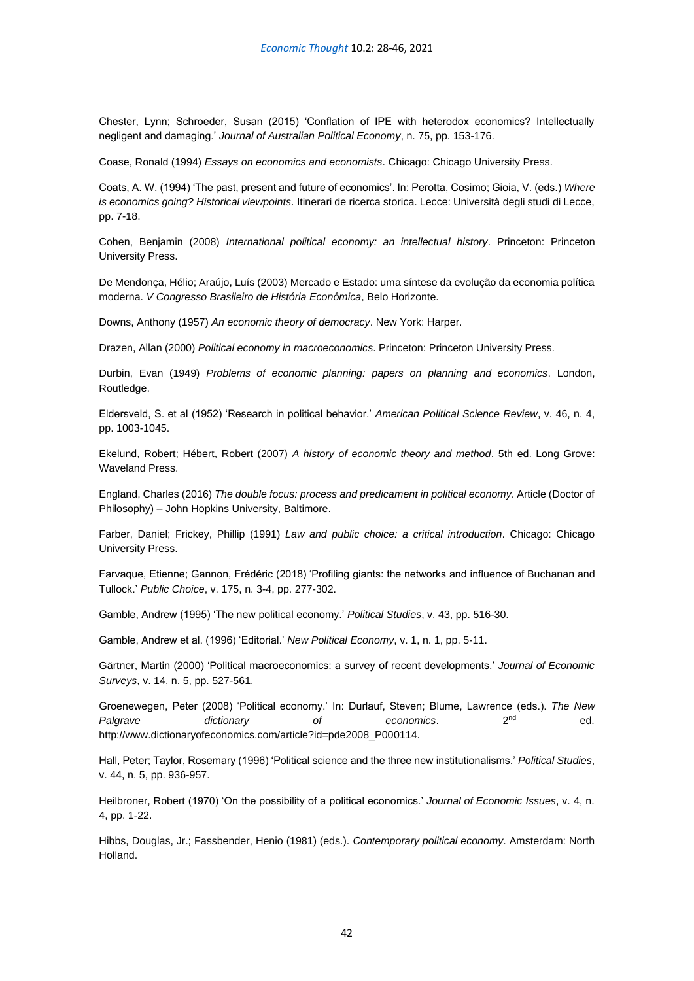Chester, Lynn; Schroeder, Susan (2015) 'Conflation of IPE with heterodox economics? Intellectually negligent and damaging.' *Journal of Australian Political Economy*, n. 75, pp. 153-176.

Coase, Ronald (1994) *Essays on economics and economists*. Chicago: Chicago University Press.

Coats, A. W. (1994) 'The past, present and future of economics'. In: Perotta, Cosimo; Gioia, V. (eds.) *Where is economics going? Historical viewpoints*. Itinerari de ricerca storica. Lecce: Università degli studi di Lecce, pp. 7-18.

Cohen, Benjamin (2008) *International political economy: an intellectual history*. Princeton: Princeton University Press.

De Mendonça, Hélio; Araújo, Luís (2003) Mercado e Estado: uma síntese da evolução da economia política moderna. *V Congresso Brasileiro de História Econômica*, Belo Horizonte.

Downs, Anthony (1957) *An economic theory of democracy*. New York: Harper.

Drazen, Allan (2000) *Political economy in macroeconomics*. Princeton: Princeton University Press.

Durbin, Evan (1949) *Problems of economic planning: papers on planning and economics*. London, Routledge.

Eldersveld, S. et al (1952) 'Research in political behavior.' *American Political Science Review*, v. 46, n. 4, pp. 1003-1045.

Ekelund, Robert; Hébert, Robert (2007) *A history of economic theory and method*. 5th ed. Long Grove: Waveland Press.

England, Charles (2016) *The double focus: process and predicament in political economy*. Article (Doctor of Philosophy) – John Hopkins University, Baltimore.

Farber, Daniel; Frickey, Phillip (1991) *Law and public choice: a critical introduction*. Chicago: Chicago University Press.

Farvaque, Etienne; Gannon, Frédéric (2018) 'Profiling giants: the networks and influence of Buchanan and Tullock.' *Public Choice*, v. 175, n. 3-4, pp. 277-302.

Gamble, Andrew (1995) 'The new political economy.' *Political Studies*, v. 43, pp. 516-30.

Gamble, Andrew et al. (1996) 'Editorial.' *New Political Economy*, v. 1, n. 1, pp. 5-11.

Gärtner, Martin (2000) 'Political macroeconomics: a survey of recent developments.' *Journal of Economic Surveys*, v. 14, n. 5, pp. 527-561.

Groenewegen, Peter (2008) 'Political economy.' In: Durlauf, Steven; Blume, Lawrence (eds.). *The New Palgrave dictionary of economics*. 2nd ed. http://www.dictionaryofeconomics.com/article?id=pde2008\_P000114.

Hall, Peter; Taylor, Rosemary (1996) 'Political science and the three new institutionalisms.' *Political Studies*, v. 44, n. 5, pp. 936-957.

Heilbroner, Robert (1970) 'On the possibility of a political economics.' *Journal of Economic Issues*, v. 4, n. 4, pp. 1-22.

Hibbs, Douglas, Jr.; Fassbender, Henio (1981) (eds.). *Contemporary political economy*. Amsterdam: North Holland.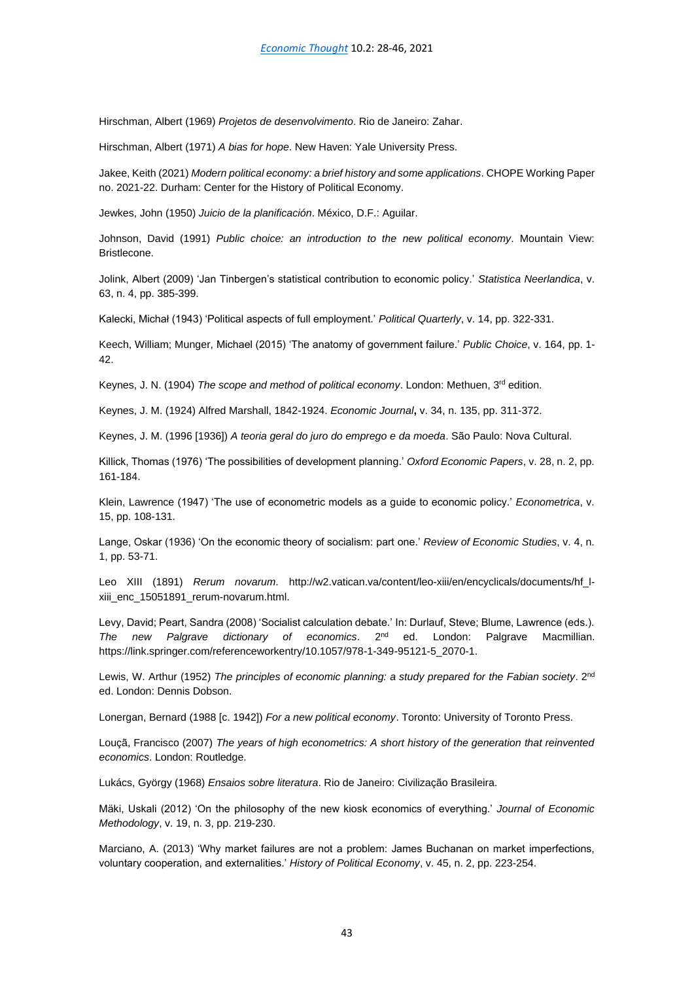Hirschman, Albert (1969) *Projetos de desenvolvimento*. Rio de Janeiro: Zahar.

Hirschman, Albert (1971) *A bias for hope*. New Haven: Yale University Press.

Jakee, Keith (2021) *Modern political economy: a brief history and some applications*. CHOPE Working Paper no. 2021-22. Durham: Center for the History of Political Economy.

Jewkes, John (1950) *Juicio de la planificación*. México, D.F.: Aguilar.

Johnson, David (1991) *Public choice: an introduction to the new political economy*. Mountain View: Bristlecone.

Jolink, Albert (2009) 'Jan Tinbergen's statistical contribution to economic policy.' *Statistica Neerlandica*, v. 63, n. 4, pp. 385-399.

Kalecki, Michał (1943) 'Political aspects of full employment.' *Political Quarterly*, v. 14, pp. 322-331.

Keech, William; Munger, Michael (2015) 'The anatomy of government failure.' *Public Choice*, v. 164, pp. 1- 42.

Keynes, J. N. (1904) *The scope and method of political economy*. London: Methuen, 3rd edition.

Keynes, J. M. (1924) Alfred Marshall, 1842-1924. *Economic Journal***,** v. 34, n. 135, pp. 311-372.

Keynes, J. M. (1996 [1936]) *A teoria geral do juro do emprego e da moeda*. São Paulo: Nova Cultural.

Killick, Thomas (1976) 'The possibilities of development planning.' *Oxford Economic Papers*, v. 28, n. 2, pp. 161-184.

Klein, Lawrence (1947) 'The use of econometric models as a guide to economic policy.' *Econometrica*, v. 15, pp. 108-131.

Lange, Oskar (1936) 'On the economic theory of socialism: part one.' *Review of Economic Studies*, v. 4, n. 1, pp. 53-71.

Leo XIII (1891) *Rerum novarum*. http://w2.vatican.va/content/leo-xiii/en/encyclicals/documents/hf\_lxiii\_enc\_15051891\_rerum-novarum.html.

Levy, David; Peart, Sandra (2008) 'Socialist calculation debate.' In: Durlauf, Steve; Blume, Lawrence (eds.). *The new Palgrave dictionary of economics*. 2 London: Palgrave Macmillian. https://link.springer.com/referenceworkentry/10.1057/978-1-349-95121-5\_2070-1.

Lewis, W. Arthur (1952) *The principles of economic planning: a study prepared for the Fabian society*. 2<sup>nd</sup> ed. London: Dennis Dobson.

Lonergan, Bernard (1988 [c. 1942]) *For a new political economy*. Toronto: University of Toronto Press.

Louçã, Francisco (2007) *The years of high econometrics: A short history of the generation that reinvented economics*. London: Routledge.

Lukács, György (1968) *Ensaios sobre literatura*. Rio de Janeiro: Civilização Brasileira.

Mäki, Uskali (2012) 'On the philosophy of the new kiosk economics of everything.' *Journal of Economic Methodology*, v. 19, n. 3, pp. 219-230.

Marciano, A. (2013) 'Why market failures are not a problem: James Buchanan on market imperfections, voluntary cooperation, and externalities.' *History of Political Economy*, v. 45, n. 2, pp. 223-254.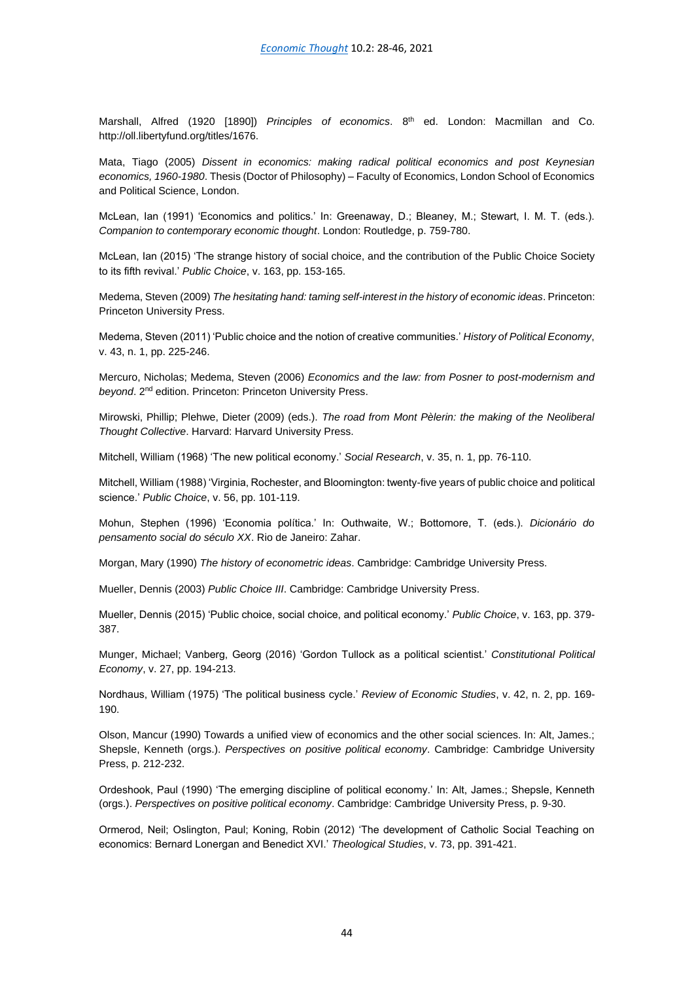Marshall, Alfred (1920 [1890]) *Principles of economics*. 8th ed. London: Macmillan and Co. http://oll.libertyfund.org/titles/1676.

Mata, Tiago (2005) *Dissent in economics: making radical political economics and post Keynesian economics, 1960-1980*. Thesis (Doctor of Philosophy) – Faculty of Economics, London School of Economics and Political Science, London.

McLean, Ian (1991) 'Economics and politics.' In: Greenaway, D.; Bleaney, M.; Stewart, I. M. T. (eds.). *Companion to contemporary economic thought*. London: Routledge, p. 759-780.

McLean, Ian (2015) 'The strange history of social choice, and the contribution of the Public Choice Society to its fifth revival.' *Public Choice*, v. 163, pp. 153-165.

Medema, Steven (2009) *The hesitating hand: taming self-interest in the history of economic ideas*. Princeton: Princeton University Press.

Medema, Steven (2011) 'Public choice and the notion of creative communities.' *History of Political Economy*, v. 43, n. 1, pp. 225-246.

Mercuro, Nicholas; Medema, Steven (2006) *Economics and the law: from Posner to post-modernism and beyond*. 2nd edition. Princeton: Princeton University Press.

Mirowski, Phillip; Plehwe, Dieter (2009) (eds.). *The road from Mont Pèlerin: the making of the Neoliberal Thought Collective*. Harvard: Harvard University Press.

Mitchell, William (1968) 'The new political economy.' *Social Research*, v. 35, n. 1, pp. 76-110.

Mitchell, William (1988) 'Virginia, Rochester, and Bloomington: twenty-five years of public choice and political science.' *Public Choice*, v. 56, pp. 101-119.

Mohun, Stephen (1996) 'Economia política.' In: Outhwaite, W.; Bottomore, T. (eds.). *Dicionário do pensamento social do século XX*. Rio de Janeiro: Zahar.

Morgan, Mary (1990) *The history of econometric ideas*. Cambridge: Cambridge University Press.

Mueller, Dennis (2003) *Public Choice III*. Cambridge: Cambridge University Press.

Mueller, Dennis (2015) 'Public choice, social choice, and political economy.' *Public Choice*, v. 163, pp. 379- 387.

Munger, Michael; Vanberg, Georg (2016) 'Gordon Tullock as a political scientist.' *Constitutional Political Economy*, v. 27, pp. 194-213.

Nordhaus, William (1975) 'The political business cycle.' *Review of Economic Studies*, v. 42, n. 2, pp. 169- 190.

Olson, Mancur (1990) Towards a unified view of economics and the other social sciences. In: Alt, James.; Shepsle, Kenneth (orgs.). *Perspectives on positive political economy*. Cambridge: Cambridge University Press, p. 212-232.

Ordeshook, Paul (1990) 'The emerging discipline of political economy.' In: Alt, James.; Shepsle, Kenneth (orgs.). *Perspectives on positive political economy*. Cambridge: Cambridge University Press, p. 9-30.

Ormerod, Neil; Oslington, Paul; Koning, Robin (2012) 'The development of Catholic Social Teaching on economics: Bernard Lonergan and Benedict XVI.' *Theological Studies*, v. 73, pp. 391-421.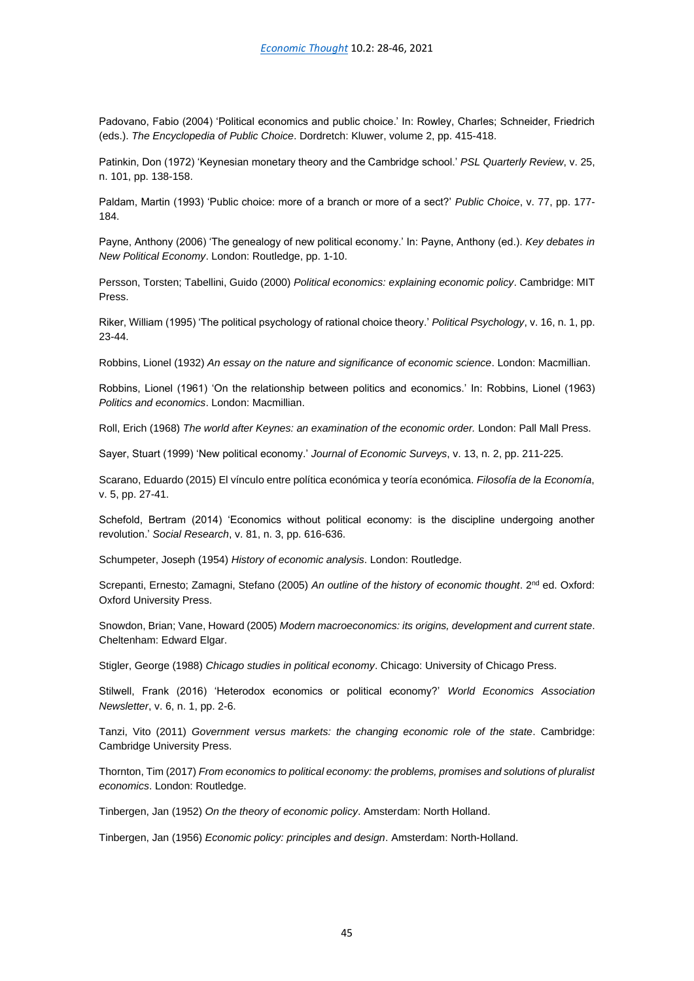Padovano, Fabio (2004) 'Political economics and public choice.' In: Rowley, Charles; Schneider, Friedrich (eds.). *The Encyclopedia of Public Choice*. Dordretch: Kluwer, volume 2, pp. 415-418.

Patinkin, Don (1972) 'Keynesian monetary theory and the Cambridge school.' *PSL Quarterly Review*, v. 25, n. 101, pp. 138-158.

Paldam, Martin (1993) 'Public choice: more of a branch or more of a sect?' *Public Choice*, v. 77, pp. 177- 184.

Payne, Anthony (2006) 'The genealogy of new political economy.' In: Payne, Anthony (ed.). *Key debates in New Political Economy*. London: Routledge, pp. 1-10.

Persson, Torsten; Tabellini, Guido (2000) *Political economics: explaining economic policy*. Cambridge: MIT Press.

Riker, William (1995) 'The political psychology of rational choice theory.' *Political Psychology*, v. 16, n. 1, pp. 23-44.

Robbins, Lionel (1932) *An essay on the nature and significance of economic science*. London: Macmillian.

Robbins, Lionel (1961) 'On the relationship between politics and economics.' In: Robbins, Lionel (1963) *Politics and economics*. London: Macmillian.

Roll, Erich (1968) *The world after Keynes: an examination of the economic order.* London: Pall Mall Press.

Sayer, Stuart (1999) 'New political economy.' *Journal of Economic Surveys*, v. 13, n. 2, pp. 211-225.

Scarano, Eduardo (2015) El vínculo entre política económica y teoría económica. *Filosofía de la Economía*, v. 5, pp. 27-41.

Schefold, Bertram (2014) 'Economics without political economy: is the discipline undergoing another revolution.' *Social Research*, v. 81, n. 3, pp. 616-636.

Schumpeter, Joseph (1954) *History of economic analysis*. London: Routledge.

Screpanti, Ernesto; Zamagni, Stefano (2005) *An outline of the history of economic thought*. 2<sup>nd</sup> ed. Oxford: Oxford University Press.

Snowdon, Brian; Vane, Howard (2005) *Modern macroeconomics: its origins, development and current state*. Cheltenham: Edward Elgar.

Stigler, George (1988) *Chicago studies in political economy*. Chicago: University of Chicago Press.

Stilwell, Frank (2016) 'Heterodox economics or political economy?' *World Economics Association Newsletter*, v. 6, n. 1, pp. 2-6.

Tanzi, Vito (2011) *Government versus markets: the changing economic role of the state*. Cambridge: Cambridge University Press.

Thornton, Tim (2017) *From economics to political economy: the problems, promises and solutions of pluralist economics*. London: Routledge.

Tinbergen, Jan (1952) *On the theory of economic policy*. Amsterdam: North Holland.

Tinbergen, Jan (1956) *Economic policy: principles and design*. Amsterdam: North-Holland.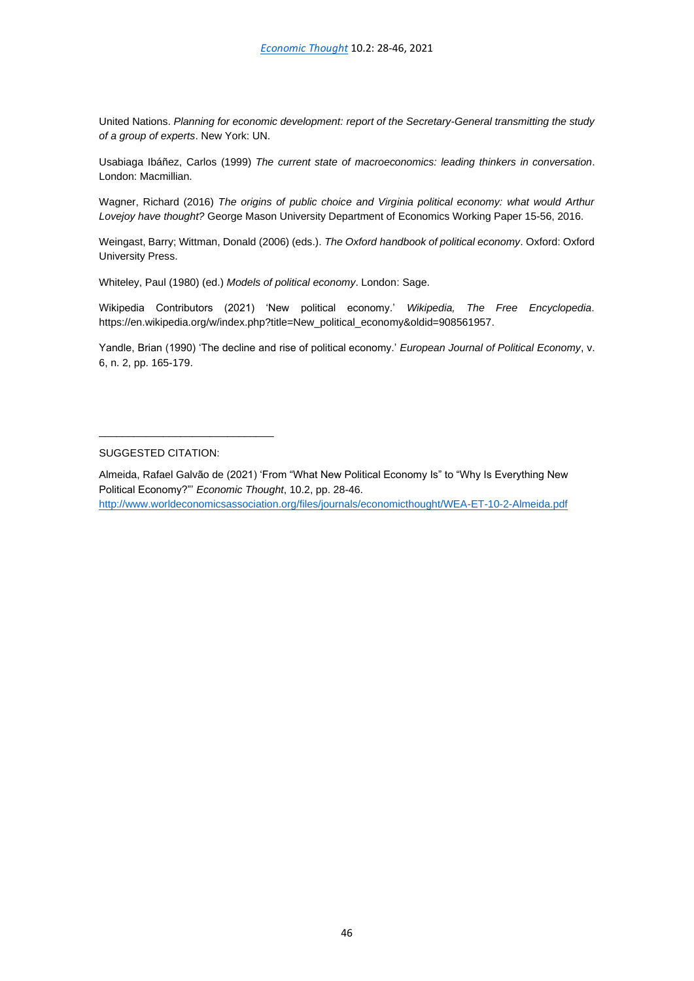United Nations. *Planning for economic development: report of the Secretary-General transmitting the study of a group of experts*. New York: UN.

Usabiaga Ibáñez, Carlos (1999) *The current state of macroeconomics: leading thinkers in conversation*. London: Macmillian.

Wagner, Richard (2016) *The origins of public choice and Virginia political economy: what would Arthur Lovejoy have thought?* George Mason University Department of Economics Working Paper 15-56, 2016.

Weingast, Barry; Wittman, Donald (2006) (eds.). *The Oxford handbook of political economy*. Oxford: Oxford University Press.

Whiteley, Paul (1980) (ed.) *Models of political economy*. London: Sage.

Wikipedia Contributors (2021) 'New political economy.' *Wikipedia, The Free Encyclopedia*. https://en.wikipedia.org/w/index.php?title=New\_political\_economy&oldid=908561957.

Yandle, Brian (1990) 'The decline and rise of political economy.' *European Journal of Political Economy*, v. 6, n. 2, pp. 165-179.

## SUGGESTED CITATION:

\_\_\_\_\_\_\_\_\_\_\_\_\_\_\_\_\_\_\_\_\_\_\_\_\_\_\_\_\_\_

Almeida, Rafael Galvão de (2021) 'From "What New Political Economy Is" to "Why Is Everything New Political Economy?"' *Economic Thought*, 10.2, pp. 28-46.

```
http://www.worldeconomicsassociation.org/files/journals/economicthought/WEA-ET-10-2-Almeida.pdf
```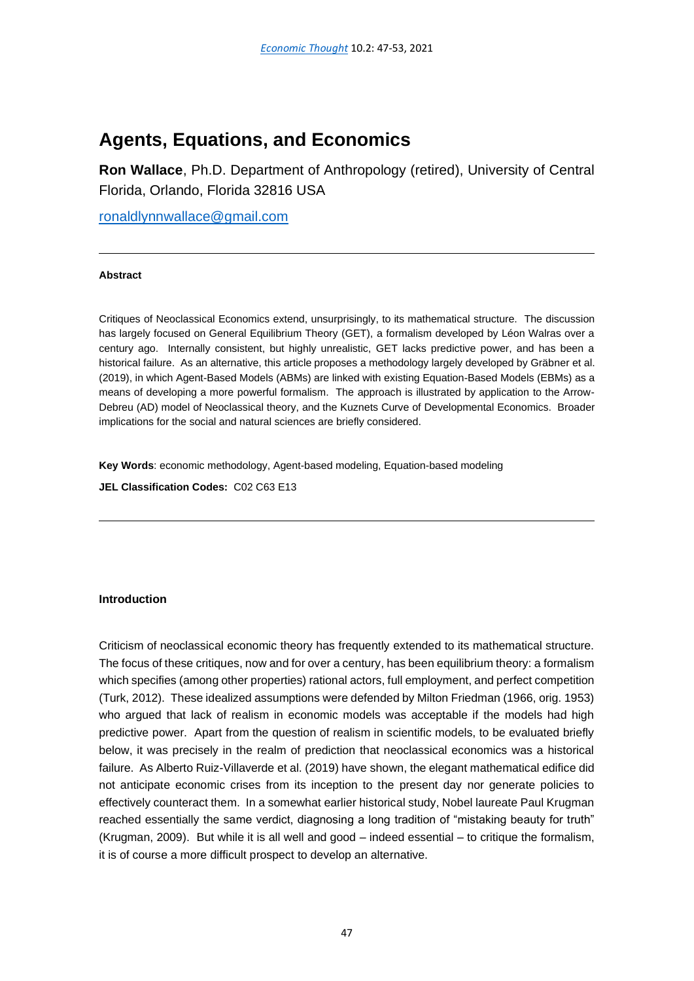## <span id="page-48-0"></span>**Agents, Equations, and Economics**

**Ron Wallace**, Ph.D. Department of Anthropology (retired), University of Central Florida, Orlando, Florida 32816 USA

[ronaldlynnwallace@gmail.com](mailto:ronaldlynnwallace@gmail.com)

## **Abstract**

Critiques of Neoclassical Economics extend, unsurprisingly, to its mathematical structure. The discussion has largely focused on General Equilibrium Theory (GET), a formalism developed by Léon Walras over a century ago. Internally consistent, but highly unrealistic, GET lacks predictive power, and has been a historical failure. As an alternative, this article proposes a methodology largely developed by Gräbner et al. (2019), in which Agent-Based Models (ABMs) are linked with existing Equation-Based Models (EBMs) as a means of developing a more powerful formalism. The approach is illustrated by application to the Arrow-Debreu (AD) model of Neoclassical theory, and the Kuznets Curve of Developmental Economics. Broader implications for the social and natural sciences are briefly considered.

**Key Words**: economic methodology, Agent-based modeling, Equation-based modeling

**JEL Classification Codes:** C02 C63 E13

## **Introduction**

Criticism of neoclassical economic theory has frequently extended to its mathematical structure. The focus of these critiques, now and for over a century, has been equilibrium theory: a formalism which specifies (among other properties) rational actors, full employment, and perfect competition (Turk, 2012). These idealized assumptions were defended by Milton Friedman (1966, orig. 1953) who argued that lack of realism in economic models was acceptable if the models had high predictive power. Apart from the question of realism in scientific models, to be evaluated briefly below, it was precisely in the realm of prediction that neoclassical economics was a historical failure. As Alberto Ruiz-Villaverde et al. (2019) have shown, the elegant mathematical edifice did not anticipate economic crises from its inception to the present day nor generate policies to effectively counteract them. In a somewhat earlier historical study, Nobel laureate Paul Krugman reached essentially the same verdict, diagnosing a long tradition of "mistaking beauty for truth" (Krugman, 2009). But while it is all well and good – indeed essential – to critique the formalism, it is of course a more difficult prospect to develop an alternative.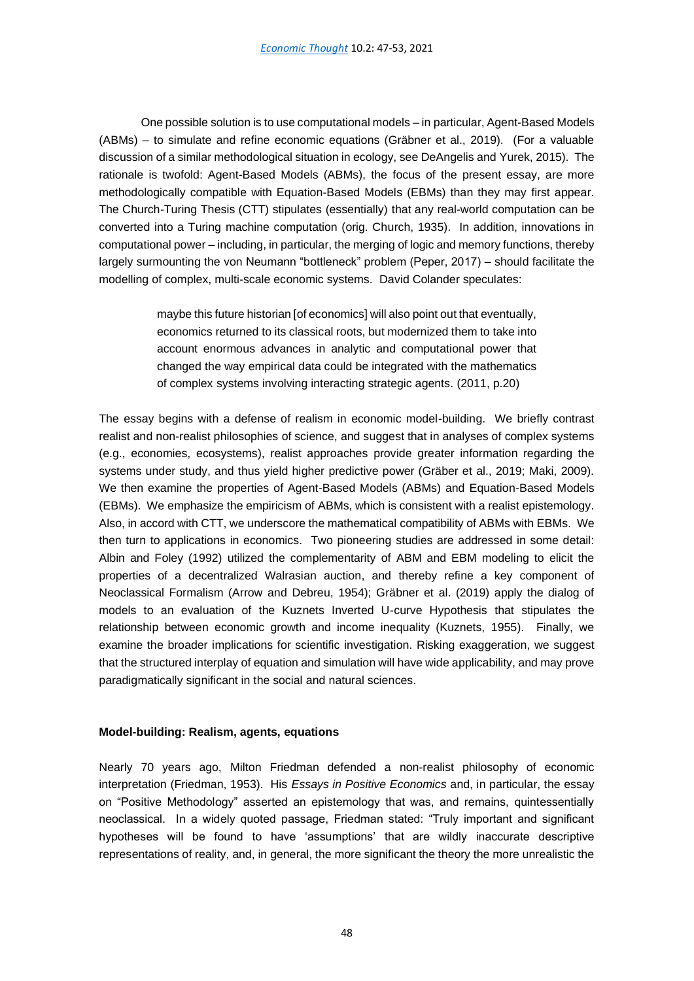One possible solution is to use computational models –in particular, Agent-Based Models (ABMs) – to simulate and refine economic equations (Gräbner et al., 2019). (For a valuable discussion of a similar methodological situation in ecology, see DeAngelis and Yurek, 2015). The rationale is twofold: Agent-Based Models (ABMs), the focus of the present essay, are more methodologically compatible with Equation-Based Models (EBMs) than they may first appear. The Church-Turing Thesis (CTT) stipulates (essentially) that any real-world computation can be converted into a Turing machine computation (orig. Church, 1935). In addition, innovations in computational power – including, in particular, the merging of logic and memory functions, thereby largely surmounting the von Neumann "bottleneck" problem (Peper, 2017) – should facilitate the modelling of complex, multi-scale economic systems. David Colander speculates:

> maybe this future historian [of economics] will also point out that eventually, economics returned to its classical roots, but modernized them to take into account enormous advances in analytic and computational power that changed the way empirical data could be integrated with the mathematics of complex systems involving interacting strategic agents. (2011, p.20)

The essay begins with a defense of realism in economic model-building. We briefly contrast realist and non-realist philosophies of science, and suggest that in analyses of complex systems (e.g., economies, ecosystems), realist approaches provide greater information regarding the systems under study, and thus yield higher predictive power (Gräber et al., 2019; Maki, 2009). We then examine the properties of Agent-Based Models (ABMs) and Equation-Based Models (EBMs). We emphasize the empiricism of ABMs, which is consistent with a realist epistemology. Also, in accord with CTT, we underscore the mathematical compatibility of ABMs with EBMs. We then turn to applications in economics. Two pioneering studies are addressed in some detail: Albin and Foley (1992) utilized the complementarity of ABM and EBM modeling to elicit the properties of a decentralized Walrasian auction, and thereby refine a key component of Neoclassical Formalism (Arrow and Debreu, 1954); Gräbner et al. (2019) apply the dialog of models to an evaluation of the Kuznets Inverted U-curve Hypothesis that stipulates the relationship between economic growth and income inequality (Kuznets, 1955). Finally, we examine the broader implications for scientific investigation. Risking exaggeration, we suggest that the structured interplay of equation and simulation will have wide applicability, and may prove paradigmatically significant in the social and natural sciences.

## **Model-building: Realism, agents, equations**

Nearly 70 years ago, Milton Friedman defended a non-realist philosophy of economic interpretation (Friedman, 1953). His *Essays in Positive Economics* and, in particular, the essay on "Positive Methodology" asserted an epistemology that was, and remains, quintessentially neoclassical. In a widely quoted passage, Friedman stated: "Truly important and significant hypotheses will be found to have 'assumptions' that are wildly inaccurate descriptive representations of reality, and, in general, the more significant the theory the more unrealistic the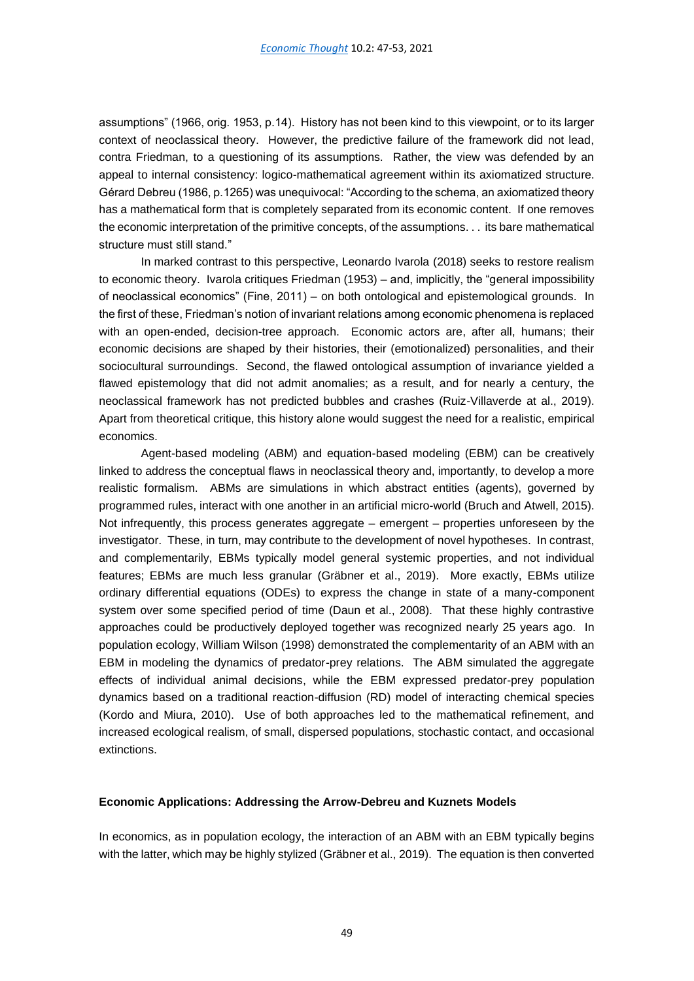assumptions" (1966, orig. 1953, p.14). History has not been kind to this viewpoint, or to its larger context of neoclassical theory. However, the predictive failure of the framework did not lead, contra Friedman, to a questioning of its assumptions. Rather, the view was defended by an appeal to internal consistency: logico-mathematical agreement within its axiomatized structure. Gérard Debreu (1986, p.1265) was unequivocal: "According to the schema, an axiomatized theory has a mathematical form that is completely separated from its economic content. If one removes the economic interpretation of the primitive concepts, of the assumptions. . . its bare mathematical structure must still stand."

In marked contrast to this perspective, Leonardo Ivarola (2018) seeks to restore realism to economic theory. Ivarola critiques Friedman (1953) – and, implicitly, the "general impossibility of neoclassical economics" (Fine, 2011) – on both ontological and epistemological grounds. In the first of these, Friedman's notion of invariant relations among economic phenomena is replaced with an open-ended, decision-tree approach. Economic actors are, after all, humans; their economic decisions are shaped by their histories, their (emotionalized) personalities, and their sociocultural surroundings. Second, the flawed ontological assumption of invariance yielded a flawed epistemology that did not admit anomalies; as a result, and for nearly a century, the neoclassical framework has not predicted bubbles and crashes (Ruiz-Villaverde at al., 2019). Apart from theoretical critique, this history alone would suggest the need for a realistic, empirical economics.

Agent-based modeling (ABM) and equation-based modeling (EBM) can be creatively linked to address the conceptual flaws in neoclassical theory and, importantly, to develop a more realistic formalism. ABMs are simulations in which abstract entities (agents), governed by programmed rules, interact with one another in an artificial micro-world (Bruch and Atwell, 2015). Not infrequently, this process generates aggregate – emergent – properties unforeseen by the investigator. These, in turn, may contribute to the development of novel hypotheses. In contrast, and complementarily, EBMs typically model general systemic properties, and not individual features; EBMs are much less granular (Gräbner et al., 2019). More exactly, EBMs utilize ordinary differential equations (ODEs) to express the change in state of a many-component system over some specified period of time (Daun et al., 2008). That these highly contrastive approaches could be productively deployed together was recognized nearly 25 years ago. In population ecology, William Wilson (1998) demonstrated the complementarity of an ABM with an EBM in modeling the dynamics of predator-prey relations. The ABM simulated the aggregate effects of individual animal decisions, while the EBM expressed predator-prey population dynamics based on a traditional reaction-diffusion (RD) model of interacting chemical species (Kordo and Miura, 2010). Use of both approaches led to the mathematical refinement, and increased ecological realism, of small, dispersed populations, stochastic contact, and occasional extinctions.

#### **Economic Applications: Addressing the Arrow-Debreu and Kuznets Models**

In economics, as in population ecology, the interaction of an ABM with an EBM typically begins with the latter, which may be highly stylized (Gräbner et al., 2019). The equation is then converted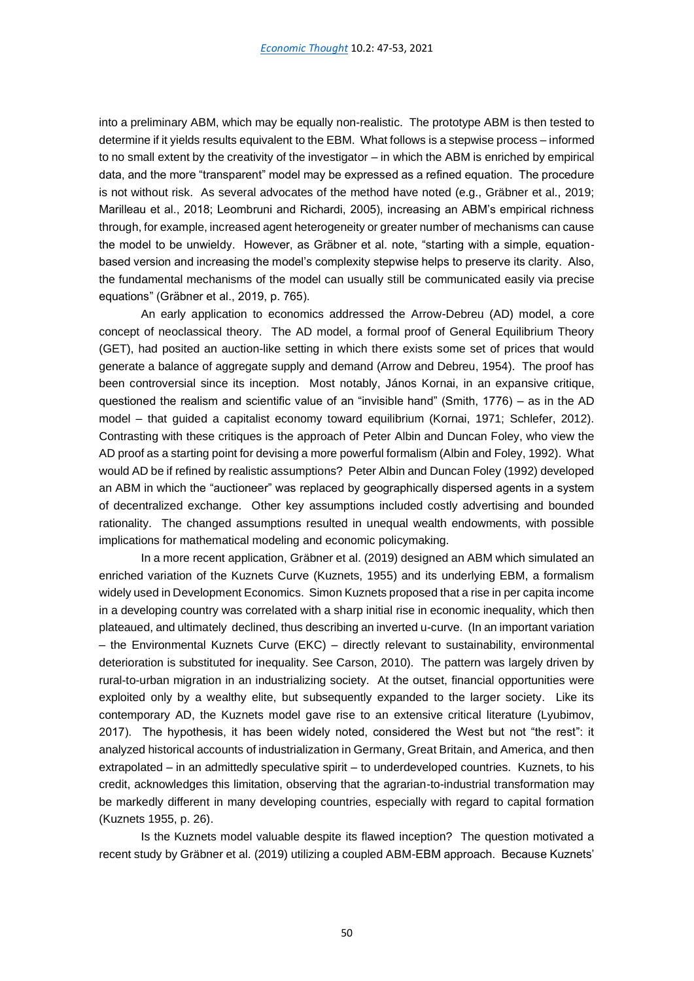into a preliminary ABM, which may be equally non-realistic. The prototype ABM is then tested to determine if it yields results equivalent to the EBM. What follows is a stepwise process – informed to no small extent by the creativity of the investigator – in which the ABM is enriched by empirical data, and the more "transparent" model may be expressed as a refined equation. The procedure is not without risk. As several advocates of the method have noted (e.g., Gräbner et al., 2019; Marilleau et al., 2018; Leombruni and Richardi, 2005), increasing an ABM's empirical richness through, for example, increased agent heterogeneity or greater number of mechanisms can cause the model to be unwieldy. However, as Gräbner et al. note, "starting with a simple, equationbased version and increasing the model's complexity stepwise helps to preserve its clarity. Also, the fundamental mechanisms of the model can usually still be communicated easily via precise equations" (Gräbner et al., 2019, p. 765).

An early application to economics addressed the Arrow-Debreu (AD) model, a core concept of neoclassical theory. The AD model, a formal proof of General Equilibrium Theory (GET), had posited an auction-like setting in which there exists some set of prices that would generate a balance of aggregate supply and demand (Arrow and Debreu, 1954). The proof has been controversial since its inception. Most notably, János Kornai, in an expansive critique, questioned the realism and scientific value of an "invisible hand" (Smith, 1776) – as in the AD model – that guided a capitalist economy toward equilibrium (Kornai, 1971; Schlefer, 2012). Contrasting with these critiques is the approach of Peter Albin and Duncan Foley, who view the AD proof as a starting point for devising a more powerful formalism (Albin and Foley, 1992). What would AD be if refined by realistic assumptions? Peter Albin and Duncan Foley (1992) developed an ABM in which the "auctioneer" was replaced by geographically dispersed agents in a system of decentralized exchange. Other key assumptions included costly advertising and bounded rationality. The changed assumptions resulted in unequal wealth endowments, with possible implications for mathematical modeling and economic policymaking.

In a more recent application, Gräbner et al. (2019) designed an ABM which simulated an enriched variation of the Kuznets Curve (Kuznets, 1955) and its underlying EBM, a formalism widely used in Development Economics. Simon Kuznets proposed that a rise in per capita income in a developing country was correlated with a sharp initial rise in economic inequality, which then plateaued, and ultimately declined, thus describing an inverted u-curve. (In an important variation – the Environmental Kuznets Curve (EKC) – directly relevant to sustainability, environmental deterioration is substituted for inequality. See Carson, 2010). The pattern was largely driven by rural-to-urban migration in an industrializing society. At the outset, financial opportunities were exploited only by a wealthy elite, but subsequently expanded to the larger society. Like its contemporary AD, the Kuznets model gave rise to an extensive critical literature (Lyubimov, 2017). The hypothesis, it has been widely noted, considered the West but not "the rest": it analyzed historical accounts of industrialization in Germany, Great Britain, and America, and then extrapolated – in an admittedly speculative spirit – to underdeveloped countries. Kuznets, to his credit, acknowledges this limitation, observing that the agrarian-to-industrial transformation may be markedly different in many developing countries, especially with regard to capital formation (Kuznets 1955, p. 26).

Is the Kuznets model valuable despite its flawed inception? The question motivated a recent study by Gräbner et al. (2019) utilizing a coupled ABM-EBM approach. Because Kuznets'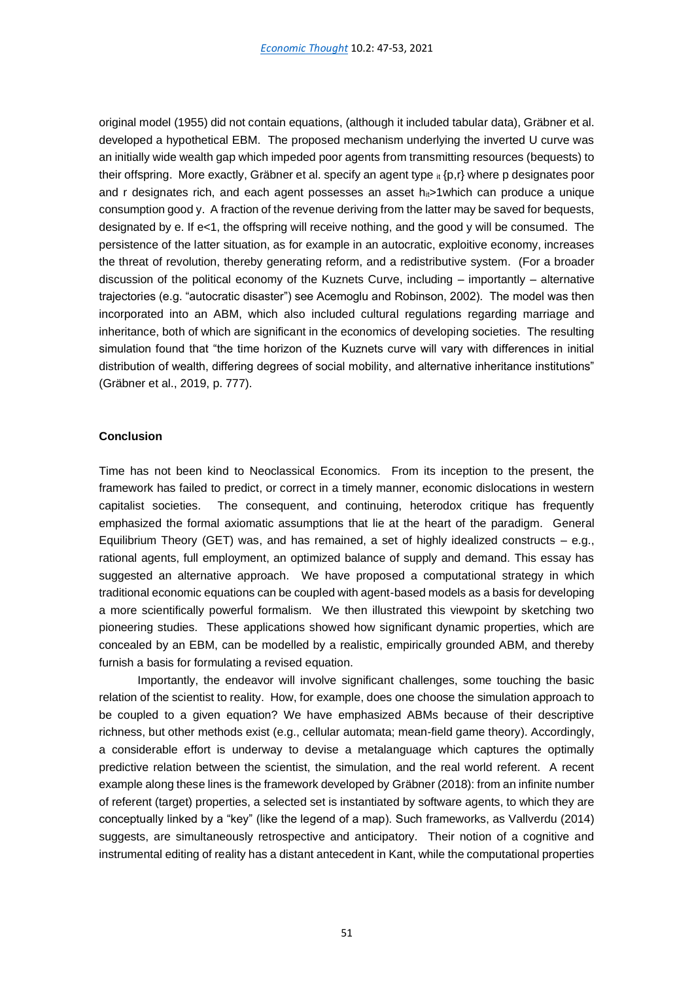original model (1955) did not contain equations, (although it included tabular data), Gräbner et al. developed a hypothetical EBM. The proposed mechanism underlying the inverted U curve was an initially wide wealth gap which impeded poor agents from transmitting resources (bequests) to their offspring. More exactly, Gräbner et al. specify an agent type  $_{\rm it}$  {p,r} where p designates poor and r designates rich, and each agent possesses an asset  $h_{ii}$ >1which can produce a unique consumption good y. A fraction of the revenue deriving from the latter may be saved for bequests, designated by e. If e<1, the offspring will receive nothing, and the good y will be consumed. The persistence of the latter situation, as for example in an autocratic, exploitive economy, increases the threat of revolution, thereby generating reform, and a redistributive system. (For a broader discussion of the political economy of the Kuznets Curve, including – importantly – alternative trajectories (e.g. "autocratic disaster") see Acemoglu and Robinson, 2002). The model was then incorporated into an ABM, which also included cultural regulations regarding marriage and inheritance, both of which are significant in the economics of developing societies. The resulting simulation found that "the time horizon of the Kuznets curve will vary with differences in initial distribution of wealth, differing degrees of social mobility, and alternative inheritance institutions" (Gräbner et al., 2019, p. 777).

#### **Conclusion**

Time has not been kind to Neoclassical Economics. From its inception to the present, the framework has failed to predict, or correct in a timely manner, economic dislocations in western capitalist societies. The consequent, and continuing, heterodox critique has frequently emphasized the formal axiomatic assumptions that lie at the heart of the paradigm. General Equilibrium Theory (GET) was, and has remained, a set of highly idealized constructs  $-$  e.g., rational agents, full employment, an optimized balance of supply and demand. This essay has suggested an alternative approach. We have proposed a computational strategy in which traditional economic equations can be coupled with agent-based models as a basis for developing a more scientifically powerful formalism. We then illustrated this viewpoint by sketching two pioneering studies. These applications showed how significant dynamic properties, which are concealed by an EBM, can be modelled by a realistic, empirically grounded ABM, and thereby furnish a basis for formulating a revised equation.

 Importantly, the endeavor will involve significant challenges, some touching the basic relation of the scientist to reality. How, for example, does one choose the simulation approach to be coupled to a given equation? We have emphasized ABMs because of their descriptive richness, but other methods exist (e.g., cellular automata; mean-field game theory). Accordingly, a considerable effort is underway to devise a metalanguage which captures the optimally predictive relation between the scientist, the simulation, and the real world referent. A recent example along these lines is the framework developed by Gräbner (2018): from an infinite number of referent (target) properties, a selected set is instantiated by software agents, to which they are conceptually linked by a "key" (like the legend of a map). Such frameworks, as Vallverdu (2014) suggests, are simultaneously retrospective and anticipatory. Their notion of a cognitive and instrumental editing of reality has a distant antecedent in Kant, while the computational properties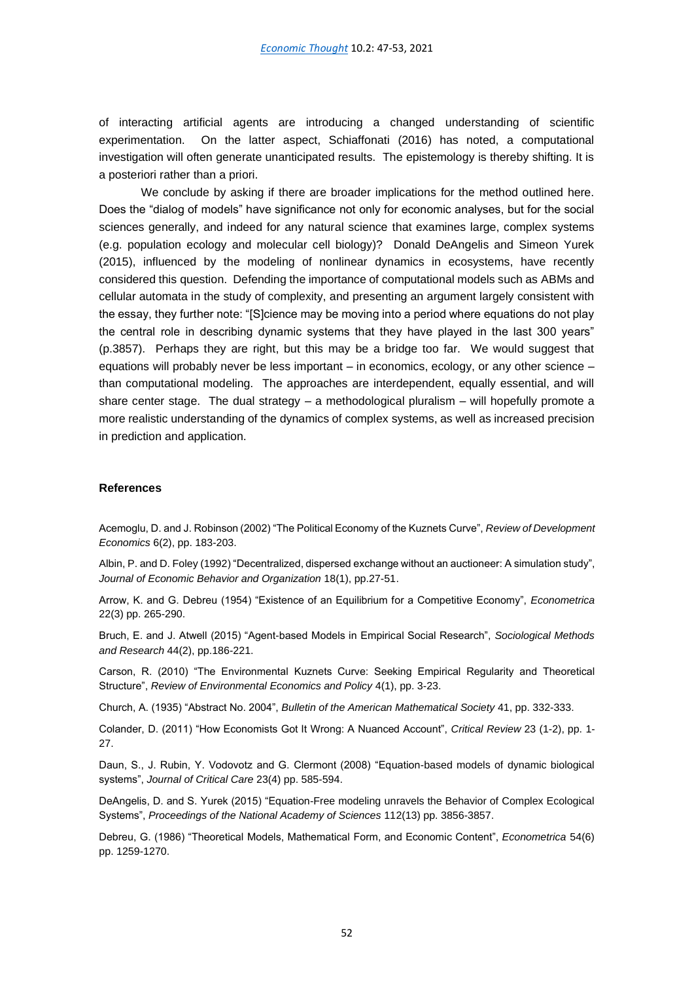of interacting artificial agents are introducing a changed understanding of scientific experimentation. On the latter aspect, Schiaffonati (2016) has noted, a computational investigation will often generate unanticipated results. The epistemology is thereby shifting. It is a posteriori rather than a priori.

We conclude by asking if there are broader implications for the method outlined here. Does the "dialog of models" have significance not only for economic analyses, but for the social sciences generally, and indeed for any natural science that examines large, complex systems (e.g. population ecology and molecular cell biology)? Donald DeAngelis and Simeon Yurek (2015), influenced by the modeling of nonlinear dynamics in ecosystems, have recently considered this question. Defending the importance of computational models such as ABMs and cellular automata in the study of complexity, and presenting an argument largely consistent with the essay, they further note: "[S]cience may be moving into a period where equations do not play the central role in describing dynamic systems that they have played in the last 300 years" (p.3857). Perhaps they are right, but this may be a bridge too far. We would suggest that equations will probably never be less important – in economics, ecology, or any other science – than computational modeling. The approaches are interdependent, equally essential, and will share center stage. The dual strategy – a methodological pluralism – will hopefully promote a more realistic understanding of the dynamics of complex systems, as well as increased precision in prediction and application.

#### **References**

Acemoglu, D. and J. Robinson (2002) "The Political Economy of the Kuznets Curve", *Review of Development Economics* 6(2), pp. 183-203.

Albin, P. and D. Foley (1992) "Decentralized, dispersed exchange without an auctioneer: A simulation study", *Journal of Economic Behavior and Organization* 18(1), pp.27-51.

Arrow, K. and G. Debreu (1954) "Existence of an Equilibrium for a Competitive Economy", *Econometrica* 22(3) pp. 265-290.

Bruch, E. and J. Atwell (2015) "Agent-based Models in Empirical Social Research", *Sociological Methods and Research* 44(2), pp.186-221.

Carson, R. (2010) "The Environmental Kuznets Curve: Seeking Empirical Regularity and Theoretical Structure", *Review of Environmental Economics and Policy* 4(1), pp. 3-23.

Church, A. (1935) "Abstract No. 2004", *Bulletin of the American Mathematical Society* 41, pp. 332-333.

Colander, D. (2011) "How Economists Got It Wrong: A Nuanced Account", *Critical Review* 23 (1-2), pp. 1- 27.

Daun, S., J. Rubin, Y. Vodovotz and G. Clermont (2008) "Equation-based models of dynamic biological systems", *Journal of Critical Care* 23(4) pp. 585-594.

DeAngelis, D. and S. Yurek (2015) "Equation-Free modeling unravels the Behavior of Complex Ecological Systems", *Proceedings of the National Academy of Sciences* 112(13) pp. 3856-3857.

Debreu, G. (1986) "Theoretical Models, Mathematical Form, and Economic Content", *Econometrica* 54(6) pp. 1259-1270.